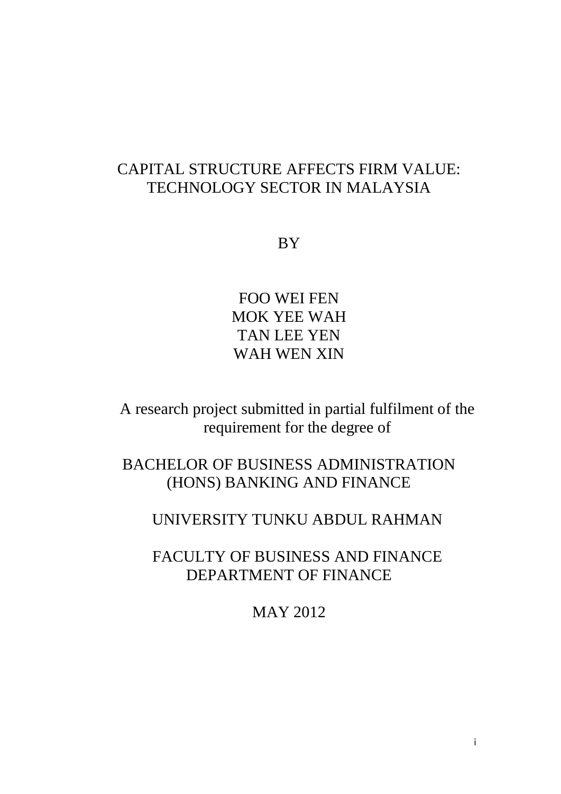## CAPITAL STRUCTURE AFFECTS FIRM VALUE: TECHNOLOGY SECTOR IN MALAYSIA

BY

FOO WEI FEN MOK YEE WAH TAN LEE YEN WAH WEN XIN

A research project submitted in partial fulfilment of the requirement for the degree of

BACHELOR OF BUSINESS ADMINISTRATION (HONS) BANKING AND FINANCE

## UNIVERSITY TUNKU ABDUL RAHMAN

FACULTY OF BUSINESS AND FINANCE DEPARTMENT OF FINANCE

MAY 2012

i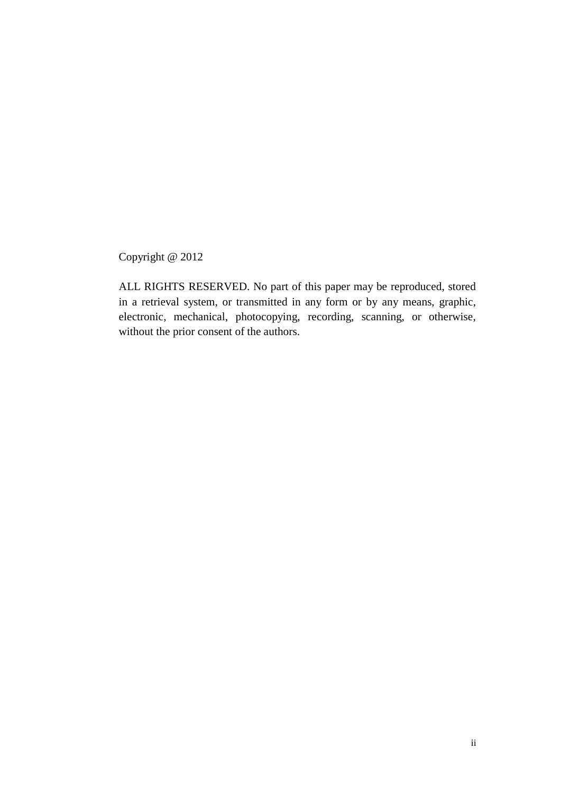Copyright @ 2012

ALL RIGHTS RESERVED. No part of this paper may be reproduced, stored in a retrieval system, or transmitted in any form or by any means, graphic, electronic, mechanical, photocopying, recording, scanning, or otherwise, without the prior consent of the authors.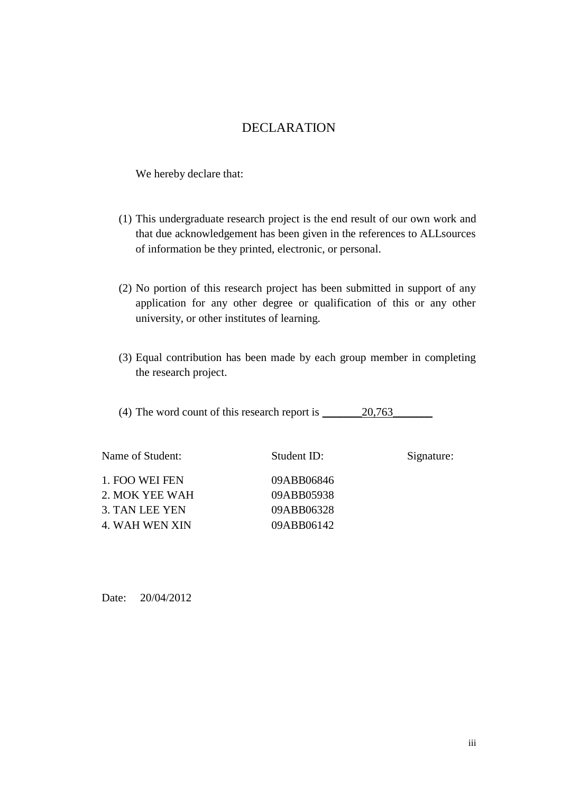### DECLARATION

We hereby declare that:

- (1) This undergraduate research project is the end result of our own work and that due acknowledgement has been given in the references to ALLsources of information be they printed, electronic, or personal.
- (2) No portion of this research project has been submitted in support of any application for any other degree or qualification of this or any other university, or other institutes of learning.
- (3) Equal contribution has been made by each group member in completing the research project.

(4) The word count of this research report is  $\_\_\_\_2\$ 

| Name of Student: | Student ID: | Signature: |
|------------------|-------------|------------|
| 1. FOO WEI FEN   | 09ABB06846  |            |
| 2. MOK YEE WAH   | 09ABB05938  |            |
| 3. TAN LEE YEN   | 09ABB06328  |            |
| 4. WAH WEN XIN   | 09ABB06142  |            |

Date: 20/04/2012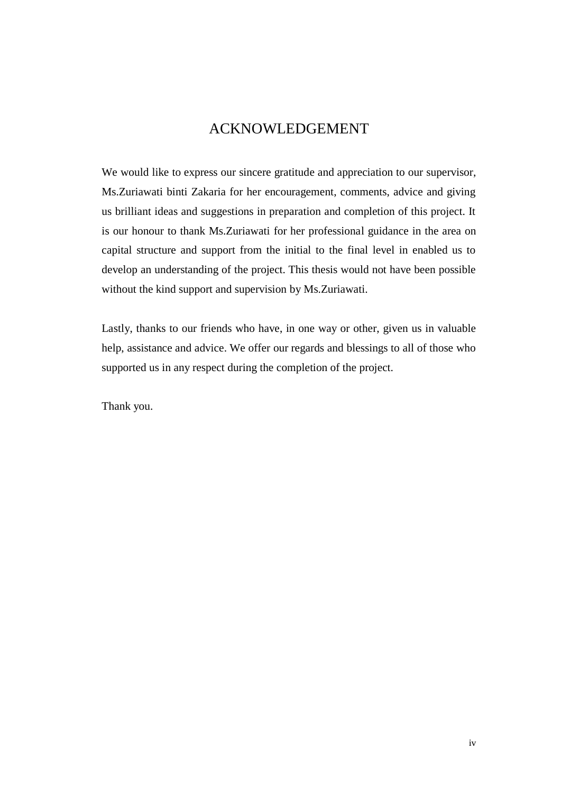### ACKNOWLEDGEMENT

We would like to express our sincere gratitude and appreciation to our supervisor, Ms.Zuriawati binti Zakaria for her encouragement, comments, advice and giving us brilliant ideas and suggestions in preparation and completion of this project. It is our honour to thank Ms.Zuriawati for her professional guidance in the area on capital structure and support from the initial to the final level in enabled us to develop an understanding of the project. This thesis would not have been possible without the kind support and supervision by Ms.Zuriawati.

Lastly, thanks to our friends who have, in one way or other, given us in valuable help, assistance and advice. We offer our regards and blessings to all of those who supported us in any respect during the completion of the project.

Thank you.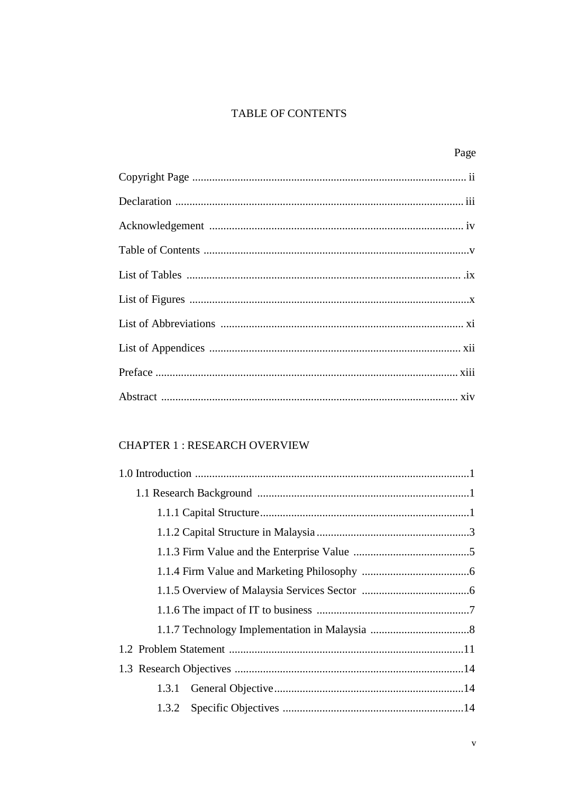### TABLE OF CONTENTS

| Page |
|------|
|      |
|      |
|      |
|      |
|      |
|      |
|      |
|      |
|      |
|      |

### **CHAPTER 1: RESEARCH OVERVIEW**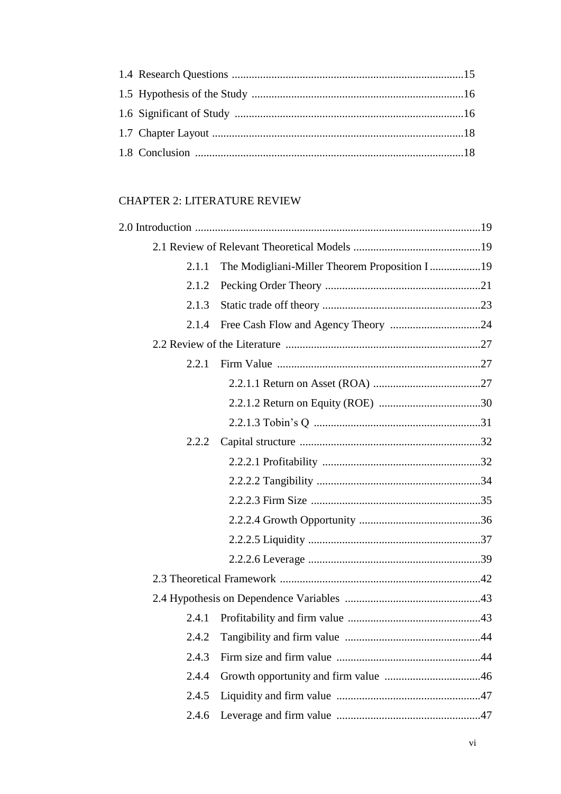### **CHAPTER 2: LITERATURE REVIEW**

| 2.1.1 | The Modigliani-Miller Theorem Proposition I19 |
|-------|-----------------------------------------------|
| 2.1.2 |                                               |
| 2.1.3 |                                               |
| 2.1.4 |                                               |
|       |                                               |
| 2.2.1 |                                               |
|       |                                               |
|       |                                               |
|       |                                               |
| 2.2.2 |                                               |
|       |                                               |
|       |                                               |
|       |                                               |
|       |                                               |
|       |                                               |
|       |                                               |
|       |                                               |
|       |                                               |
| 2.4.1 |                                               |
| 2.4.2 |                                               |
| 2.4.3 |                                               |
| 2.4.4 |                                               |
| 2.4.5 |                                               |
| 2.4.6 |                                               |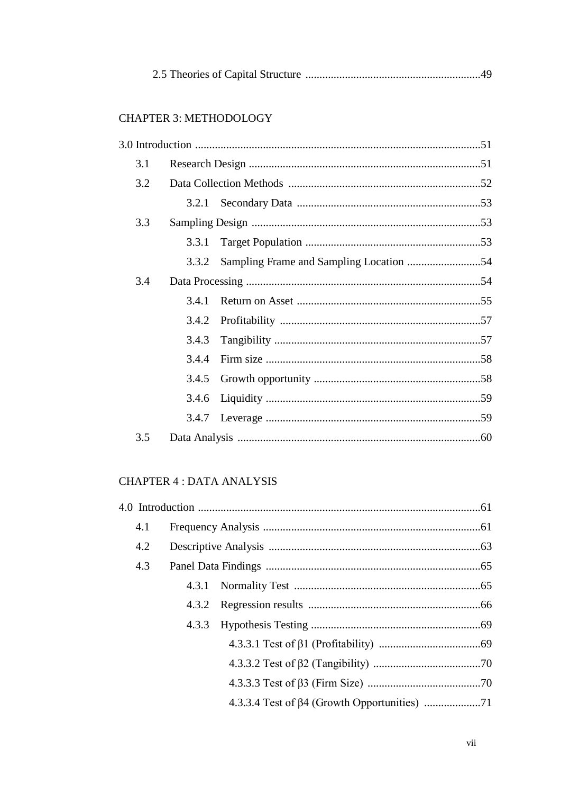|--|--|

#### **CHAPTER 3: METHODOLOGY**

| 3.1 |       |  |
|-----|-------|--|
| 3.2 |       |  |
|     | 3.2.1 |  |
| 3.3 |       |  |
|     | 3.3.1 |  |
|     | 3.3.2 |  |
| 3.4 |       |  |
|     | 3.4.1 |  |
|     | 3.4.2 |  |
|     | 3.4.3 |  |
|     | 3.4.4 |  |
|     | 3.4.5 |  |
|     | 3.4.6 |  |
|     |       |  |
| 3.5 |       |  |

### **CHAPTER 4 : DATA ANALYSIS**

| 4.1 |  |  |
|-----|--|--|
| 4.2 |  |  |
| 4.3 |  |  |
|     |  |  |
|     |  |  |
|     |  |  |
|     |  |  |
|     |  |  |
|     |  |  |
|     |  |  |
|     |  |  |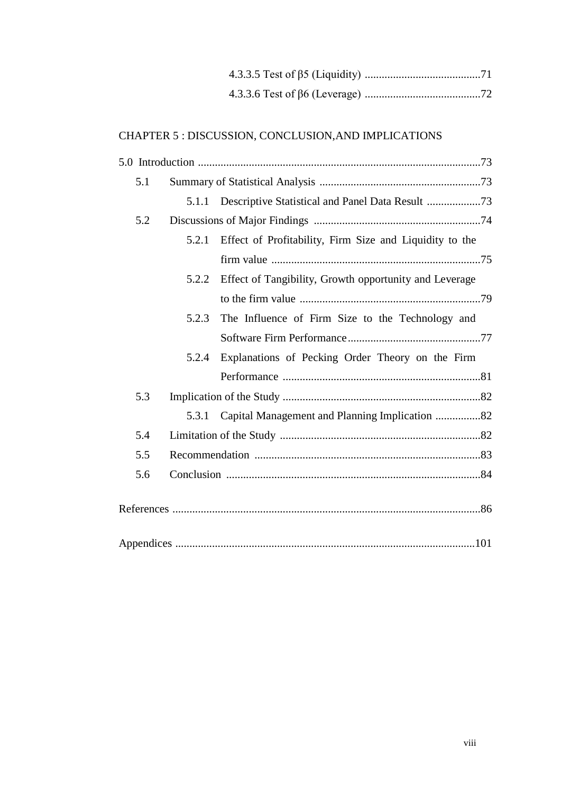#### CHAPTER 5 : DISCUSSION, CONCLUSION,AND IMPLICATIONS

| 5.1 |       |                                                         |  |
|-----|-------|---------------------------------------------------------|--|
|     | 5.1.1 |                                                         |  |
| 5.2 |       |                                                         |  |
|     | 5.2.1 | Effect of Profitability, Firm Size and Liquidity to the |  |
|     |       |                                                         |  |
|     | 5.2.2 | Effect of Tangibility, Growth opportunity and Leverage  |  |
|     |       |                                                         |  |
|     | 5.2.3 | The Influence of Firm Size to the Technology and        |  |
|     |       |                                                         |  |
|     | 5.2.4 | Explanations of Pecking Order Theory on the Firm        |  |
|     |       |                                                         |  |
| 5.3 |       |                                                         |  |
|     | 5.3.1 | Capital Management and Planning Implication 82          |  |
| 5.4 |       |                                                         |  |
| 5.5 |       |                                                         |  |
| 5.6 |       |                                                         |  |
|     |       |                                                         |  |
|     |       |                                                         |  |
|     |       |                                                         |  |
|     |       |                                                         |  |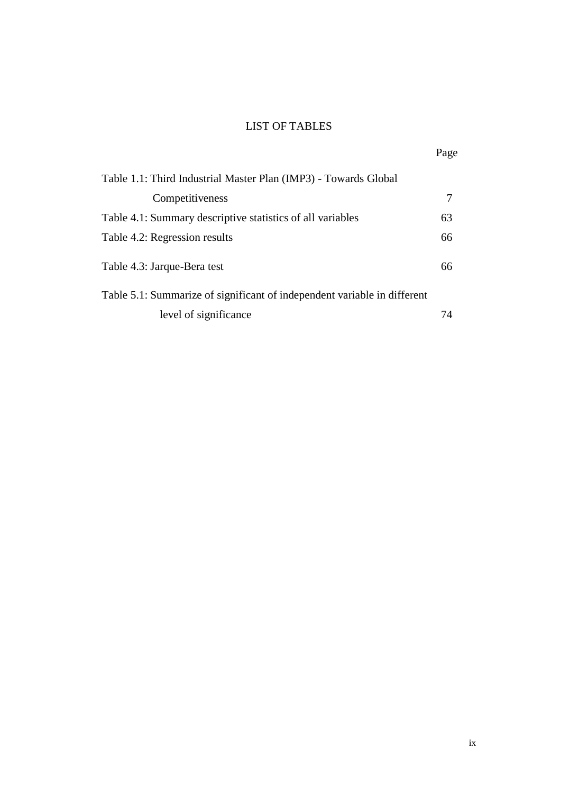#### LIST OF TABLES

| Table 1.1: Third Industrial Master Plan (IMP3) - Towards Global          |    |
|--------------------------------------------------------------------------|----|
| Competitiveness                                                          | 7  |
| Table 4.1: Summary descriptive statistics of all variables               | 63 |
| Table 4.2: Regression results                                            | 66 |
| Table 4.3: Jarque-Bera test                                              | 66 |
| Table 5.1: Summarize of significant of independent variable in different |    |
| level of significance                                                    | 74 |

Page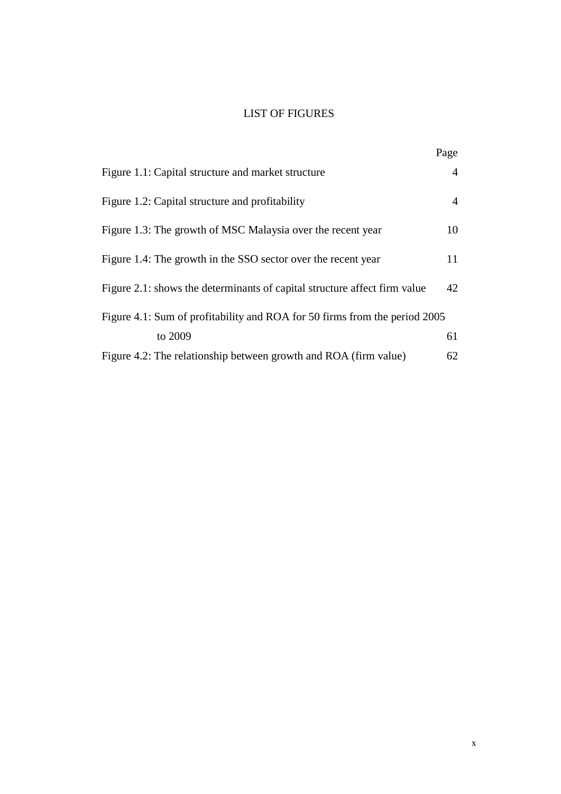#### LIST OF FIGURES

|                                                                            | Page           |
|----------------------------------------------------------------------------|----------------|
| Figure 1.1: Capital structure and market structure                         | $\overline{4}$ |
| Figure 1.2: Capital structure and profitability                            | $\overline{4}$ |
| Figure 1.3: The growth of MSC Malaysia over the recent year                | 10             |
| Figure 1.4: The growth in the SSO sector over the recent year              | 11             |
| Figure 2.1: shows the determinants of capital structure affect firm value  | 42             |
| Figure 4.1: Sum of profitability and ROA for 50 firms from the period 2005 |                |
| to 2009                                                                    | 61             |
| Figure 4.2: The relationship between growth and ROA (firm value)           | 62             |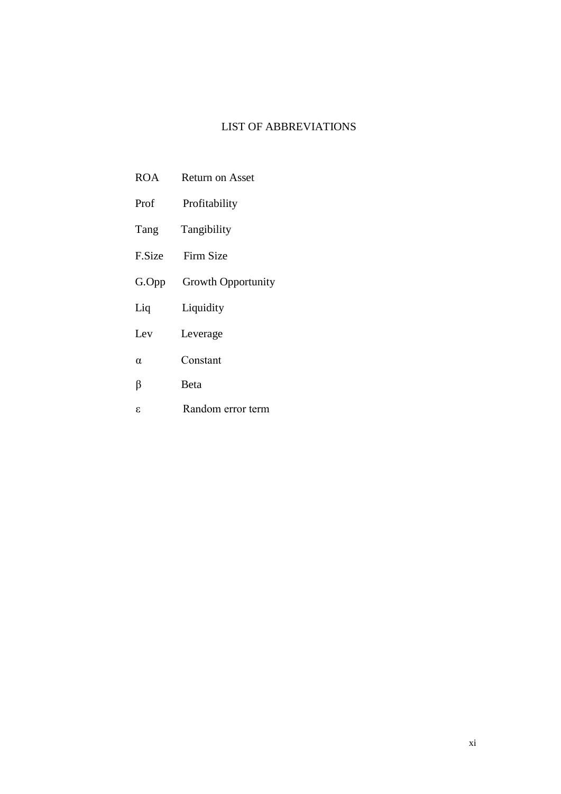#### LIST OF ABBREVIATIONS

- ROA Return on Asset
- Prof Profitability
- Tang Tangibility
- F.Size Firm Size
- G.Opp Growth Opportunity
- Liq Liquidity
- Lev Leverage
- α Constant
- β Beta
- ε Random error term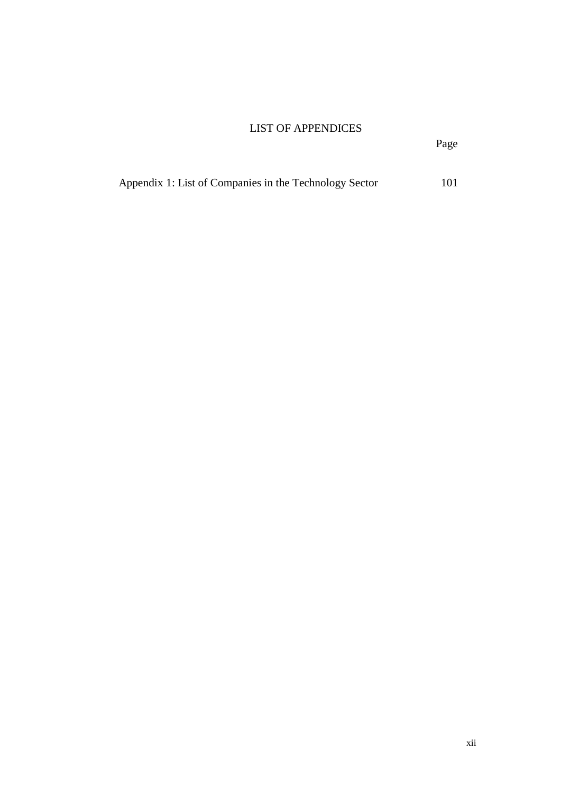#### LIST OF APPENDICES

|  |  | Appendix 1: List of Companies in the Technology Sector | 101 |
|--|--|--------------------------------------------------------|-----|
|  |  |                                                        |     |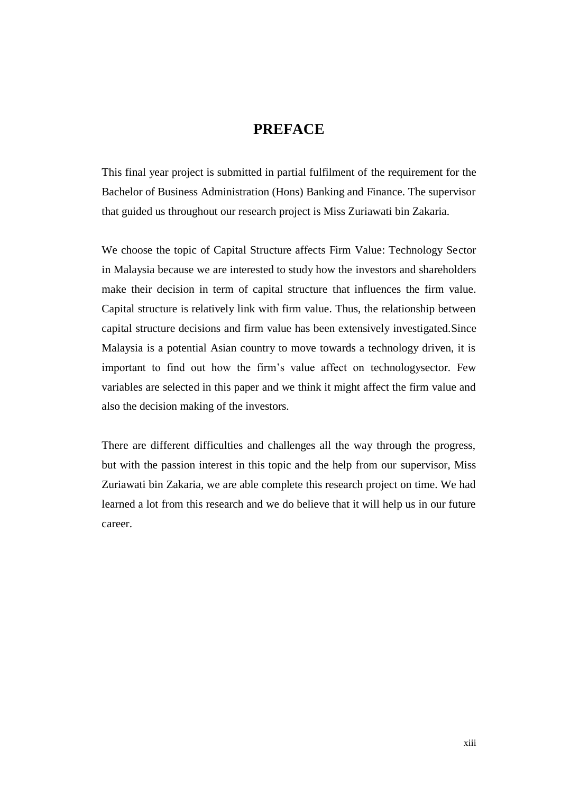### **PREFACE**

This final year project is submitted in partial fulfilment of the requirement for the Bachelor of Business Administration (Hons) Banking and Finance. The supervisor that guided us throughout our research project is Miss Zuriawati bin Zakaria.

We choose the topic of Capital Structure affects Firm Value: Technology Sector in Malaysia because we are interested to study how the investors and shareholders make their decision in term of capital structure that influences the firm value. Capital structure is relatively link with firm value. Thus, the relationship between capital structure decisions and firm value has been extensively investigated.Since Malaysia is a potential Asian country to move towards a technology driven, it is important to find out how the firm's value affect on technologysector. Few variables are selected in this paper and we think it might affect the firm value and also the decision making of the investors.

There are different difficulties and challenges all the way through the progress, but with the passion interest in this topic and the help from our supervisor, Miss Zuriawati bin Zakaria, we are able complete this research project on time. We had learned a lot from this research and we do believe that it will help us in our future career.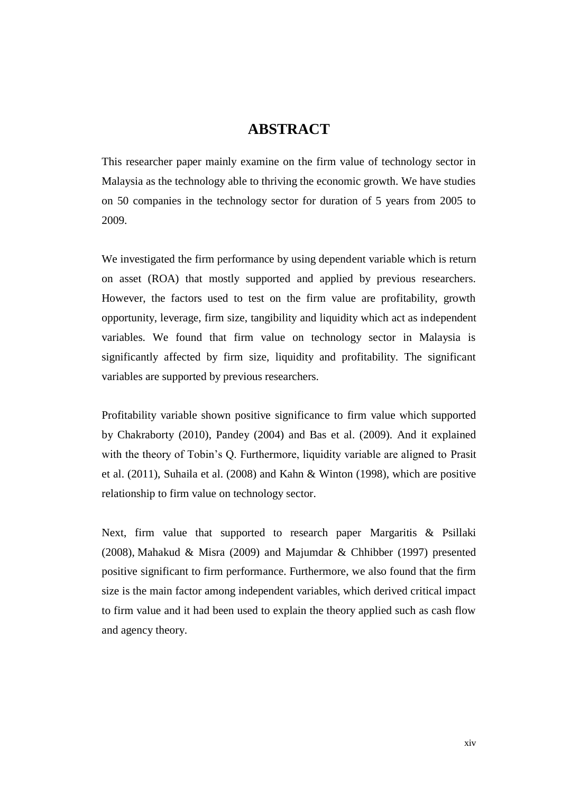### **ABSTRACT**

This researcher paper mainly examine on the firm value of technology sector in Malaysia as the technology able to thriving the economic growth. We have studies on 50 companies in the technology sector for duration of 5 years from 2005 to 2009.

We investigated the firm performance by using dependent variable which is return on asset (ROA) that mostly supported and applied by previous researchers. However, the factors used to test on the firm value are profitability, growth opportunity, leverage, firm size, tangibility and liquidity which act as independent variables. We found that firm value on technology sector in Malaysia is significantly affected by firm size, liquidity and profitability. The significant variables are supported by previous researchers.

Profitability variable shown positive significance to firm value which supported by Chakraborty (2010), Pandey (2004) and Bas et al. (2009). And it explained with the theory of Tobin's Q. Furthermore, liquidity variable are aligned to Prasit et al. (2011), Suhaila et al. (2008) and Kahn & Winton (1998), which are positive relationship to firm value on technology sector.

Next, firm value that supported to research paper Margaritis & Psillaki (2008), Mahakud & Misra (2009) and Majumdar & Chhibber (1997) presented positive significant to firm performance. Furthermore, we also found that the firm size is the main factor among independent variables, which derived critical impact to firm value and it had been used to explain the theory applied such as cash flow and agency theory.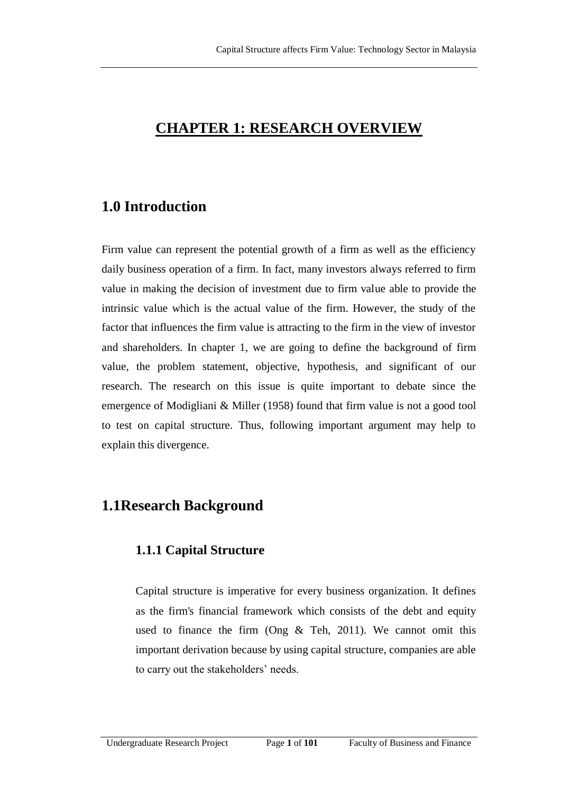## **CHAPTER 1: RESEARCH OVERVIEW**

## **1.0 Introduction**

Firm value can represent the potential growth of a firm as well as the efficiency daily business operation of a firm. In fact, many investors always referred to firm value in making the decision of investment due to firm value able to provide the intrinsic value which is the actual value of the firm. However, the study of the factor that influences the firm value is attracting to the firm in the view of investor and shareholders. In chapter 1, we are going to define the background of firm value, the problem statement, objective, hypothesis, and significant of our research. The research on this issue is quite important to debate since the emergence of Modigliani & Miller (1958) found that firm value is not a good tool to test on capital structure. Thus, following important argument may help to explain this divergence.

## **1.1Research Background**

### **1.1.1 Capital Structure**

Capital structure is imperative for every business organization. It defines as the firm's financial framework which consists of the debt and equity used to finance the firm (Ong & Teh, 2011). We cannot omit this important derivation because by using capital structure, companies are able to carry out the stakeholders' needs.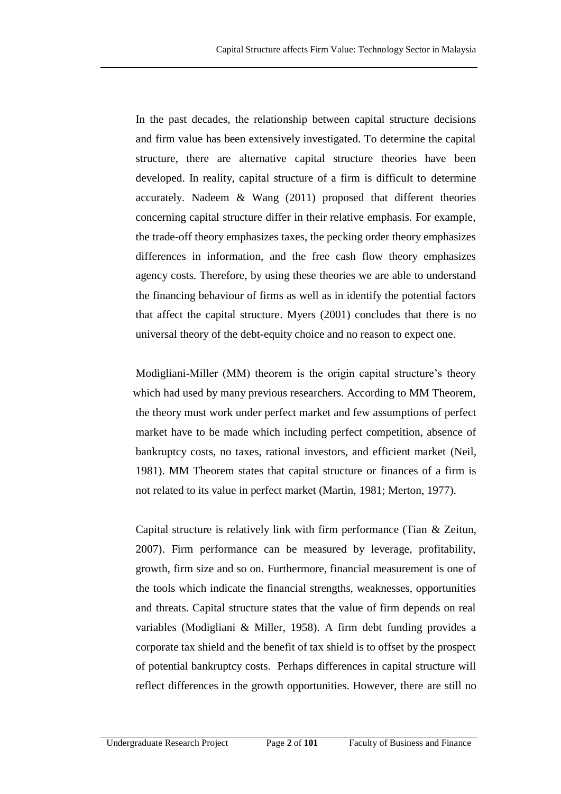In the past decades, the relationship between capital structure decisions and firm value has been extensively investigated. To determine the capital structure, there are alternative capital structure theories have been developed. In reality, capital structure of a firm is difficult to determine accurately. Nadeem & Wang (2011) proposed that different theories concerning capital structure differ in their relative emphasis. For example, the trade-off theory emphasizes taxes, the pecking order theory emphasizes differences in information, and the free cash flow theory emphasizes agency costs. Therefore, by using these theories we are able to understand the financing behaviour of firms as well as in identify the potential factors that affect the capital structure. Myers (2001) concludes that there is no universal theory of the debt*-*equity choice and no reason to expect one.

Modigliani-Miller (MM) theorem is the origin capital structure's theory which had used by many previous researchers. According to MM Theorem, the theory must work under perfect market and few assumptions of perfect market have to be made which including perfect competition, absence of bankruptcy costs, no taxes, rational investors, and efficient market (Neil, 1981). MM Theorem states that capital structure or finances of a firm is not related to its value in perfect market (Martin, 1981; Merton, 1977).

Capital structure is relatively link with firm performance (Tian & Zeitun, 2007). Firm performance can be measured by leverage, profitability, growth, firm size and so on. Furthermore, financial measurement is one of the tools which indicate the financial strengths, weaknesses, opportunities and threats. Capital structure states that the value of firm depends on real variables (Modigliani & Miller, 1958). A firm debt funding provides a corporate tax shield and the benefit of tax shield is to offset by the prospect of potential bankruptcy costs. Perhaps differences in capital structure will reflect differences in the growth opportunities. However, there are still no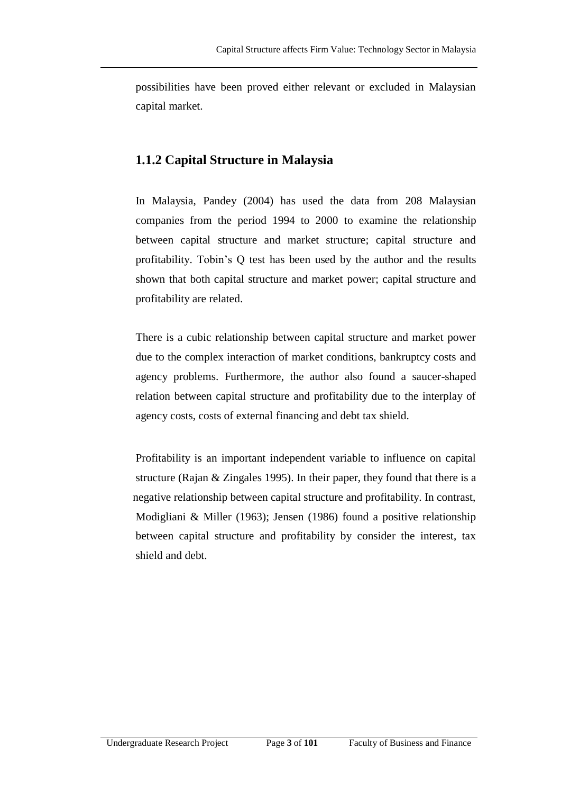possibilities have been proved either relevant or excluded in Malaysian capital market.

### **1.1.2 Capital Structure in Malaysia**

In Malaysia, Pandey (2004) has used the data from 208 Malaysian companies from the period 1994 to 2000 to examine the relationship between capital structure and market structure; capital structure and profitability. Tobin's Q test has been used by the author and the results shown that both capital structure and market power; capital structure and profitability are related.

There is a cubic relationship between capital structure and market power due to the complex interaction of market conditions, bankruptcy costs and agency problems. Furthermore, the author also found a saucer-shaped relation between capital structure and profitability due to the interplay of agency costs, costs of external financing and debt tax shield.

Profitability is an important independent variable to influence on capital structure (Rajan & Zingales 1995). In their paper, they found that there is a negative relationship between capital structure and profitability. In contrast, Modigliani & Miller (1963); Jensen (1986) found a positive relationship between capital structure and profitability by consider the interest, tax shield and debt.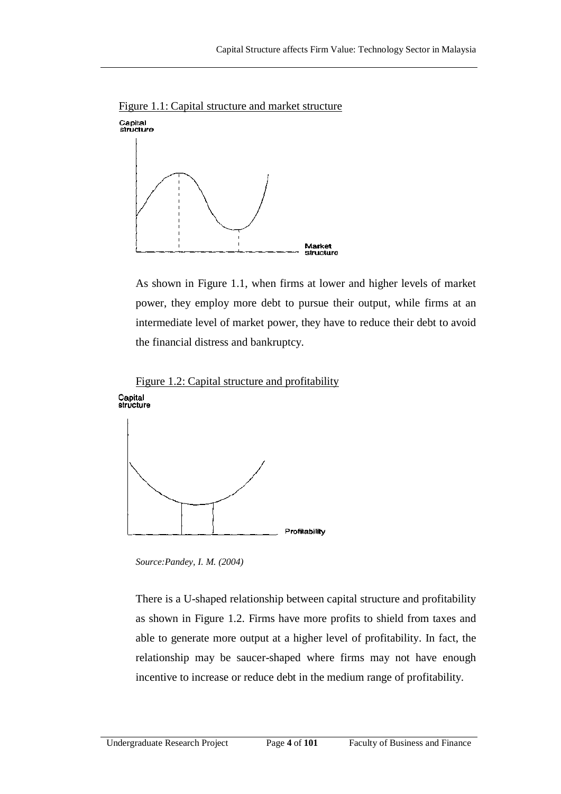

Figure 1.1: Capital structure and market structure

As shown in Figure 1.1, when firms at lower and higher levels of market power, they employ more debt to pursue their output, while firms at an intermediate level of market power, they have to reduce their debt to avoid the financial distress and bankruptcy.





*Source:Pandey, I. M. (2004)*

There is a U-shaped relationship between capital structure and profitability as shown in Figure 1.2. Firms have more profits to shield from taxes and able to generate more output at a higher level of profitability. In fact, the relationship may be saucer-shaped where firms may not have enough incentive to increase or reduce debt in the medium range of profitability.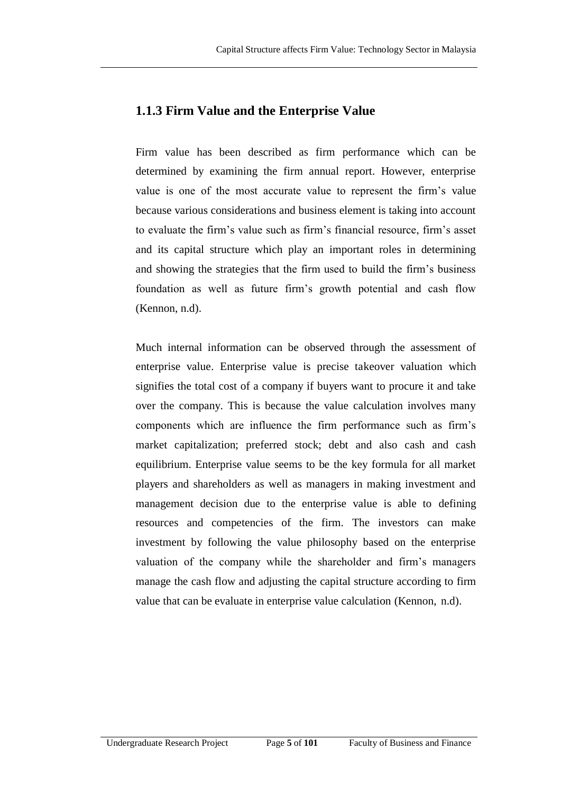#### **1.1.3 Firm Value and the Enterprise Value**

Firm value has been described as firm performance which can be determined by examining the firm annual report. However, enterprise value is one of the most accurate value to represent the firm's value because various considerations and business element is taking into account to evaluate the firm's value such as firm's financial resource, firm's asset and its capital structure which play an important roles in determining and showing the strategies that the firm used to build the firm's business foundation as well as future firm's growth potential and cash flow (Kennon, n.d).

Much internal information can be observed through the assessment of enterprise value. Enterprise value is precise takeover valuation which signifies the total cost of a company if buyers want to procure it and take over the company. This is because the value calculation involves many components which are influence the firm performance such as firm's market capitalization; preferred stock; debt and also cash and cash equilibrium. Enterprise value seems to be the key formula for all market players and shareholders as well as managers in making investment and management decision due to the enterprise value is able to defining resources and competencies of the firm. The investors can make investment by following the value philosophy based on the enterprise valuation of the company while the shareholder and firm's managers manage the cash flow and adjusting the capital structure according to firm value that can be evaluate in enterprise value calculation (Kennon, n.d).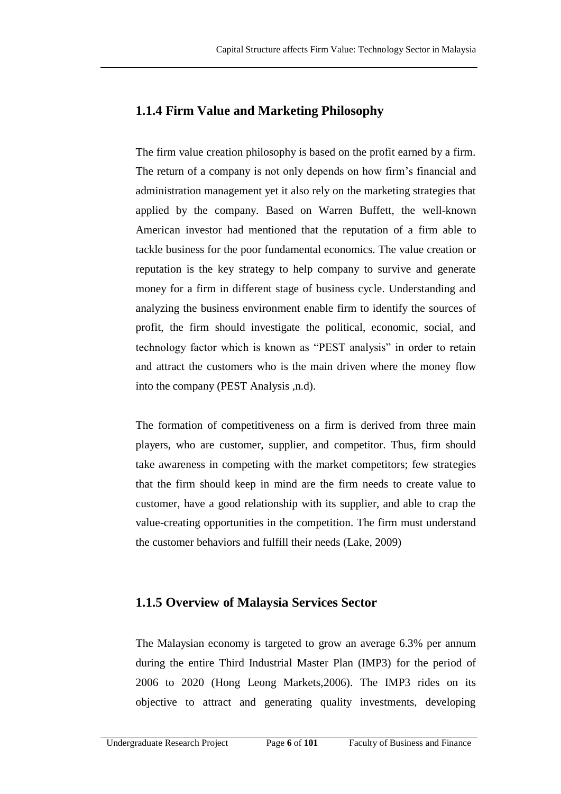### **1.1.4 Firm Value and Marketing Philosophy**

The firm value creation philosophy is based on the profit earned by a firm. The return of a company is not only depends on how firm's financial and administration management yet it also rely on the marketing strategies that applied by the company. Based on Warren Buffett, the well-known American investor had mentioned that the reputation of a firm able to tackle business for the poor fundamental economics. The value creation or reputation is the key strategy to help company to survive and generate money for a firm in different stage of business cycle. Understanding and analyzing the business environment enable firm to identify the sources of profit, the firm should investigate the political, economic, social, and technology factor which is known as "PEST analysis" in order to retain and attract the customers who is the main driven where the money flow into the company (PEST Analysis ,n.d).

The formation of competitiveness on a firm is derived from three main players, who are customer, supplier, and competitor. Thus, firm should take awareness in competing with the market competitors; few strategies that the firm should keep in mind are the firm needs to create value to customer, have a good relationship with its supplier, and able to crap the value-creating opportunities in the competition. The firm must understand the customer behaviors and fulfill their needs (Lake, 2009)

#### **1.1.5 Overview of Malaysia Services Sector**

The Malaysian economy is targeted to grow an average 6.3% per annum during the entire Third Industrial Master Plan (IMP3) for the period of 2006 to 2020 (Hong Leong Markets,2006). The IMP3 rides on its objective to attract and generating quality investments, developing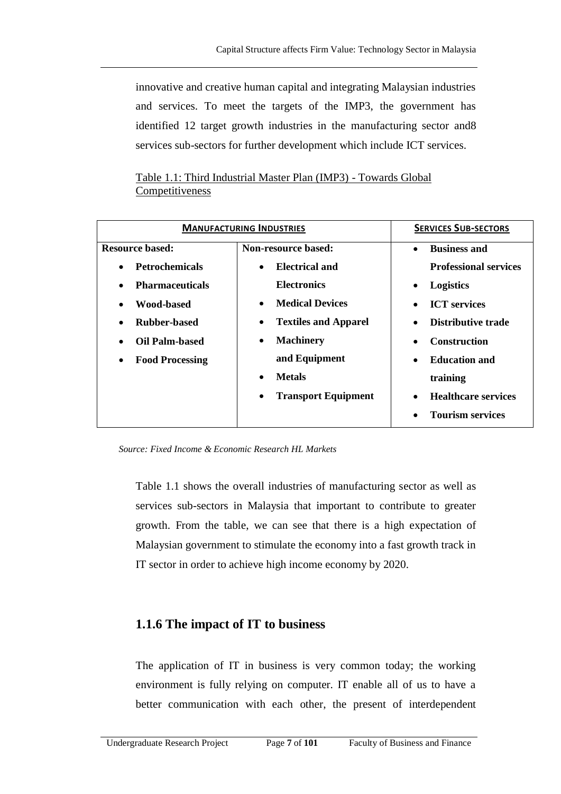innovative and creative human capital and integrating Malaysian industries and services. To meet the targets of the IMP3, the government has identified 12 target growth industries in the manufacturing sector and8 services sub-sectors for further development which include ICT services.

Table 1.1: Third Industrial Master Plan (IMP3) - Towards Global Competitiveness

| <b>MANUFACTURING INDUSTRIES</b>     | <b>SERVICES SUB-SECTORS</b>         |                                         |  |
|-------------------------------------|-------------------------------------|-----------------------------------------|--|
| <b>Resource based:</b>              | Non-resource based:                 | <b>Business and</b><br>$\bullet$        |  |
| <b>Petrochemicals</b><br>$\bullet$  | Electrical and<br>$\bullet$         | <b>Professional services</b>            |  |
| <b>Pharmaceuticals</b><br>$\bullet$ | <b>Electronics</b>                  | <b>Logistics</b><br>$\bullet$           |  |
| Wood-based<br>$\bullet$             | <b>Medical Devices</b><br>$\bullet$ | <b>ICT</b> services<br>$\bullet$        |  |
| Rubber-based<br>$\bullet$           | <b>Textiles and Apparel</b><br>٠    | Distributive trade<br>$\bullet$         |  |
| Oil Palm-based<br>$\bullet$         | <b>Machinery</b><br>٠               | <b>Construction</b><br>$\bullet$        |  |
| <b>Food Processing</b><br>$\bullet$ | and Equipment                       | <b>Education and</b><br>$\bullet$       |  |
|                                     | <b>Metals</b><br>$\bullet$          | training                                |  |
|                                     | <b>Transport Equipment</b><br>٠     | <b>Healthcare services</b><br>$\bullet$ |  |
|                                     |                                     | <b>Tourism services</b>                 |  |

*Source: Fixed Income & Economic Research HL Markets*

Table 1.1 shows the overall industries of manufacturing sector as well as services sub-sectors in Malaysia that important to contribute to greater growth. From the table, we can see that there is a high expectation of Malaysian government to stimulate the economy into a fast growth track in IT sector in order to achieve high income economy by 2020.

#### **1.1.6 The impact of IT to business**

The application of IT in business is very common today; the working environment is fully relying on computer. IT enable all of us to have a better communication with each other, the present of interdependent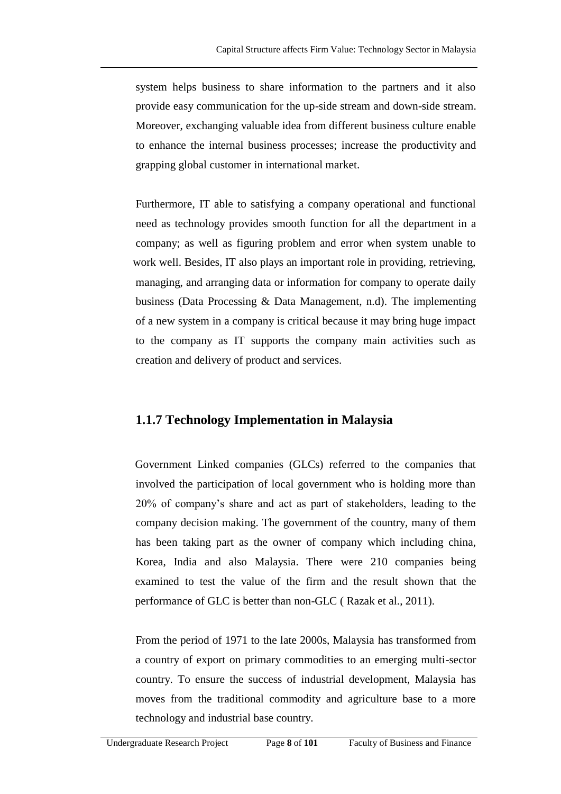system helps business to share information to the partners and it also provide easy communication for the up-side stream and down-side stream. Moreover, exchanging valuable idea from different business culture enable to enhance the internal business processes; increase the productivity and grapping global customer in international market.

Furthermore, IT able to satisfying a company operational and functional need as technology provides smooth function for all the department in a company; as well as figuring problem and error when system unable to work well. Besides, IT also plays an important role in providing, retrieving, managing, and arranging data or information for company to operate daily business (Data Processing & Data Management, n.d). The implementing of a new system in a company is critical because it may bring huge impact to the company as IT supports the company main activities such as creation and delivery of product and services.

### **1.1.7 Technology Implementation in Malaysia**

Government Linked companies (GLCs) referred to the companies that involved the participation of local government who is holding more than 20% of company's share and act as part of stakeholders, leading to the company decision making. The government of the country, many of them has been taking part as the owner of company which including china, Korea, India and also Malaysia. There were 210 companies being examined to test the value of the firm and the result shown that the performance of GLC is better than non-GLC ( Razak et al., 2011).

From the period of 1971 to the late 2000s, Malaysia has transformed from a country of export on primary commodities to an emerging multi-sector country. To ensure the success of industrial development, Malaysia has moves from the traditional commodity and agriculture base to a more technology and industrial base country.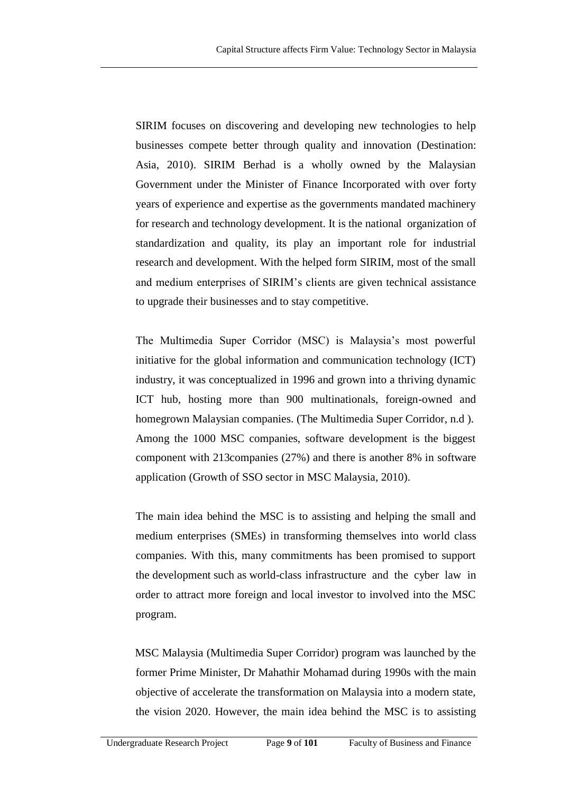SIRIM focuses on discovering and developing new technologies to help businesses compete better through quality and innovation (Destination: Asia, 2010). SIRIM Berhad is a wholly owned by the Malaysian Government under the Minister of Finance Incorporated with over forty years of experience and expertise as the governments mandated machinery for research and technology development. It is the national organization of standardization and quality, its play an important role for industrial research and development. With the helped form SIRIM, most of the small and medium enterprises of SIRIM's clients are given technical assistance to upgrade their businesses and to stay competitive.

The Multimedia Super Corridor (MSC) is Malaysia's most powerful initiative for the global information and communication technology (ICT) industry, it was conceptualized in 1996 and grown into a thriving dynamic ICT hub, hosting more than 900 multinationals, foreign-owned and homegrown Malaysian companies. (The Multimedia Super Corridor, n.d ). Among the 1000 MSC companies, software development is the biggest component with 213companies (27%) and there is another 8% in software application (Growth of SSO sector in MSC Malaysia, 2010).

The main idea behind the MSC is to assisting and helping the small and medium enterprises (SMEs) in transforming themselves into world class companies. With this, many commitments has been promised to support the development such as world-class infrastructure and the cyber law in order to attract more foreign and local investor to involved into the MSC program.

MSC Malaysia (Multimedia Super Corridor) program was launched by the former Prime Minister, Dr Mahathir Mohamad during 1990s with the main objective of accelerate the transformation on Malaysia into a modern state, the vision 2020. However, the main idea behind the MSC is to assisting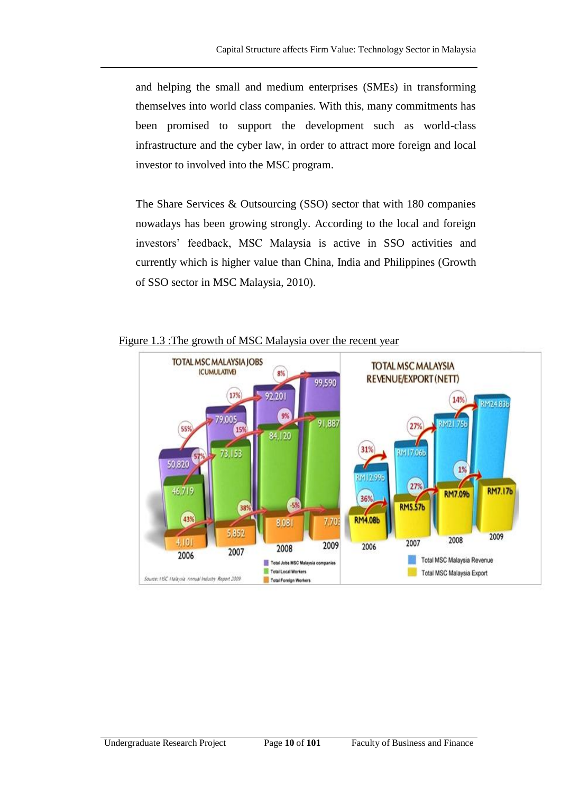and helping the small and medium enterprises (SMEs) in transforming themselves into world class companies. With this, many commitments has been promised to support the development such as world-class infrastructure and the cyber law, in order to attract more foreign and local investor to involved into the MSC program.

The Share Services & Outsourcing (SSO) sector that with 180 companies nowadays has been growing strongly. According to the local and foreign investors' feedback, MSC Malaysia is active in SSO activities and currently which is higher value than China, India and Philippines (Growth of SSO sector in MSC Malaysia, 2010).



Figure 1.3 :The growth of MSC Malaysia over the recent year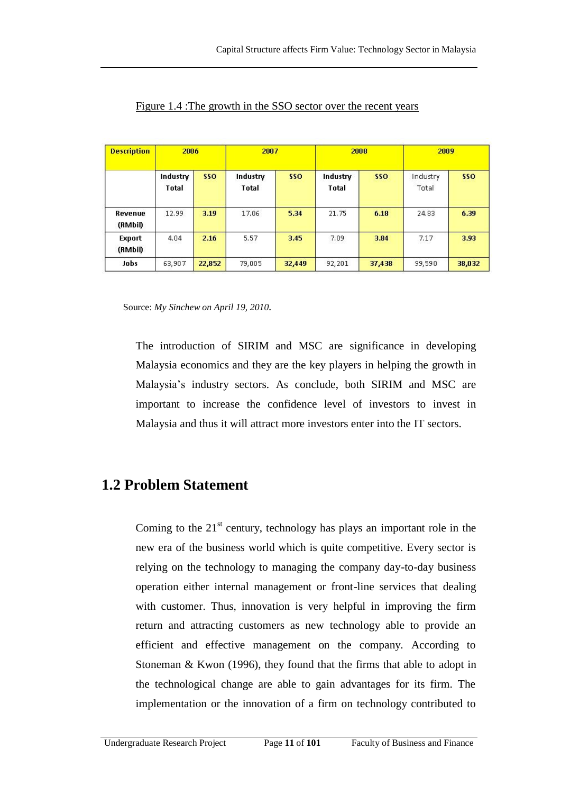| <b>Description</b> | 2006                     |        | 2007                     |            | 2008                     |            | 2009              |        |
|--------------------|--------------------------|--------|--------------------------|------------|--------------------------|------------|-------------------|--------|
|                    | Industry<br><b>Total</b> | sso    | Industry<br><b>Total</b> | <b>SSO</b> | Industry<br><b>Total</b> | <b>SSO</b> | Industry<br>Total | sso    |
| Revenue<br>(RMbil) | 12.99                    | 3.19   | 17.06                    | 5.34       | 21.75                    | 6.18       | 24.83             | 6.39   |
| Export<br>(RMbil)  | 4.04                     | 2.16   | 5.57                     | 3.45       | 7.09                     | 3.84       | 7.17              | 3.93   |
| Jobs               | 63,907                   | 22,852 | 79,005                   | 32,449     | 92,201                   | 37,438     | 99,590            | 38,032 |

Figure 1.4 :The growth in the SSO sector over the recent years

Source: *My Sinchew on April 19, 2010.*

The introduction of SIRIM and MSC are significance in developing Malaysia economics and they are the key players in helping the growth in Malaysia's industry sectors. As conclude, both SIRIM and MSC are important to increase the confidence level of investors to invest in Malaysia and thus it will attract more investors enter into the IT sectors.

## **1.2 Problem Statement**

Coming to the  $21<sup>st</sup>$  century, technology has plays an important role in the new era of the business world which is quite competitive. Every sector is relying on the technology to managing the company day-to-day business operation either internal management or front-line services that dealing with customer. Thus, innovation is very helpful in improving the firm return and attracting customers as new technology able to provide an efficient and effective management on the company. According to Stoneman & Kwon (1996), they found that the firms that able to adopt in the technological change are able to gain advantages for its firm. The implementation or the innovation of a firm on technology contributed to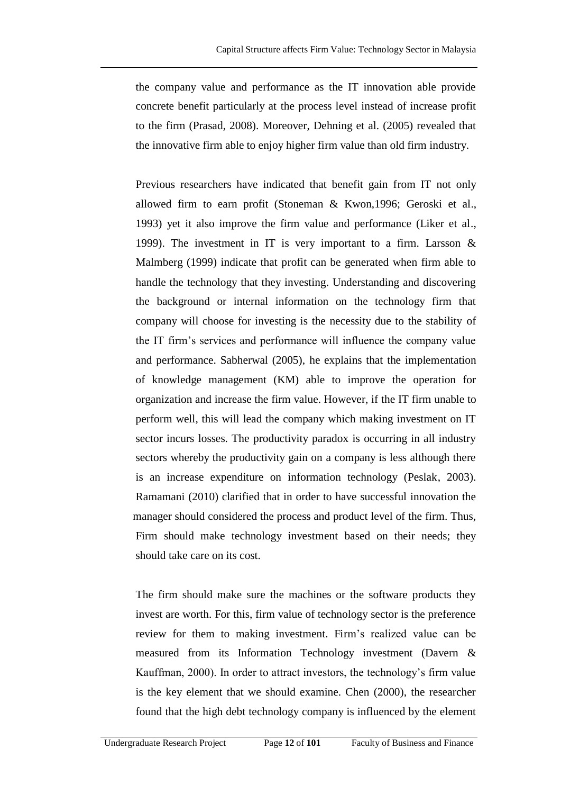the company value and performance as the IT innovation able provide concrete benefit particularly at the process level instead of increase profit to the firm (Prasad, 2008). Moreover, Dehning et al. (2005) revealed that the innovative firm able to enjoy higher firm value than old firm industry.

Previous researchers have indicated that benefit gain from IT not only allowed firm to earn profit (Stoneman & Kwon,1996; Geroski et al., 1993) yet it also improve the firm value and performance (Liker et al., 1999). The investment in IT is very important to a firm. Larsson & Malmberg (1999) indicate that profit can be generated when firm able to handle the technology that they investing. Understanding and discovering the background or internal information on the technology firm that company will choose for investing is the necessity due to the stability of the IT firm's services and performance will influence the company value and performance. Sabherwal (2005), he explains that the implementation of knowledge management (KM) able to improve the operation for organization and increase the firm value. However, if the IT firm unable to perform well, this will lead the company which making investment on IT sector incurs losses. The productivity paradox is occurring in all industry sectors whereby the productivity gain on a company is less although there is an increase expenditure on information technology (Peslak, 2003). Ramamani (2010) clarified that in order to have successful innovation the manager should considered the process and product level of the firm. Thus, Firm should make technology investment based on their needs; they should take care on its cost.

The firm should make sure the machines or the software products they invest are worth. For this, firm value of technology sector is the preference review for them to making investment. Firm's realized value can be measured from its Information Technology investment (Davern & Kauffman, 2000). In order to attract investors, the technology's firm value is the key element that we should examine. Chen (2000), the researcher found that the high debt technology company is influenced by the element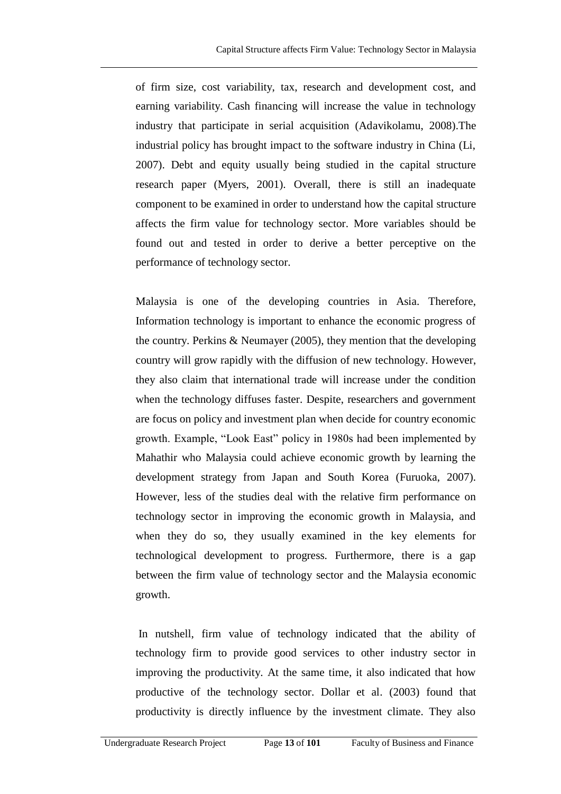of firm size, cost variability, tax, research and development cost, and earning variability. Cash financing will increase the value in technology industry that participate in serial acquisition (Adavikolamu, 2008).The industrial policy has brought impact to the software industry in China (Li, 2007). Debt and equity usually being studied in the capital structure research paper (Myers, 2001). Overall, there is still an inadequate component to be examined in order to understand how the capital structure affects the firm value for technology sector. More variables should be found out and tested in order to derive a better perceptive on the performance of technology sector.

Malaysia is one of the developing countries in Asia. Therefore, Information technology is important to enhance the economic progress of the country. Perkins & Neumayer (2005), they mention that the developing country will grow rapidly with the diffusion of new technology. However, they also claim that international trade will increase under the condition when the technology diffuses faster. Despite, researchers and government are focus on policy and investment plan when decide for country economic growth. Example, "Look East" policy in 1980s had been implemented by Mahathir who Malaysia could achieve economic growth by learning the development strategy from Japan and South Korea (Furuoka, 2007). However, less of the studies deal with the relative firm performance on technology sector in improving the economic growth in Malaysia, and when they do so, they usually examined in the key elements for technological development to progress. Furthermore, there is a gap between the firm value of technology sector and the Malaysia economic growth.

In nutshell, firm value of technology indicated that the ability of technology firm to provide good services to other industry sector in improving the productivity. At the same time, it also indicated that how productive of the technology sector. Dollar et al. (2003) found that productivity is directly influence by the investment climate. They also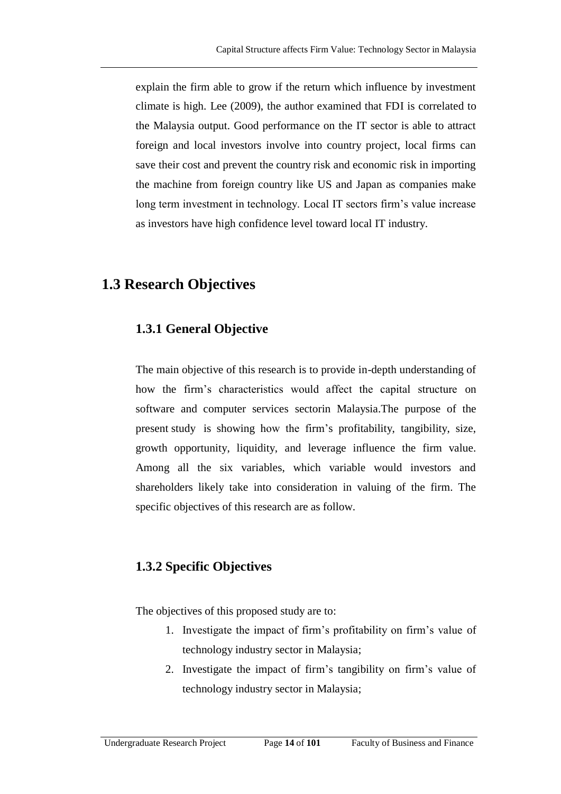explain the firm able to grow if the return which influence by investment climate is high. Lee (2009), the author examined that FDI is correlated to the Malaysia output. Good performance on the IT sector is able to attract foreign and local investors involve into country project, local firms can save their cost and prevent the country risk and economic risk in importing the machine from foreign country like US and Japan as companies make long term investment in technology. Local IT sectors firm's value increase as investors have high confidence level toward local IT industry.

## **1.3 Research Objectives**

### **1.3.1 General Objective**

The main objective of this research is to provide in-depth understanding of how the firm's characteristics would affect the capital structure on software and computer services sectorin Malaysia.The purpose of the present study is showing how the firm's profitability, tangibility, size, growth opportunity, liquidity, and leverage influence the firm value. Among all the six variables, which variable would investors and shareholders likely take into consideration in valuing of the firm. The specific objectives of this research are as follow.

### **1.3.2 Specific Objectives**

The objectives of this proposed study are to:

- 1. Investigate the impact of firm's profitability on firm's value of technology industry sector in Malaysia;
- 2. Investigate the impact of firm's tangibility on firm's value of technology industry sector in Malaysia;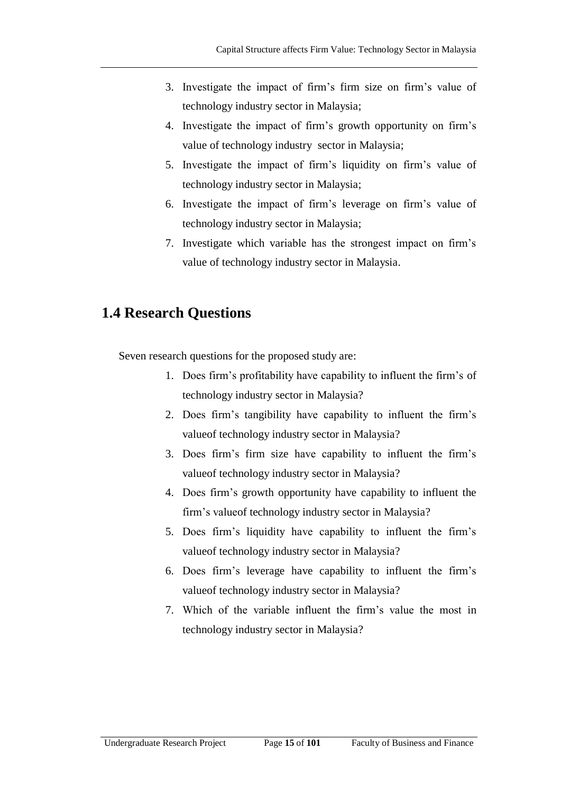- 3. Investigate the impact of firm's firm size on firm's value of technology industry sector in Malaysia;
- 4. Investigate the impact of firm's growth opportunity on firm's value of technology industry sector in Malaysia;
- 5. Investigate the impact of firm's liquidity on firm's value of technology industry sector in Malaysia;
- 6. Investigate the impact of firm's leverage on firm's value of technology industry sector in Malaysia;
- 7. Investigate which variable has the strongest impact on firm's value of technology industry sector in Malaysia.

## **1.4 Research Questions**

Seven research questions for the proposed study are:

- 1. Does firm's profitability have capability to influent the firm's of technology industry sector in Malaysia?
- 2. Does firm's tangibility have capability to influent the firm's valueof technology industry sector in Malaysia?
- 3. Does firm's firm size have capability to influent the firm's valueof technology industry sector in Malaysia?
- 4. Does firm's growth opportunity have capability to influent the firm's valueof technology industry sector in Malaysia?
- 5. Does firm's liquidity have capability to influent the firm's valueof technology industry sector in Malaysia?
- 6. Does firm's leverage have capability to influent the firm's valueof technology industry sector in Malaysia?
- 7. Which of the variable influent the firm's value the most in technology industry sector in Malaysia?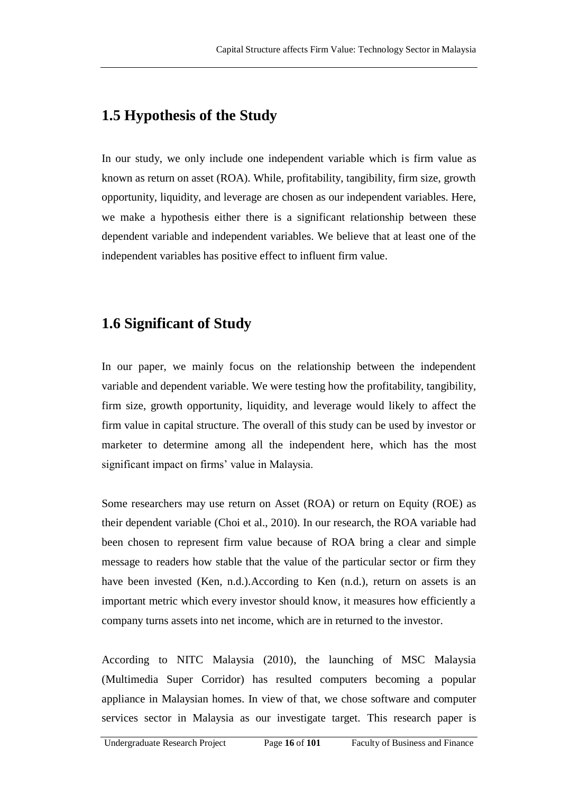## **1.5 Hypothesis of the Study**

In our study, we only include one independent variable which is firm value as known as return on asset (ROA). While, profitability, tangibility, firm size, growth opportunity, liquidity, and leverage are chosen as our independent variables. Here, we make a hypothesis either there is a significant relationship between these dependent variable and independent variables. We believe that at least one of the independent variables has positive effect to influent firm value.

## **1.6 Significant of Study**

In our paper, we mainly focus on the relationship between the independent variable and dependent variable. We were testing how the profitability, tangibility, firm size, growth opportunity, liquidity, and leverage would likely to affect the firm value in capital structure. The overall of this study can be used by investor or marketer to determine among all the independent here, which has the most significant impact on firms' value in Malaysia.

Some researchers may use return on Asset (ROA) or return on Equity (ROE) as their dependent variable (Choi et al., 2010). In our research, the ROA variable had been chosen to represent firm value because of ROA bring a clear and simple message to readers how stable that the value of the particular sector or firm they have been invested (Ken, n.d.).According to Ken (n.d.), return on assets is an important metric which every investor should know, it measures how efficiently a company turns assets into net income, which are in returned to the investor.

According to NITC Malaysia (2010), the launching of MSC Malaysia (Multimedia Super Corridor) has resulted computers becoming a popular appliance in Malaysian homes. In view of that, we chose software and computer services sector in Malaysia as our investigate target. This research paper is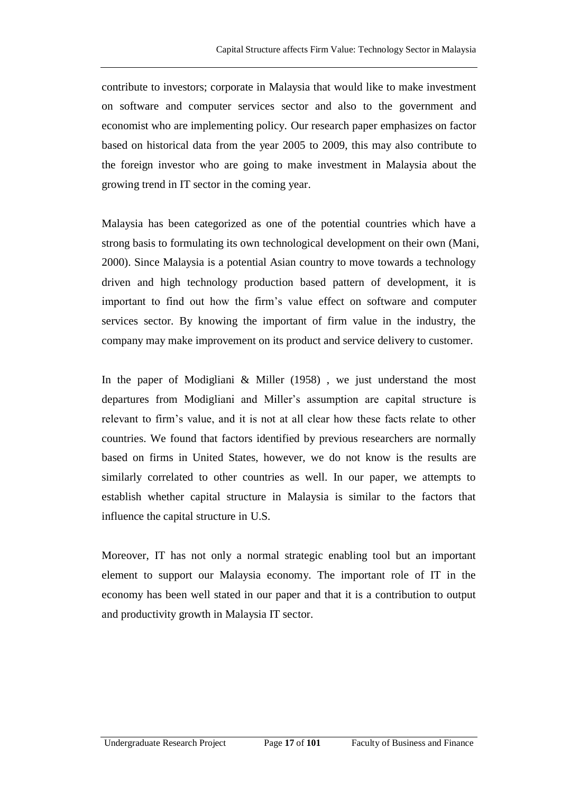contribute to investors; corporate in Malaysia that would like to make investment on software and computer services sector and also to the government and economist who are implementing policy. Our research paper emphasizes on factor based on historical data from the year 2005 to 2009, this may also contribute to the foreign investor who are going to make investment in Malaysia about the growing trend in IT sector in the coming year.

Malaysia has been categorized as one of the potential countries which have a strong basis to formulating its own technological development on their own (Mani, 2000). Since Malaysia is a potential Asian country to move towards a technology driven and high technology production based pattern of development, it is important to find out how the firm's value effect on software and computer services sector. By knowing the important of firm value in the industry, the company may make improvement on its product and service delivery to customer.

In the paper of Modigliani & Miller (1958) , we just understand the most departures from Modigliani and Miller's assumption are capital structure is relevant to firm's value, and it is not at all clear how these facts relate to other countries. We found that factors identified by previous researchers are normally based on firms in United States, however, we do not know is the results are similarly correlated to other countries as well. In our paper, we attempts to establish whether capital structure in Malaysia is similar to the factors that influence the capital structure in U.S.

Moreover, IT has not only a normal strategic enabling tool but an important element to support our Malaysia economy. The important role of IT in the economy has been well stated in our paper and that it is a contribution to output and productivity growth in Malaysia IT sector.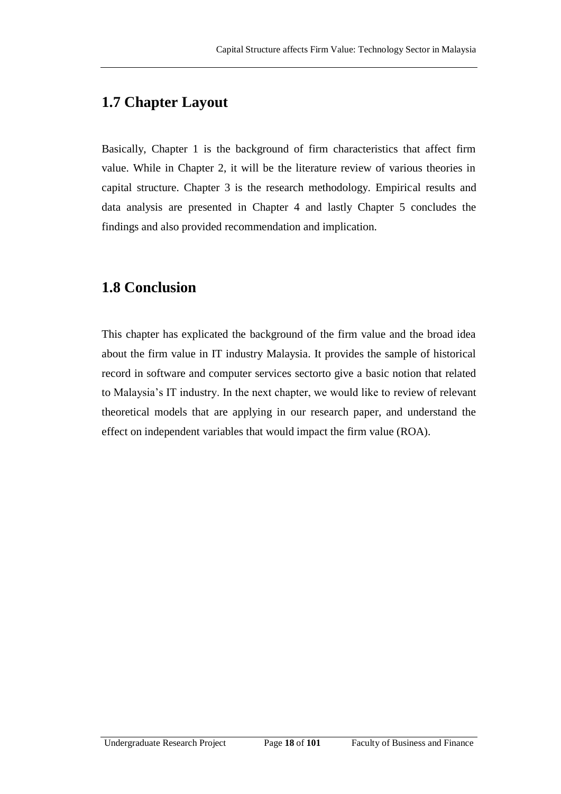## **1.7 Chapter Layout**

Basically, Chapter 1 is the background of firm characteristics that affect firm value. While in Chapter 2, it will be the literature review of various theories in capital structure. Chapter 3 is the research methodology. Empirical results and data analysis are presented in Chapter 4 and lastly Chapter 5 concludes the findings and also provided recommendation and implication.

## **1.8 Conclusion**

This chapter has explicated the background of the firm value and the broad idea about the firm value in IT industry Malaysia. It provides the sample of historical record in software and computer services sectorto give a basic notion that related to Malaysia's IT industry. In the next chapter, we would like to review of relevant theoretical models that are applying in our research paper, and understand the effect on independent variables that would impact the firm value (ROA).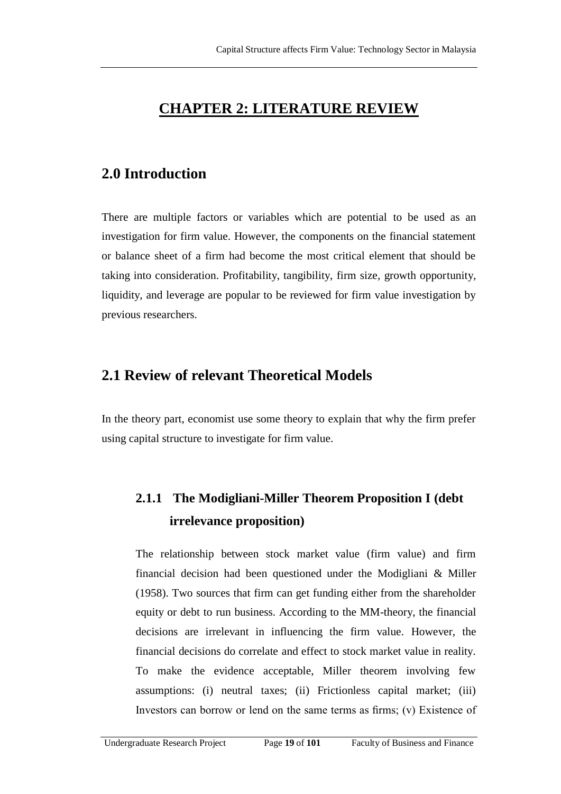## **CHAPTER 2: LITERATURE REVIEW**

## **2.0 Introduction**

There are multiple factors or variables which are potential to be used as an investigation for firm value. However, the components on the financial statement or balance sheet of a firm had become the most critical element that should be taking into consideration. Profitability, tangibility, firm size, growth opportunity, liquidity, and leverage are popular to be reviewed for firm value investigation by previous researchers.

## **2.1 Review of relevant Theoretical Models**

In the theory part, economist use some theory to explain that why the firm prefer using capital structure to investigate for firm value.

# **2.1.1 The Modigliani-Miller Theorem Proposition I (debt irrelevance proposition)**

The relationship between stock market value (firm value) and firm financial decision had been questioned under the Modigliani & Miller (1958). Two sources that firm can get funding either from the shareholder equity or debt to run business. According to the MM-theory, the financial decisions are irrelevant in influencing the firm value. However, the financial decisions do correlate and effect to stock market value in reality. To make the evidence acceptable, Miller theorem involving few assumptions: (i) neutral taxes; (ii) Frictionless capital market; (iii) Investors can borrow or lend on the same terms as firms; (v) Existence of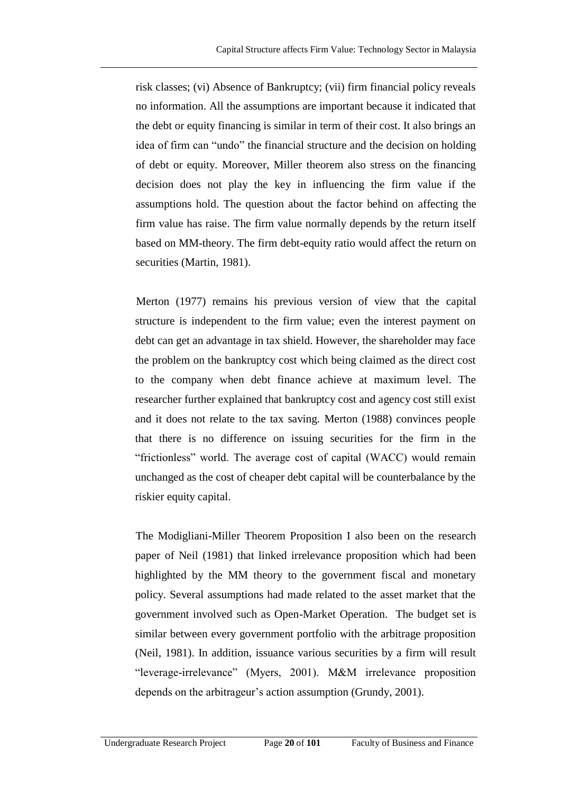risk classes; (vi) Absence of Bankruptcy; (vii) firm financial policy reveals no information. All the assumptions are important because it indicated that the debt or equity financing is similar in term of their cost. It also brings an idea of firm can "undo" the financial structure and the decision on holding of debt or equity. Moreover, Miller theorem also stress on the financing decision does not play the key in influencing the firm value if the assumptions hold. The question about the factor behind on affecting the firm value has raise. The firm value normally depends by the return itself based on MM-theory. The firm debt-equity ratio would affect the return on securities (Martin, 1981).

 Merton (1977) remains his previous version of view that the capital structure is independent to the firm value; even the interest payment on debt can get an advantage in tax shield. However, the shareholder may face the problem on the bankruptcy cost which being claimed as the direct cost to the company when debt finance achieve at maximum level. The researcher further explained that bankruptcy cost and agency cost still exist and it does not relate to the tax saving. Merton (1988) convinces people that there is no difference on issuing securities for the firm in the "frictionless" world. The average cost of capital (WACC) would remain unchanged as the cost of cheaper debt capital will be counterbalance by the riskier equity capital.

The Modigliani-Miller Theorem Proposition I also been on the research paper of Neil (1981) that linked irrelevance proposition which had been highlighted by the MM theory to the government fiscal and monetary policy. Several assumptions had made related to the asset market that the government involved such as Open-Market Operation. The budget set is similar between every government portfolio with the arbitrage proposition (Neil, 1981). In addition, issuance various securities by a firm will result "leverage-irrelevance" (Myers, 2001). M&M irrelevance proposition depends on the arbitrageur's action assumption (Grundy, 2001).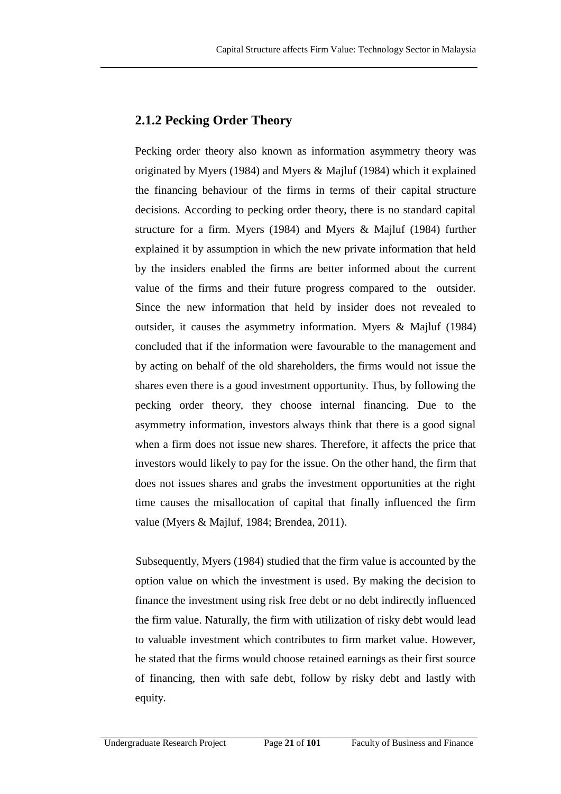### **2.1.2 Pecking Order Theory**

Pecking order theory also known as information asymmetry theory was originated by Myers (1984) and Myers & Majluf (1984) which it explained the financing behaviour of the firms in terms of their capital structure decisions. According to pecking order theory, there is no standard capital structure for a firm. Myers (1984) and Myers & Majluf (1984) further explained it by assumption in which the new private information that held by the insiders enabled the firms are better informed about the current value of the firms and their future progress compared to the outsider. Since the new information that held by insider does not revealed to outsider, it causes the asymmetry information. Myers & Majluf (1984) concluded that if the information were favourable to the management and by acting on behalf of the old shareholders, the firms would not issue the shares even there is a good investment opportunity. Thus, by following the pecking order theory, they choose internal financing. Due to the asymmetry information, investors always think that there is a good signal when a firm does not issue new shares. Therefore, it affects the price that investors would likely to pay for the issue. On the other hand, the firm that does not issues shares and grabs the investment opportunities at the right time causes the misallocation of capital that finally influenced the firm value (Myers & Majluf, 1984; Brendea, 2011).

Subsequently, Myers (1984) studied that the firm value is accounted by the option value on which the investment is used. By making the decision to finance the investment using risk free debt or no debt indirectly influenced the firm value. Naturally, the firm with utilization of risky debt would lead to valuable investment which contributes to firm market value. However, he stated that the firms would choose retained earnings as their first source of financing, then with safe debt, follow by risky debt and lastly with equity.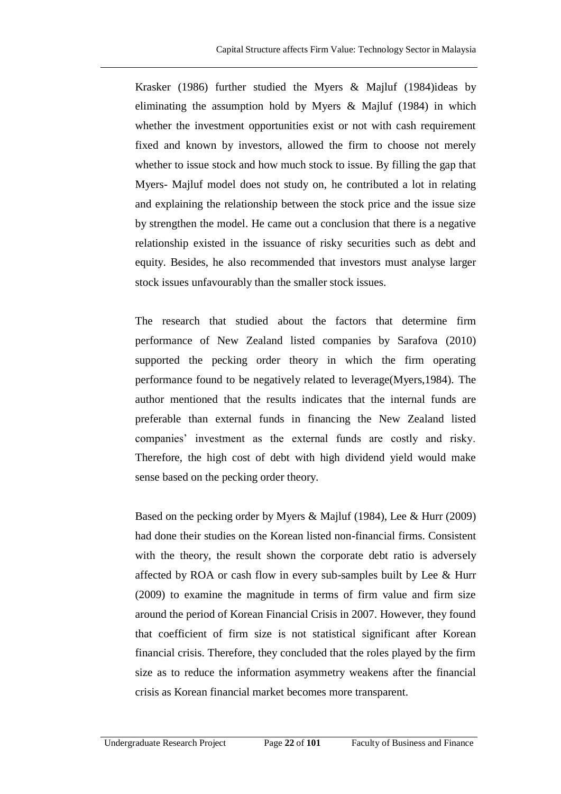Krasker (1986) further studied the Myers & Majluf (1984)ideas by eliminating the assumption hold by Myers & Majluf (1984) in which whether the investment opportunities exist or not with cash requirement fixed and known by investors, allowed the firm to choose not merely whether to issue stock and how much stock to issue. By filling the gap that Myers- Majluf model does not study on, he contributed a lot in relating and explaining the relationship between the stock price and the issue size by strengthen the model. He came out a conclusion that there is a negative relationship existed in the issuance of risky securities such as debt and equity. Besides, he also recommended that investors must analyse larger stock issues unfavourably than the smaller stock issues.

The research that studied about the factors that determine firm performance of New Zealand listed companies by Sarafova (2010) supported the pecking order theory in which the firm operating performance found to be negatively related to leverage(Myers,1984). The author mentioned that the results indicates that the internal funds are preferable than external funds in financing the New Zealand listed companies' investment as the external funds are costly and risky. Therefore, the high cost of debt with high dividend yield would make sense based on the pecking order theory.

Based on the pecking order by Myers & Majluf (1984), Lee & Hurr (2009) had done their studies on the Korean listed non-financial firms. Consistent with the theory, the result shown the corporate debt ratio is adversely affected by ROA or cash flow in every sub-samples built by Lee & Hurr (2009) to examine the magnitude in terms of firm value and firm size around the period of Korean Financial Crisis in 2007. However, they found that coefficient of firm size is not statistical significant after Korean financial crisis. Therefore, they concluded that the roles played by the firm size as to reduce the information asymmetry weakens after the financial crisis as Korean financial market becomes more transparent.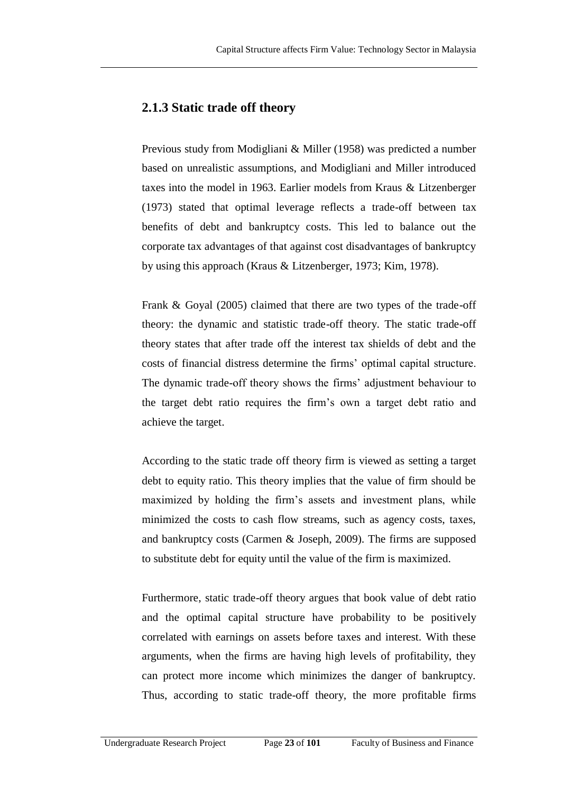### **2.1.3 Static trade off theory**

Previous study from Modigliani & Miller (1958) was predicted a number based on unrealistic assumptions, and Modigliani and Miller introduced taxes into the model in 1963. Earlier models from Kraus & Litzenberger (1973) stated that optimal leverage reflects a trade-off between tax benefits of debt and bankruptcy costs. This led to balance out the corporate tax advantages of that against cost disadvantages of bankruptcy by using this approach (Kraus & Litzenberger, 1973; Kim, 1978).

Frank & Goyal (2005) claimed that there are two types of the trade-off theory: the dynamic and statistic trade-off theory. The static trade-off theory states that after trade off the interest tax shields of debt and the costs of financial distress determine the firms' optimal capital structure. The dynamic trade-off theory shows the firms' adjustment behaviour to the target debt ratio requires the firm's own a target debt ratio and achieve the target.

According to the static trade off theory firm is viewed as setting a target debt to equity ratio. This theory implies that the value of firm should be maximized by holding the firm's assets and investment plans, while minimized the costs to cash flow streams, such as agency costs, taxes, and bankruptcy costs (Carmen & Joseph, 2009). The firms are supposed to substitute debt for equity until the value of the firm is maximized.

Furthermore, static trade-off theory argues that book value of debt ratio and the optimal capital structure have probability to be positively correlated with earnings on assets before taxes and interest. With these arguments, when the firms are having high levels of profitability, they can protect more income which minimizes the danger of bankruptcy. Thus, according to static trade-off theory, the more profitable firms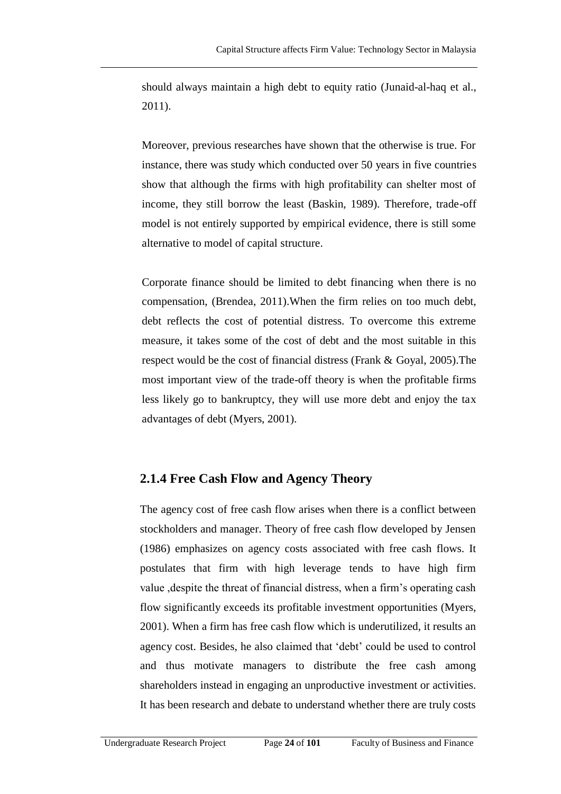should always maintain a high debt to equity ratio (Junaid-al-haq et al., 2011).

Moreover, previous researches have shown that the otherwise is true. For instance, there was study which conducted over 50 years in five countries show that although the firms with high profitability can shelter most of income, they still borrow the least (Baskin, 1989). Therefore, trade-off model is not entirely supported by empirical evidence, there is still some alternative to model of capital structure.

Corporate finance should be limited to debt financing when there is no compensation, (Brendea, 2011).When the firm relies on too much debt, debt reflects the cost of potential distress. To overcome this extreme measure, it takes some of the cost of debt and the most suitable in this respect would be the cost of financial distress (Frank & Goyal, 2005).The most important view of the trade-off theory is when the profitable firms less likely go to bankruptcy, they will use more debt and enjoy the tax advantages of debt (Myers, 2001).

### **2.1.4 Free Cash Flow and Agency Theory**

The agency cost of free cash flow arises when there is a conflict between stockholders and manager. Theory of free cash flow developed by Jensen (1986) emphasizes on agency costs associated with free cash flows. It postulates that firm with high leverage tends to have high firm value ,despite the threat of financial distress, when a firm's operating cash flow significantly exceeds its profitable investment opportunities (Myers, 2001). When a firm has free cash flow which is underutilized, it results an agency cost. Besides, he also claimed that 'debt' could be used to control and thus motivate managers to distribute the free cash among shareholders instead in engaging an unproductive investment or activities. It has been research and debate to understand whether there are truly costs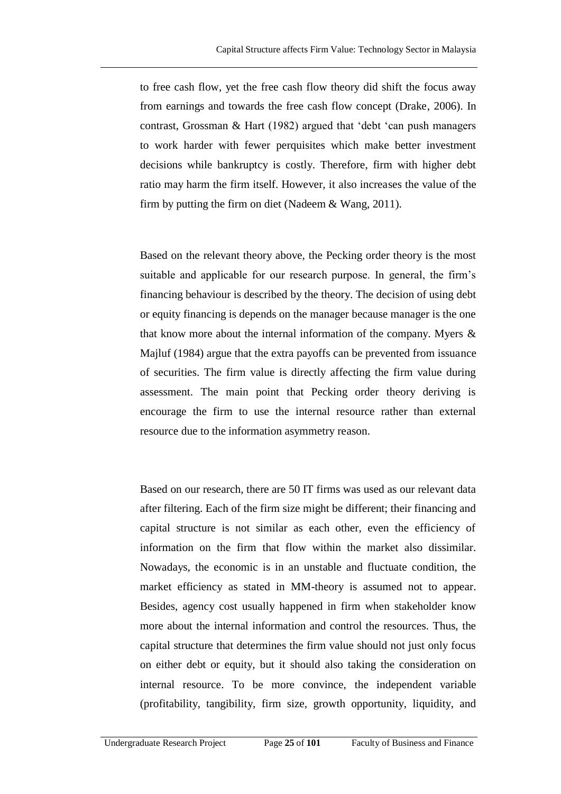to free cash flow, yet the free cash flow theory did shift the focus away from earnings and towards the free cash flow concept (Drake, 2006). In contrast, Grossman  $& Hart$  (1982) argued that 'debt 'can push managers to work harder with fewer perquisites which make better investment decisions while bankruptcy is costly. Therefore, firm with higher debt ratio may harm the firm itself. However, it also increases the value of the firm by putting the firm on diet (Nadeem  $& Wang, 2011$ ).

Based on the relevant theory above, the Pecking order theory is the most suitable and applicable for our research purpose. In general, the firm's financing behaviour is described by the theory. The decision of using debt or equity financing is depends on the manager because manager is the one that know more about the internal information of the company. Myers  $\&$ Majluf (1984) argue that the extra payoffs can be prevented from issuance of securities. The firm value is directly affecting the firm value during assessment. The main point that Pecking order theory deriving is encourage the firm to use the internal resource rather than external resource due to the information asymmetry reason.

Based on our research, there are 50 IT firms was used as our relevant data after filtering. Each of the firm size might be different; their financing and capital structure is not similar as each other, even the efficiency of information on the firm that flow within the market also dissimilar. Nowadays, the economic is in an unstable and fluctuate condition, the market efficiency as stated in MM-theory is assumed not to appear. Besides, agency cost usually happened in firm when stakeholder know more about the internal information and control the resources. Thus, the capital structure that determines the firm value should not just only focus on either debt or equity, but it should also taking the consideration on internal resource. To be more convince, the independent variable (profitability, tangibility, firm size, growth opportunity, liquidity, and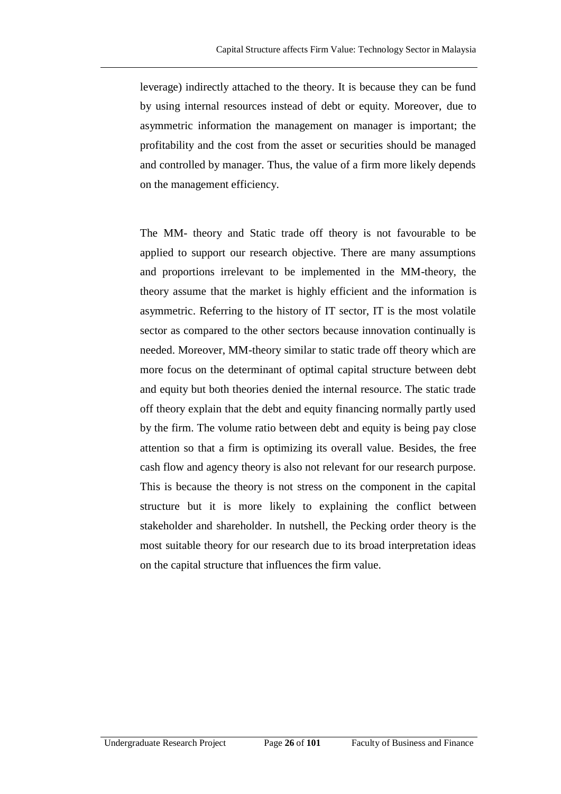leverage) indirectly attached to the theory. It is because they can be fund by using internal resources instead of debt or equity. Moreover, due to asymmetric information the management on manager is important; the profitability and the cost from the asset or securities should be managed and controlled by manager. Thus, the value of a firm more likely depends on the management efficiency.

The MM- theory and Static trade off theory is not favourable to be applied to support our research objective. There are many assumptions and proportions irrelevant to be implemented in the MM-theory, the theory assume that the market is highly efficient and the information is asymmetric. Referring to the history of IT sector, IT is the most volatile sector as compared to the other sectors because innovation continually is needed. Moreover, MM-theory similar to static trade off theory which are more focus on the determinant of optimal capital structure between debt and equity but both theories denied the internal resource. The static trade off theory explain that the debt and equity financing normally partly used by the firm. The volume ratio between debt and equity is being pay close attention so that a firm is optimizing its overall value. Besides, the free cash flow and agency theory is also not relevant for our research purpose. This is because the theory is not stress on the component in the capital structure but it is more likely to explaining the conflict between stakeholder and shareholder. In nutshell, the Pecking order theory is the most suitable theory for our research due to its broad interpretation ideas on the capital structure that influences the firm value.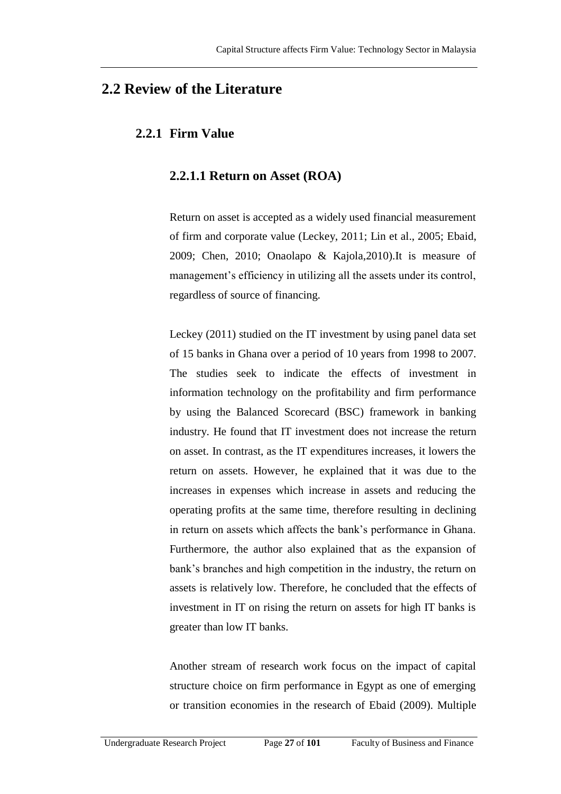### **2.2 Review of the Literature**

### **2.2.1 Firm Value**

#### **2.2.1.1 Return on Asset (ROA)**

Return on asset is accepted as a widely used financial measurement of firm and corporate value (Leckey, 2011; Lin et al., 2005; Ebaid, 2009; Chen, 2010; Onaolapo & Kajola,2010).It is measure of management's efficiency in utilizing all the assets under its control, regardless of source of financing.

Leckey (2011) studied on the IT investment by using panel data set of 15 banks in Ghana over a period of 10 years from 1998 to 2007. The studies seek to indicate the effects of investment in information technology on the profitability and firm performance by using the Balanced Scorecard (BSC) framework in banking industry. He found that IT investment does not increase the return on asset. In contrast, as the IT expenditures increases, it lowers the return on assets. However, he explained that it was due to the increases in expenses which increase in assets and reducing the operating profits at the same time, therefore resulting in declining in return on assets which affects the bank's performance in Ghana. Furthermore, the author also explained that as the expansion of bank's branches and high competition in the industry, the return on assets is relatively low. Therefore, he concluded that the effects of investment in IT on rising the return on assets for high IT banks is greater than low IT banks.

Another stream of research work focus on the impact of capital structure choice on firm performance in Egypt as one of emerging or transition economies in the research of Ebaid (2009). Multiple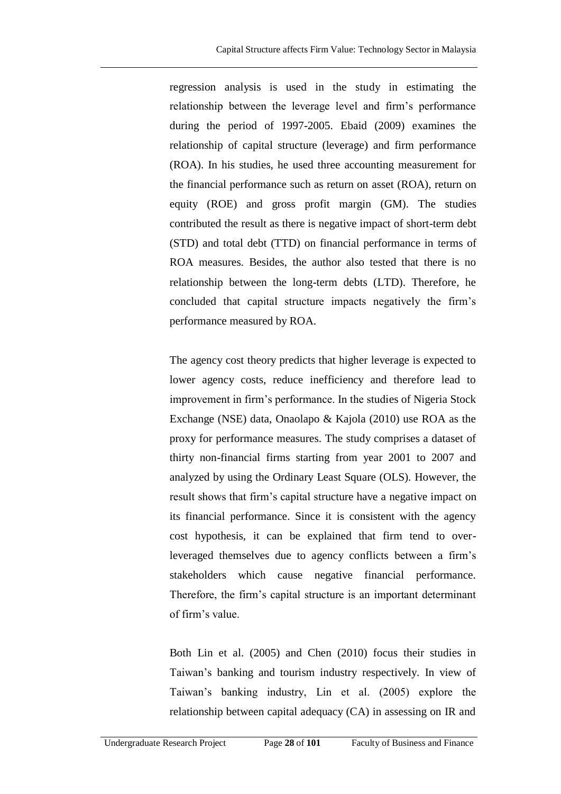regression analysis is used in the study in estimating the relationship between the leverage level and firm's performance during the period of 1997-2005. Ebaid (2009) examines the relationship of capital structure (leverage) and firm performance (ROA). In his studies, he used three accounting measurement for the financial performance such as return on asset (ROA), return on equity (ROE) and gross profit margin (GM). The studies contributed the result as there is negative impact of short-term debt (STD) and total debt (TTD) on financial performance in terms of ROA measures. Besides, the author also tested that there is no relationship between the long-term debts (LTD). Therefore, he concluded that capital structure impacts negatively the firm's performance measured by ROA.

The agency cost theory predicts that higher leverage is expected to lower agency costs, reduce inefficiency and therefore lead to improvement in firm's performance. In the studies of Nigeria Stock Exchange (NSE) data, Onaolapo & Kajola (2010) use ROA as the proxy for performance measures. The study comprises a dataset of thirty non-financial firms starting from year 2001 to 2007 and analyzed by using the Ordinary Least Square (OLS). However, the result shows that firm's capital structure have a negative impact on its financial performance. Since it is consistent with the agency cost hypothesis, it can be explained that firm tend to overleveraged themselves due to agency conflicts between a firm's stakeholders which cause negative financial performance. Therefore, the firm's capital structure is an important determinant of firm's value.

Both Lin et al. (2005) and Chen (2010) focus their studies in Taiwan's banking and tourism industry respectively. In view of Taiwan's banking industry, Lin et al. (2005) explore the relationship between capital adequacy (CA) in assessing on IR and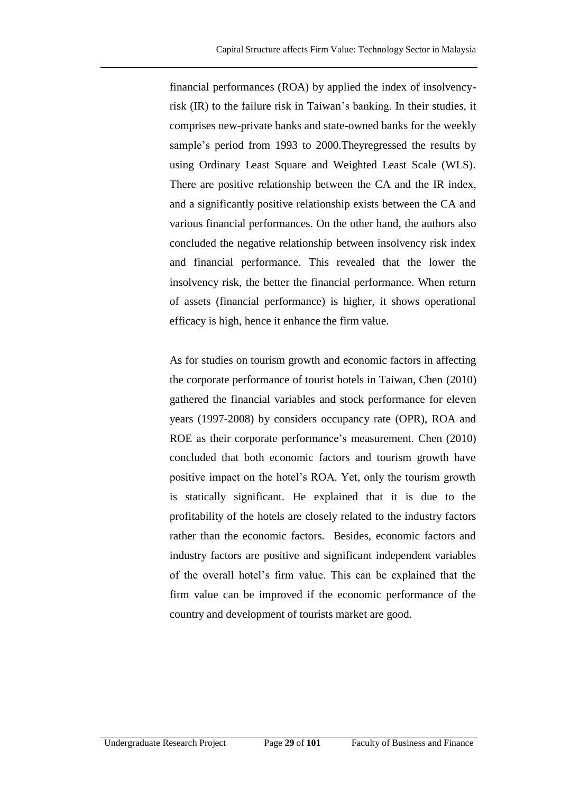financial performances (ROA) by applied the index of insolvencyrisk (IR) to the failure risk in Taiwan's banking. In their studies, it comprises new-private banks and state-owned banks for the weekly sample's period from 1993 to 2000.Theyregressed the results by using Ordinary Least Square and Weighted Least Scale (WLS). There are positive relationship between the CA and the IR index, and a significantly positive relationship exists between the CA and various financial performances. On the other hand, the authors also concluded the negative relationship between insolvency risk index and financial performance. This revealed that the lower the insolvency risk, the better the financial performance. When return of assets (financial performance) is higher, it shows operational efficacy is high, hence it enhance the firm value.

As for studies on tourism growth and economic factors in affecting the corporate performance of tourist hotels in Taiwan, Chen (2010) gathered the financial variables and stock performance for eleven years (1997-2008) by considers occupancy rate (OPR), ROA and ROE as their corporate performance's measurement. Chen (2010) concluded that both economic factors and tourism growth have positive impact on the hotel's ROA. Yet, only the tourism growth is statically significant. He explained that it is due to the profitability of the hotels are closely related to the industry factors rather than the economic factors. Besides, economic factors and industry factors are positive and significant independent variables of the overall hotel's firm value. This can be explained that the firm value can be improved if the economic performance of the country and development of tourists market are good.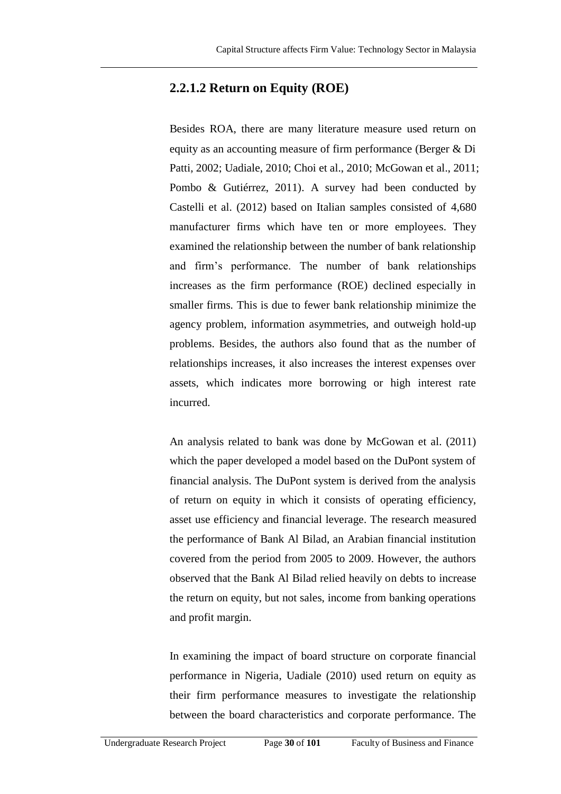### **2.2.1.2 Return on Equity (ROE)**

Besides ROA, there are many literature measure used return on equity as an accounting measure of firm performance (Berger & Di Patti, 2002; Uadiale, 2010; Choi et al., 2010; McGowan et al., 2011; Pombo & Gutiérrez, 2011). A survey had been conducted by Castelli et al. (2012) based on Italian samples consisted of 4,680 manufacturer firms which have ten or more employees. They examined the relationship between the number of bank relationship and firm's performance. The number of bank relationships increases as the firm performance (ROE) declined especially in smaller firms. This is due to fewer bank relationship minimize the agency problem, information asymmetries, and outweigh hold-up problems. Besides, the authors also found that as the number of relationships increases, it also increases the interest expenses over assets, which indicates more borrowing or high interest rate incurred.

An analysis related to bank was done by McGowan et al. (2011) which the paper developed a model based on the DuPont system of financial analysis. The DuPont system is derived from the analysis of return on equity in which it consists of operating efficiency, asset use efficiency and financial leverage. The research measured the performance of Bank Al Bilad, an Arabian financial institution covered from the period from 2005 to 2009. However, the authors observed that the Bank Al Bilad relied heavily on debts to increase the return on equity, but not sales, income from banking operations and profit margin.

In examining the impact of board structure on corporate financial performance in Nigeria, Uadiale (2010) used return on equity as their firm performance measures to investigate the relationship between the board characteristics and corporate performance. The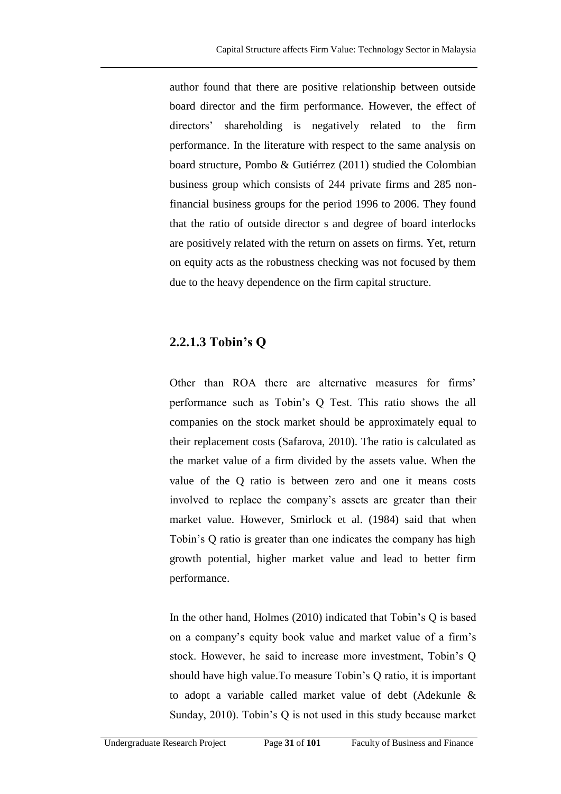author found that there are positive relationship between outside board director and the firm performance. However, the effect of directors' shareholding is negatively related to the firm performance. In the literature with respect to the same analysis on board structure, Pombo & Gutiérrez (2011) studied the Colombian business group which consists of 244 private firms and 285 nonfinancial business groups for the period 1996 to 2006. They found that the ratio of outside director s and degree of board interlocks are positively related with the return on assets on firms. Yet, return on equity acts as the robustness checking was not focused by them due to the heavy dependence on the firm capital structure.

### **2.2.1.3 Tobin's Q**

Other than ROA there are alternative measures for firms' performance such as Tobin's Q Test. This ratio shows the all companies on the stock market should be approximately equal to their replacement costs (Safarova, 2010). The ratio is calculated as the market value of a firm divided by the assets value. When the value of the Q ratio is between zero and one it means costs involved to replace the company's assets are greater than their market value. However, Smirlock et al. (1984) said that when Tobin's Q ratio is greater than one indicates the company has high growth potential, higher market value and lead to better firm performance.

In the other hand, Holmes (2010) indicated that Tobin's Q is based on a company's equity book value and market value of a firm's stock. However, he said to increase more investment, Tobin's Q should have high value.To measure Tobin's Q ratio, it is important to adopt a variable called market value of debt (Adekunle & Sunday, 2010). Tobin's Q is not used in this study because market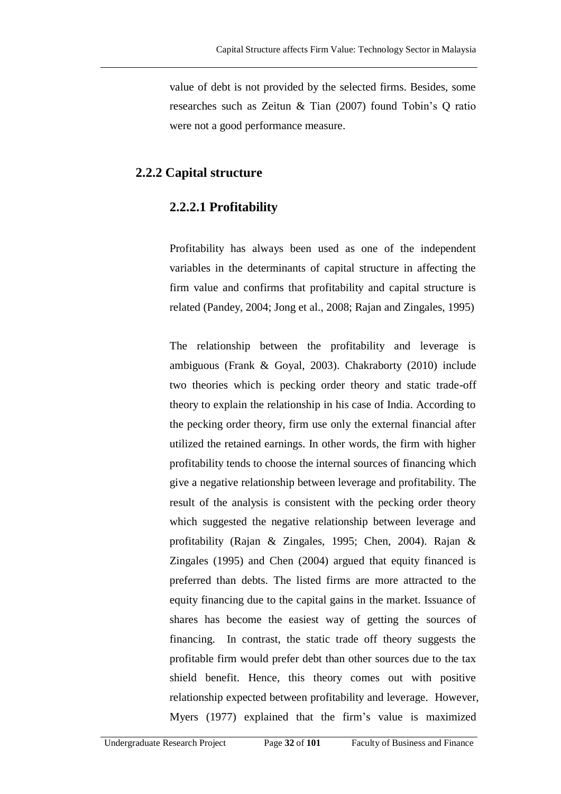value of debt is not provided by the selected firms. Besides, some researches such as Zeitun & Tian (2007) found Tobin's Q ratio were not a good performance measure.

#### **2.2.2 Capital structure**

#### **2.2.2.1 Profitability**

Profitability has always been used as one of the independent variables in the determinants of capital structure in affecting the firm value and confirms that profitability and capital structure is related (Pandey, 2004; Jong et al., 2008; Rajan and Zingales, 1995)

The relationship between the profitability and leverage is ambiguous (Frank & Goyal, 2003). Chakraborty (2010) include two theories which is pecking order theory and static trade-off theory to explain the relationship in his case of India. According to the pecking order theory, firm use only the external financial after utilized the retained earnings. In other words, the firm with higher profitability tends to choose the internal sources of financing which give a negative relationship between leverage and profitability. The result of the analysis is consistent with the pecking order theory which suggested the negative relationship between leverage and profitability (Rajan & Zingales, 1995; Chen, 2004). Rajan & Zingales (1995) and Chen (2004) argued that equity financed is preferred than debts. The listed firms are more attracted to the equity financing due to the capital gains in the market. Issuance of shares has become the easiest way of getting the sources of financing. In contrast, the static trade off theory suggests the profitable firm would prefer debt than other sources due to the tax shield benefit. Hence, this theory comes out with positive relationship expected between profitability and leverage. However, Myers (1977) explained that the firm's value is maximized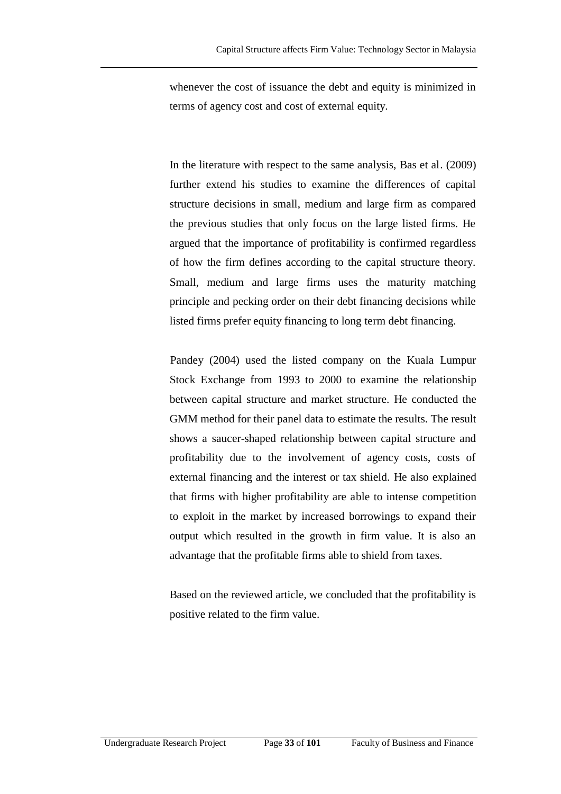whenever the cost of issuance the debt and equity is minimized in terms of agency cost and cost of external equity.

In the literature with respect to the same analysis, Bas et al. (2009) further extend his studies to examine the differences of capital structure decisions in small, medium and large firm as compared the previous studies that only focus on the large listed firms. He argued that the importance of profitability is confirmed regardless of how the firm defines according to the capital structure theory. Small, medium and large firms uses the maturity matching principle and pecking order on their debt financing decisions while listed firms prefer equity financing to long term debt financing.

Pandey (2004) used the listed company on the Kuala Lumpur Stock Exchange from 1993 to 2000 to examine the relationship between capital structure and market structure. He conducted the GMM method for their panel data to estimate the results. The result shows a saucer-shaped relationship between capital structure and profitability due to the involvement of agency costs, costs of external financing and the interest or tax shield. He also explained that firms with higher profitability are able to intense competition to exploit in the market by increased borrowings to expand their output which resulted in the growth in firm value. It is also an advantage that the profitable firms able to shield from taxes.

Based on the reviewed article, we concluded that the profitability is positive related to the firm value.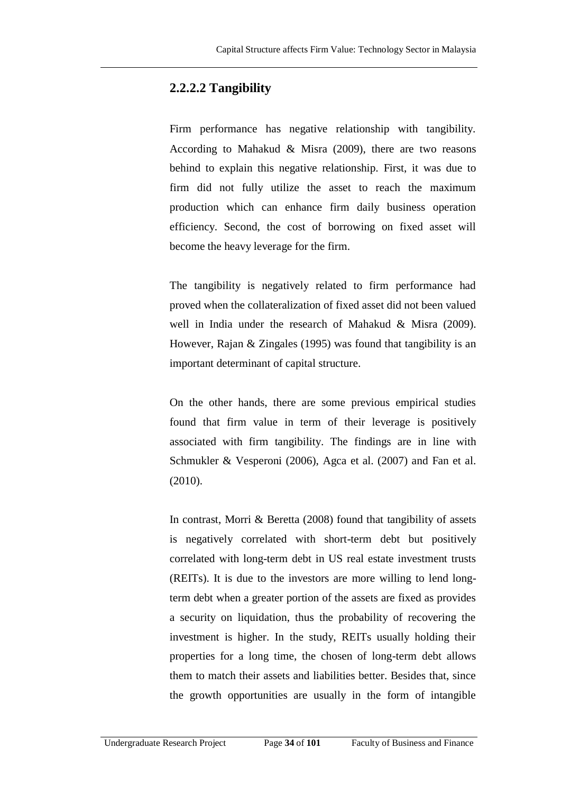#### **2.2.2.2 Tangibility**

Firm performance has negative relationship with tangibility. According to Mahakud & Misra  $(2009)$ , there are two reasons behind to explain this negative relationship. First, it was due to firm did not fully utilize the asset to reach the maximum production which can enhance firm daily business operation efficiency. Second, the cost of borrowing on fixed asset will become the heavy leverage for the firm.

The tangibility is negatively related to firm performance had proved when the collateralization of fixed asset did not been valued well in India under the research of Mahakud & Misra (2009). However, Rajan & Zingales (1995) was found that tangibility is an important determinant of capital structure.

On the other hands, there are some previous empirical studies found that firm value in term of their leverage is positively associated with firm tangibility. The findings are in line with Schmukler & Vesperoni (2006), Agca et al. (2007) and Fan et al. (2010).

In contrast, Morri & Beretta (2008) found that tangibility of assets is negatively correlated with short-term debt but positively correlated with long-term debt in US real estate investment trusts (REITs). It is due to the investors are more willing to lend longterm debt when a greater portion of the assets are fixed as provides a security on liquidation, thus the probability of recovering the investment is higher. In the study, REITs usually holding their properties for a long time, the chosen of long-term debt allows them to match their assets and liabilities better. Besides that, since the growth opportunities are usually in the form of intangible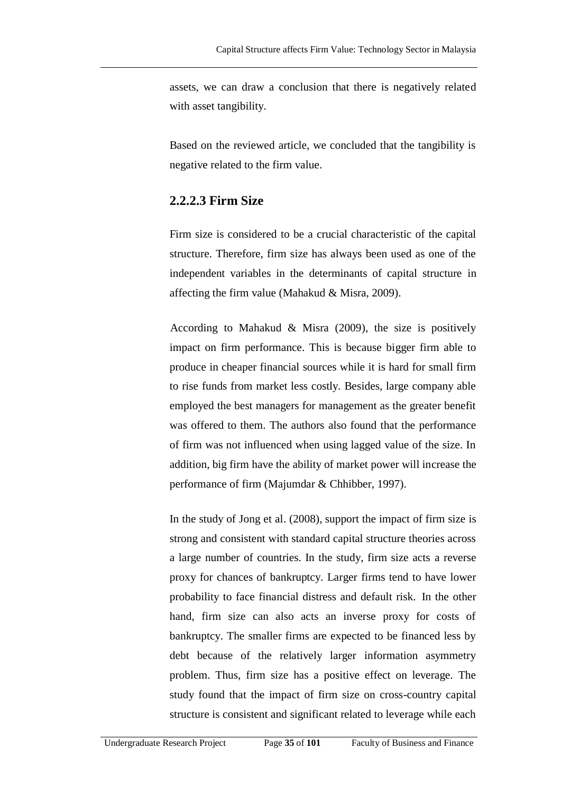assets, we can draw a conclusion that there is negatively related with asset tangibility.

Based on the reviewed article, we concluded that the tangibility is negative related to the firm value.

### **2.2.2.3 Firm Size**

Firm size is considered to be a crucial characteristic of the capital structure. Therefore, firm size has always been used as one of the independent variables in the determinants of capital structure in affecting the firm value (Mahakud & Misra, 2009).

According to Mahakud & Misra  $(2009)$ , the size is positively impact on firm performance. This is because bigger firm able to produce in cheaper financial sources while it is hard for small firm to rise funds from market less costly. Besides, large company able employed the best managers for management as the greater benefit was offered to them. The authors also found that the performance of firm was not influenced when using lagged value of the size. In addition, big firm have the ability of market power will increase the performance of firm (Majumdar & Chhibber, 1997).

In the study of Jong et al. (2008), support the impact of firm size is strong and consistent with standard capital structure theories across a large number of countries. In the study, firm size acts a reverse proxy for chances of bankruptcy. Larger firms tend to have lower probability to face financial distress and default risk. In the other hand, firm size can also acts an inverse proxy for costs of bankruptcy. The smaller firms are expected to be financed less by debt because of the relatively larger information asymmetry problem. Thus, firm size has a positive effect on leverage. The study found that the impact of firm size on cross-country capital structure is consistent and significant related to leverage while each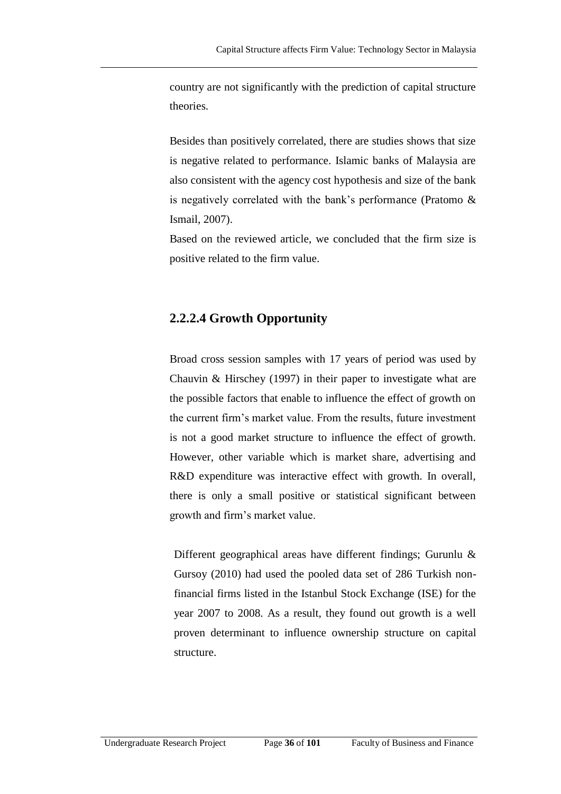country are not significantly with the prediction of capital structure theories.

Besides than positively correlated, there are studies shows that size is negative related to performance. Islamic banks of Malaysia are also consistent with the agency cost hypothesis and size of the bank is negatively correlated with the bank's performance (Pratomo & Ismail, 2007).

Based on the reviewed article, we concluded that the firm size is positive related to the firm value.

### **2.2.2.4 Growth Opportunity**

Broad cross session samples with 17 years of period was used by Chauvin & Hirschey (1997) in their paper to investigate what are the possible factors that enable to influence the effect of growth on the current firm's market value. From the results, future investment is not a good market structure to influence the effect of growth. However, other variable which is market share, advertising and R&D expenditure was interactive effect with growth. In overall, there is only a small positive or statistical significant between growth and firm's market value.

Different geographical areas have different findings; Gurunlu & Gursoy (2010) had used the pooled data set of 286 Turkish nonfinancial firms listed in the Istanbul Stock Exchange (ISE) for the year 2007 to 2008. As a result, they found out growth is a well proven determinant to influence ownership structure on capital structure.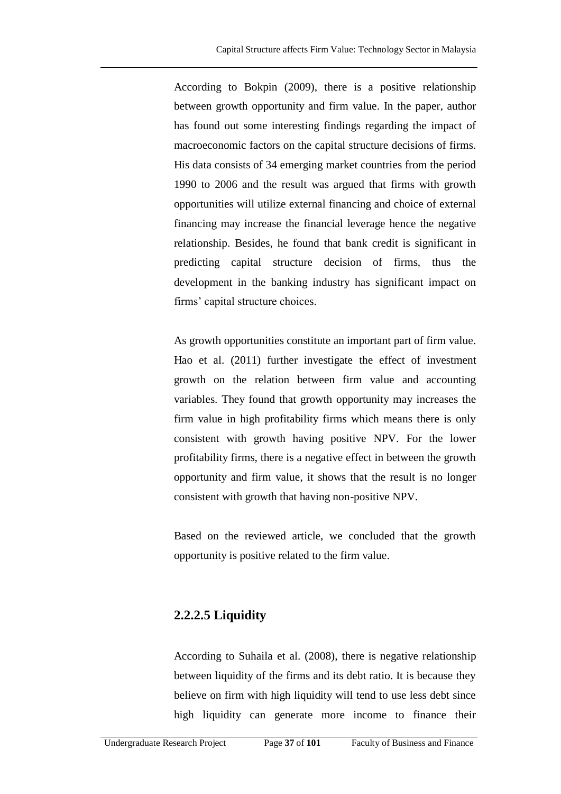According to Bokpin (2009), there is a positive relationship between growth opportunity and firm value. In the paper, author has found out some interesting findings regarding the impact of macroeconomic factors on the capital structure decisions of firms. His data consists of 34 emerging market countries from the period 1990 to 2006 and the result was argued that firms with growth opportunities will utilize external financing and choice of external financing may increase the financial leverage hence the negative relationship. Besides, he found that bank credit is significant in predicting capital structure decision of firms, thus the development in the banking industry has significant impact on firms' capital structure choices.

As growth opportunities constitute an important part of firm value. Hao et al. (2011) further investigate the effect of investment growth on the relation between firm value and accounting variables. They found that growth opportunity may increases the firm value in high profitability firms which means there is only consistent with growth having positive NPV. For the lower profitability firms, there is a negative effect in between the growth opportunity and firm value, it shows that the result is no longer consistent with growth that having non-positive NPV.

Based on the reviewed article, we concluded that the growth opportunity is positive related to the firm value.

## **2.2.2.5 Liquidity**

According to Suhaila et al. (2008), there is negative relationship between liquidity of the firms and its debt ratio. It is because they believe on firm with high liquidity will tend to use less debt since high liquidity can generate more income to finance their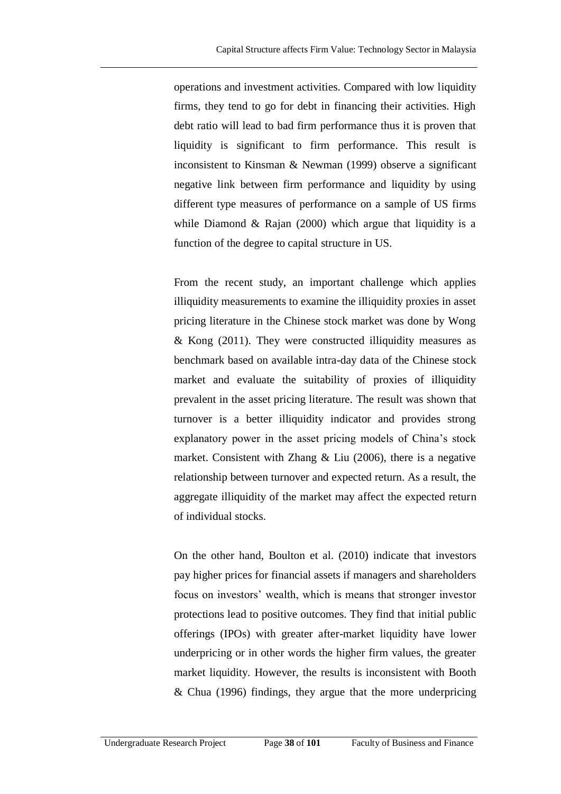operations and investment activities. Compared with low liquidity firms, they tend to go for debt in financing their activities. High debt ratio will lead to bad firm performance thus it is proven that liquidity is significant to firm performance. This result is inconsistent to Kinsman & Newman (1999) observe a significant negative link between firm performance and liquidity by using different type measures of performance on a sample of US firms while Diamond  $\&$  Rajan (2000) which argue that liquidity is a function of the degree to capital structure in US.

From the recent study, an important challenge which applies illiquidity measurements to examine the illiquidity proxies in asset pricing literature in the Chinese stock market was done by Wong & Kong (2011). They were constructed illiquidity measures as benchmark based on available intra-day data of the Chinese stock market and evaluate the suitability of proxies of illiquidity prevalent in the asset pricing literature. The result was shown that turnover is a better illiquidity indicator and provides strong explanatory power in the asset pricing models of China's stock market. Consistent with Zhang & Liu (2006), there is a negative relationship between turnover and expected return. As a result, the aggregate illiquidity of the market may affect the expected return of individual stocks.

On the other hand, [Boulton](javascript:void(0);) et al. (2010) indicate that investors pay higher prices for financial assets if managers and shareholders focus on investors' wealth, which is means that stronger investor protections lead to positive outcomes. They find that initial public offerings (IPOs) with greater after-market liquidity have lower underpricing or in other words the higher firm values, the greater market liquidity. However, the results is inconsistent with Booth & Chua (1996) findings, they argue that the more underpricing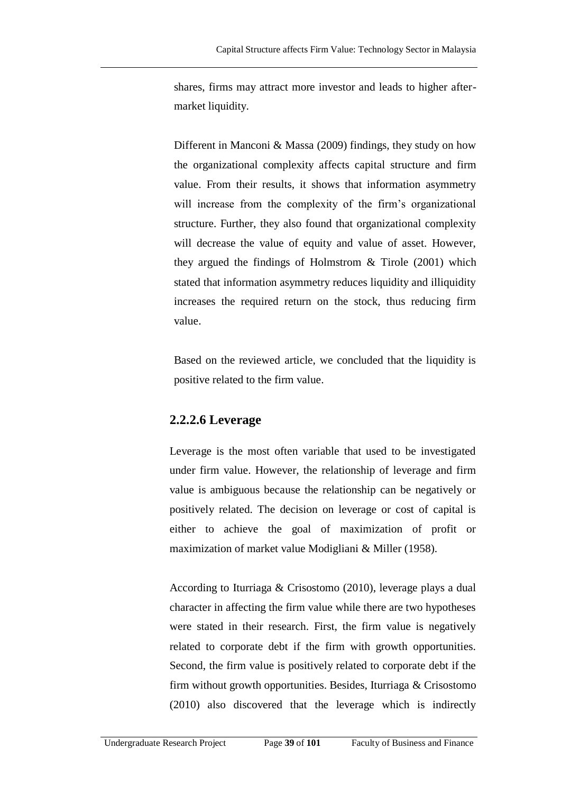shares, firms may attract more investor and leads to higher aftermarket liquidity.

Different in Manconi & Massa (2009) findings, they study on how the organizational complexity affects capital structure and firm value. From their results, it shows that information asymmetry will increase from the complexity of the firm's organizational structure. Further, they also found that organizational complexity will decrease the value of equity and value of asset. However, they argued the findings of Holmstrom & Tirole (2001) which stated that information asymmetry reduces liquidity and illiquidity increases the required return on the stock, thus reducing firm value.

Based on the reviewed article, we concluded that the liquidity is positive related to the firm value.

### **2.2.2.6 Leverage**

Leverage is the most often variable that used to be investigated under firm value. However, the relationship of leverage and firm value is ambiguous because the relationship can be negatively or positively related. The decision on leverage or cost of capital is either to achieve the goal of maximization of profit or maximization of market value Modigliani & Miller (1958).

According to Iturriaga & Crisostomo (2010), leverage plays a dual character in affecting the firm value while there are two hypotheses were stated in their research. First, the firm value is negatively related to corporate debt if the firm with growth opportunities. Second, the firm value is positively related to corporate debt if the firm without growth opportunities. Besides, Iturriaga & Crisostomo (2010) also discovered that the leverage which is indirectly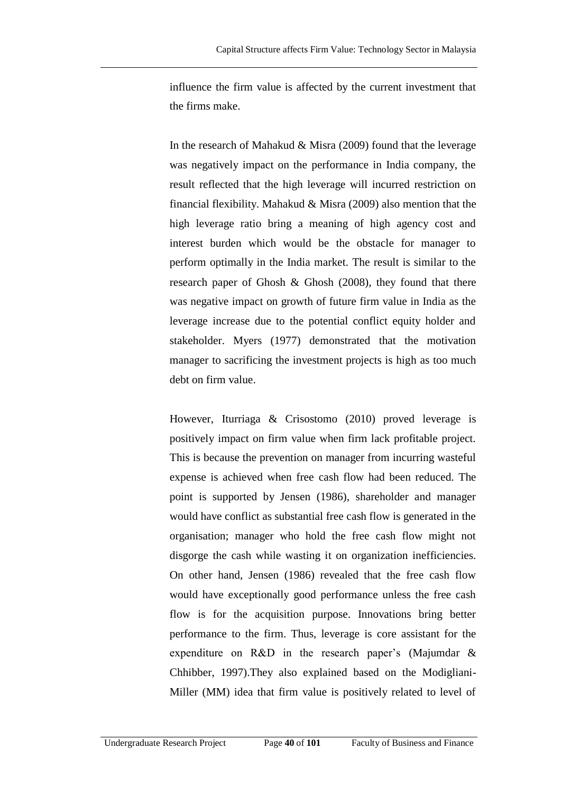influence the firm value is affected by the current investment that the firms make.

In the research of Mahakud & Misra (2009) found that the leverage was negatively impact on the performance in India company, the result reflected that the high leverage will incurred restriction on financial flexibility. Mahakud & Misra (2009) also mention that the high leverage ratio bring a meaning of high agency cost and interest burden which would be the obstacle for manager to perform optimally in the India market. The result is similar to the research paper of Ghosh & Ghosh (2008), they found that there was negative impact on growth of future firm value in India as the leverage increase due to the potential conflict equity holder and stakeholder. Myers (1977) demonstrated that the motivation manager to sacrificing the investment projects is high as too much debt on firm value.

However, Iturriaga & Crisostomo (2010) proved leverage is positively impact on firm value when firm lack profitable project. This is because the prevention on manager from incurring wasteful expense is achieved when free cash flow had been reduced. The point is supported by Jensen (1986), shareholder and manager would have conflict as substantial free cash flow is generated in the organisation; manager who hold the free cash flow might not disgorge the cash while wasting it on organization inefficiencies. On other hand, Jensen (1986) revealed that the free cash flow would have exceptionally good performance unless the free cash flow is for the acquisition purpose. Innovations bring better performance to the firm. Thus, leverage is core assistant for the expenditure on R&D in the research paper's (Majumdar & Chhibber, 1997).They also explained based on the Modigliani-Miller (MM) idea that firm value is positively related to level of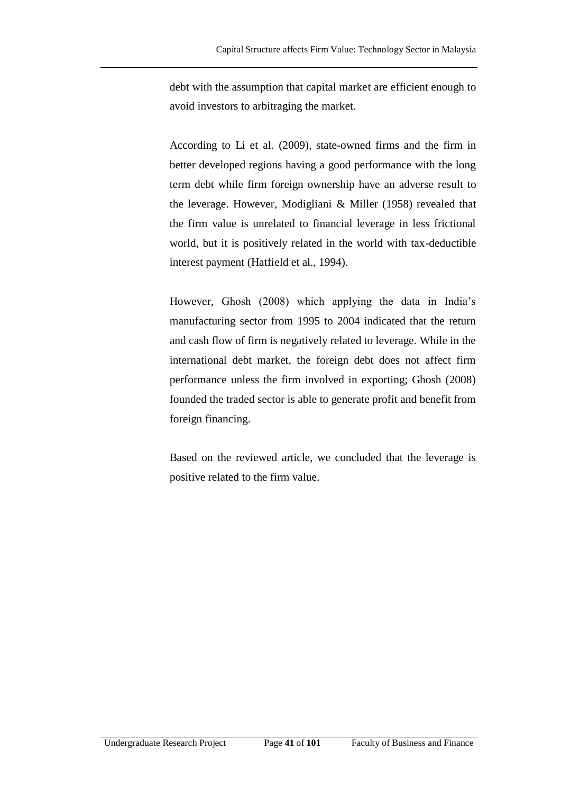debt with the assumption that capital market are efficient enough to avoid investors to arbitraging the market.

According to Li et al. (2009), state-owned firms and the firm in better developed regions having a good performance with the long term debt while firm foreign ownership have an adverse result to the leverage. However, Modigliani & Miller (1958) revealed that the firm value is unrelated to financial leverage in less frictional world, but it is positively related in the world with tax-deductible interest payment (Hatfield et al., 1994).

However, Ghosh (2008) which applying the data in India's manufacturing sector from 1995 to 2004 indicated that the return and cash flow of firm is negatively related to leverage. While in the international debt market, the foreign debt does not affect firm performance unless the firm involved in exporting; Ghosh (2008) founded the traded sector is able to generate profit and benefit from foreign financing.

Based on the reviewed article, we concluded that the leverage is positive related to the firm value.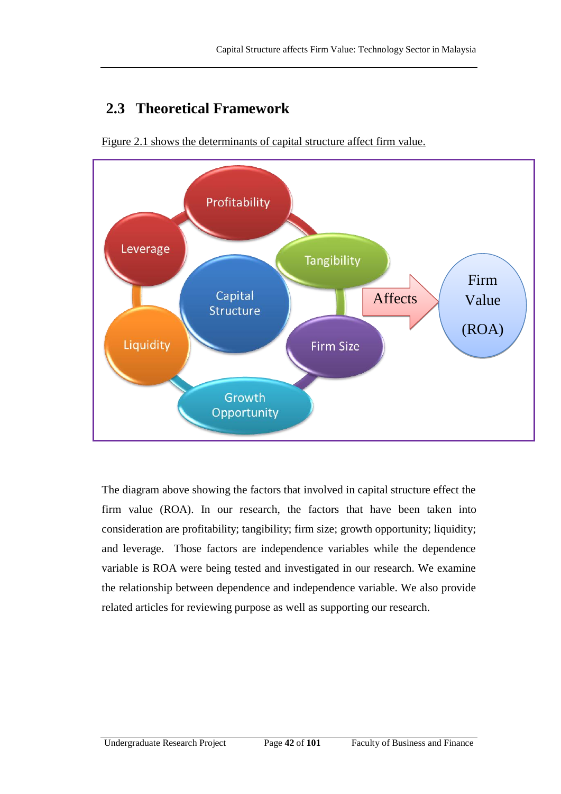# **2.3 Theoretical Framework**



Figure 2.1 shows the determinants of capital structure affect firm value.

The diagram above showing the factors that involved in capital structure effect the firm value (ROA). In our research, the factors that have been taken into consideration are profitability; tangibility; firm size; growth opportunity; liquidity; and leverage. Those factors are independence variables while the dependence variable is ROA were being tested and investigated in our research. We examine the relationship between dependence and independence variable. We also provide related articles for reviewing purpose as well as supporting our research.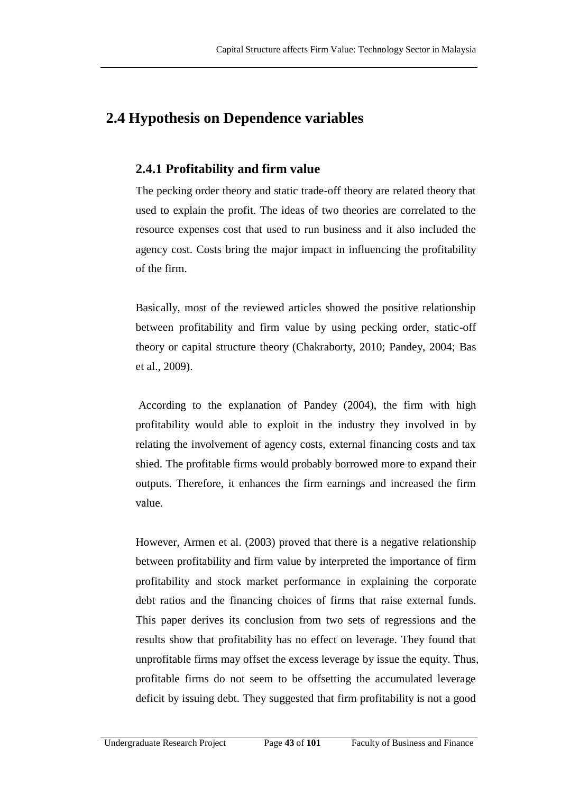## **2.4 Hypothesis on Dependence variables**

#### **2.4.1 Profitability and firm value**

The pecking order theory and static trade-off theory are related theory that used to explain the profit. The ideas of two theories are correlated to the resource expenses cost that used to run business and it also included the agency cost. Costs bring the major impact in influencing the profitability of the firm.

Basically, most of the reviewed articles showed the positive relationship between profitability and firm value by using pecking order, static-off theory or capital structure theory (Chakraborty, 2010; Pandey, 2004; Bas et al., 2009).

According to the explanation of Pandey (2004), the firm with high profitability would able to exploit in the industry they involved in by relating the involvement of agency costs, external financing costs and tax shied. The profitable firms would probably borrowed more to expand their outputs. Therefore, it enhances the firm earnings and increased the firm value.

However, Armen et al. (2003) proved that there is a negative relationship between profitability and firm value by interpreted the importance of firm profitability and stock market performance in explaining the corporate debt ratios and the financing choices of firms that raise external funds. This paper derives its conclusion from two sets of regressions and the results show that profitability has no effect on leverage. They found that unprofitable firms may offset the excess leverage by issue the equity. Thus, profitable firms do not seem to be offsetting the accumulated leverage deficit by issuing debt. They suggested that firm profitability is not a good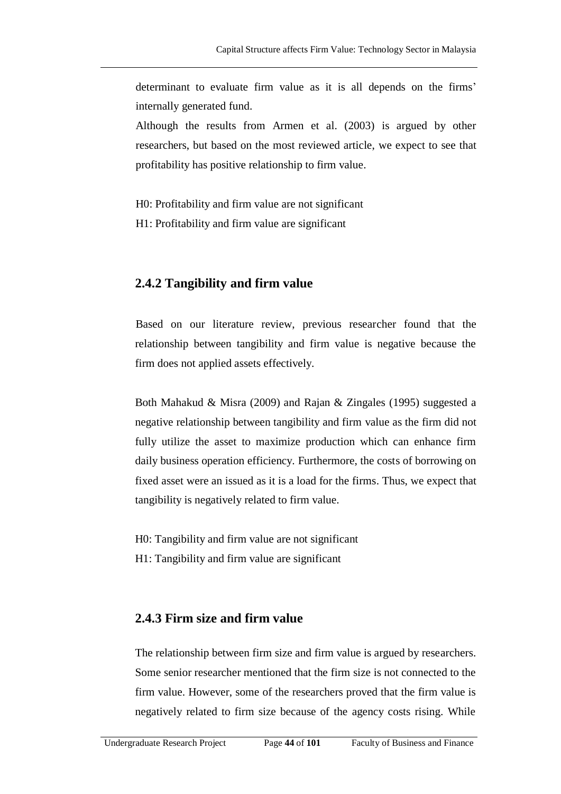determinant to evaluate firm value as it is all depends on the firms' internally generated fund.

Although the results from Armen et al. (2003) is argued by other researchers, but based on the most reviewed article, we expect to see that profitability has positive relationship to firm value.

H0: Profitability and firm value are not significant

H1: Profitability and firm value are significant

#### **2.4.2 Tangibility and firm value**

Based on our literature review, previous researcher found that the relationship between tangibility and firm value is negative because the firm does not applied assets effectively.

Both Mahakud & Misra (2009) and Rajan & Zingales (1995) suggested a negative relationship between tangibility and firm value as the firm did not fully utilize the asset to maximize production which can enhance firm daily business operation efficiency. Furthermore, the costs of borrowing on fixed asset were an issued as it is a load for the firms. Thus, we expect that tangibility is negatively related to firm value.

H0: Tangibility and firm value are not significant

H1: Tangibility and firm value are significant

#### **2.4.3 Firm size and firm value**

The relationship between firm size and firm value is argued by researchers. Some senior researcher mentioned that the firm size is not connected to the firm value. However, some of the researchers proved that the firm value is negatively related to firm size because of the agency costs rising. While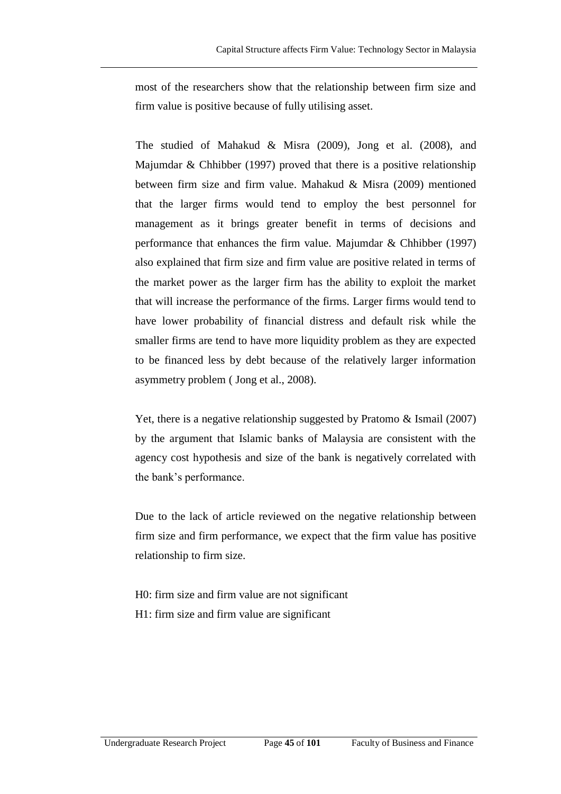most of the researchers show that the relationship between firm size and firm value is positive because of fully utilising asset.

The studied of Mahakud & Misra (2009), Jong et al. (2008), and Majumdar & Chhibber (1997) proved that there is a positive relationship between firm size and firm value. Mahakud & Misra (2009) mentioned that the larger firms would tend to employ the best personnel for management as it brings greater benefit in terms of decisions and performance that enhances the firm value. Majumdar & Chhibber (1997) also explained that firm size and firm value are positive related in terms of the market power as the larger firm has the ability to exploit the market that will increase the performance of the firms. Larger firms would tend to have lower probability of financial distress and default risk while the smaller firms are tend to have more liquidity problem as they are expected to be financed less by debt because of the relatively larger information asymmetry problem ( Jong et al., 2008).

Yet, there is a negative relationship suggested by Pratomo & Ismail (2007) by the argument that Islamic banks of Malaysia are consistent with the agency cost hypothesis and size of the bank is negatively correlated with the bank's performance.

Due to the lack of article reviewed on the negative relationship between firm size and firm performance, we expect that the firm value has positive relationship to firm size.

H0: firm size and firm value are not significant H1: firm size and firm value are significant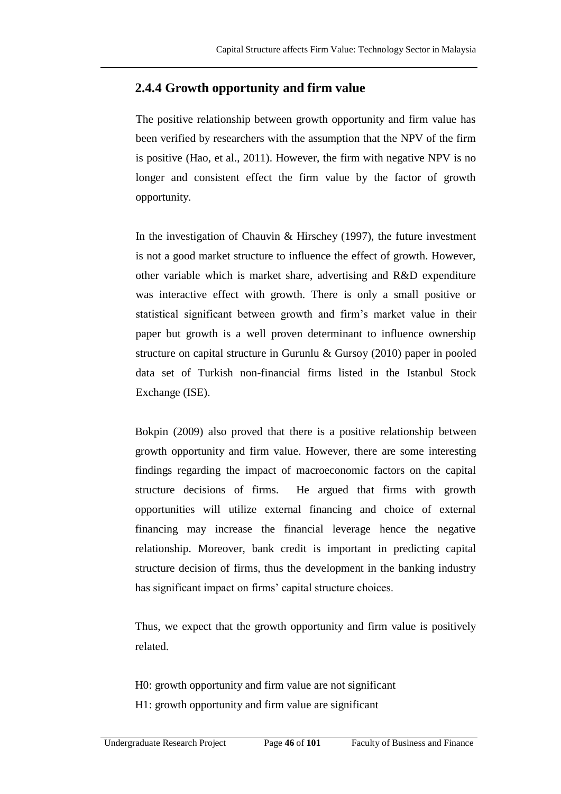### **2.4.4 Growth opportunity and firm value**

The positive relationship between growth opportunity and firm value has been verified by researchers with the assumption that the NPV of the firm is positive (Hao, et al., 2011). However, the firm with negative NPV is no longer and consistent effect the firm value by the factor of growth opportunity.

In the investigation of Chauvin & Hirschey  $(1997)$ , the future investment is not a good market structure to influence the effect of growth. However, other variable which is market share, advertising and R&D expenditure was interactive effect with growth. There is only a small positive or statistical significant between growth and firm's market value in their paper but growth is a well proven determinant to influence ownership structure on capital structure in Gurunlu & Gursoy (2010) paper in pooled data set of Turkish non-financial firms listed in the Istanbul Stock Exchange (ISE).

Bokpin (2009) also proved that there is a positive relationship between growth opportunity and firm value. However, there are some interesting findings regarding the impact of macroeconomic factors on the capital structure decisions of firms. He argued that firms with growth opportunities will utilize external financing and choice of external financing may increase the financial leverage hence the negative relationship. Moreover, bank credit is important in predicting capital structure decision of firms, thus the development in the banking industry has significant impact on firms' capital structure choices.

Thus, we expect that the growth opportunity and firm value is positively related.

H0: growth opportunity and firm value are not significant H1: growth opportunity and firm value are significant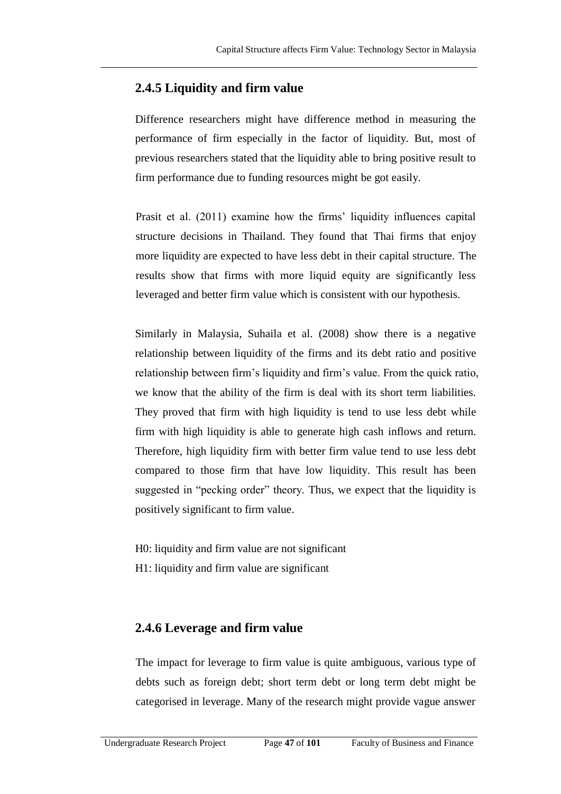### **2.4.5 Liquidity and firm value**

Difference researchers might have difference method in measuring the performance of firm especially in the factor of liquidity. But, most of previous researchers stated that the liquidity able to bring positive result to firm performance due to funding resources might be got easily.

Prasit et al. (2011) examine how the firms' liquidity influences capital structure decisions in Thailand. They found that Thai firms that enjoy more liquidity are expected to have less debt in their capital structure. The results show that firms with more liquid equity are significantly less leveraged and better firm value which is consistent with our hypothesis.

Similarly in Malaysia, Suhaila et al. (2008) show there is a negative relationship between liquidity of the firms and its debt ratio and positive relationship between firm's liquidity and firm's value. From the quick ratio, we know that the ability of the firm is deal with its short term liabilities. They proved that firm with high liquidity is tend to use less debt while firm with high liquidity is able to generate high cash inflows and return. Therefore, high liquidity firm with better firm value tend to use less debt compared to those firm that have low liquidity. This result has been suggested in "pecking order" theory. Thus, we expect that the liquidity is positively significant to firm value.

H0: liquidity and firm value are not significant

H1: liquidity and firm value are significant

### **2.4.6 Leverage and firm value**

The impact for leverage to firm value is quite ambiguous, various type of debts such as foreign debt; short term debt or long term debt might be categorised in leverage. Many of the research might provide vague answer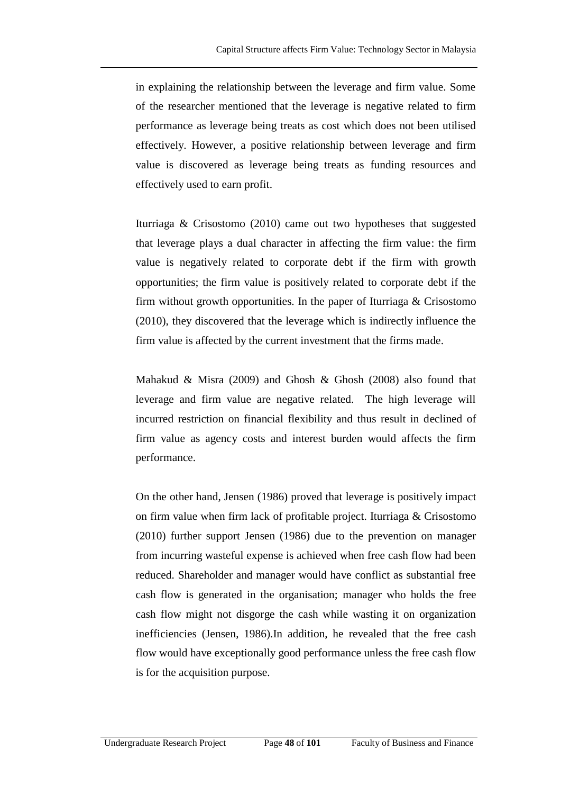in explaining the relationship between the leverage and firm value. Some of the researcher mentioned that the leverage is negative related to firm performance as leverage being treats as cost which does not been utilised effectively. However, a positive relationship between leverage and firm value is discovered as leverage being treats as funding resources and effectively used to earn profit.

Iturriaga & Crisostomo (2010) came out two hypotheses that suggested that leverage plays a dual character in affecting the firm value: the firm value is negatively related to corporate debt if the firm with growth opportunities; the firm value is positively related to corporate debt if the firm without growth opportunities. In the paper of Iturriaga & Crisostomo (2010), they discovered that the leverage which is indirectly influence the firm value is affected by the current investment that the firms made.

Mahakud & Misra (2009) and Ghosh & Ghosh (2008) also found that leverage and firm value are negative related. The high leverage will incurred restriction on financial flexibility and thus result in declined of firm value as agency costs and interest burden would affects the firm performance.

On the other hand, Jensen (1986) proved that leverage is positively impact on firm value when firm lack of profitable project. Iturriaga & Crisostomo (2010) further support Jensen (1986) due to the prevention on manager from incurring wasteful expense is achieved when free cash flow had been reduced. Shareholder and manager would have conflict as substantial free cash flow is generated in the organisation; manager who holds the free cash flow might not disgorge the cash while wasting it on organization inefficiencies (Jensen, 1986).In addition, he revealed that the free cash flow would have exceptionally good performance unless the free cash flow is for the acquisition purpose.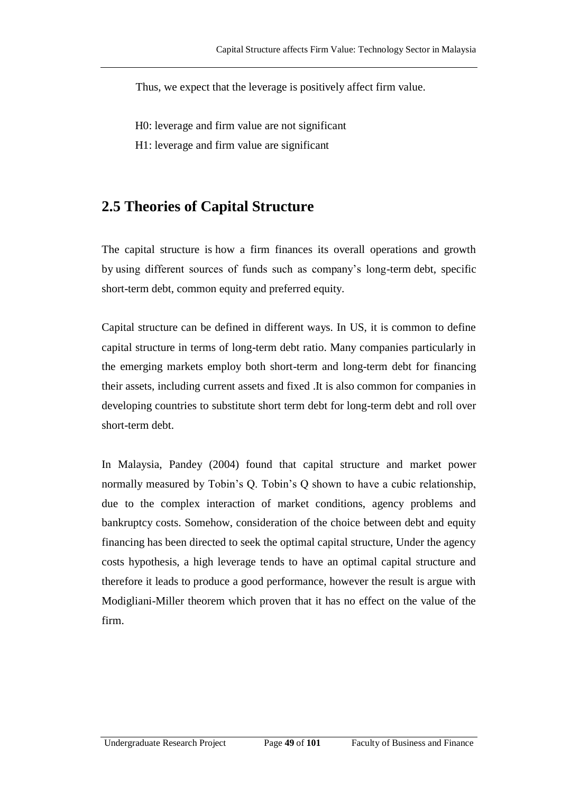Thus, we expect that the leverage is positively affect firm value.

H0: leverage and firm value are not significant

H1: leverage and firm value are significant

## **2.5 Theories of Capital Structure**

The capital structure is how a firm finances its overall operations and growth by using different sources of funds such as company's long-term debt, specific short-term debt, common equity and preferred equity.

Capital structure can be defined in different ways. In US, it is common to define capital structure in terms of long-term debt ratio. Many companies particularly in the emerging markets employ both short-term and long-term debt for financing their assets, including current assets and fixed .It is also common for companies in developing countries to substitute short term debt for long-term debt and roll over short-term debt.

In Malaysia, Pandey (2004) found that capital structure and market power normally measured by Tobin's Q. Tobin's Q shown to have a cubic relationship, due to the complex interaction of market conditions, agency problems and bankruptcy costs. Somehow, consideration of the choice between debt and equity financing has been directed to seek the optimal capital structure, Under the agency costs hypothesis, a high leverage tends to have an optimal capital structure and therefore it leads to produce a good performance, however the result is argue with Modigliani-Miller theorem which proven that it has no effect on the value of the firm.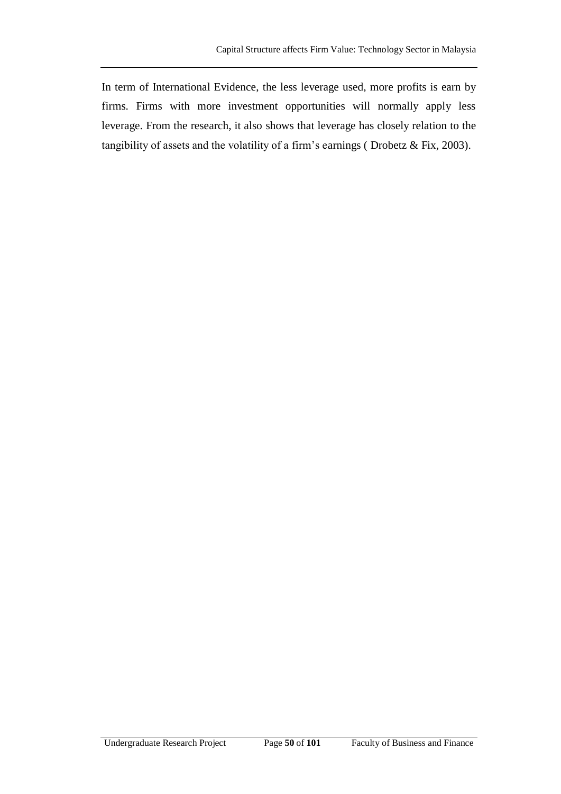In term of International Evidence, the less leverage used, more profits is earn by firms. Firms with more investment opportunities will normally apply less leverage. From the research, it also shows that leverage has closely relation to the tangibility of assets and the volatility of a firm's earnings ( Drobetz & Fix, 2003).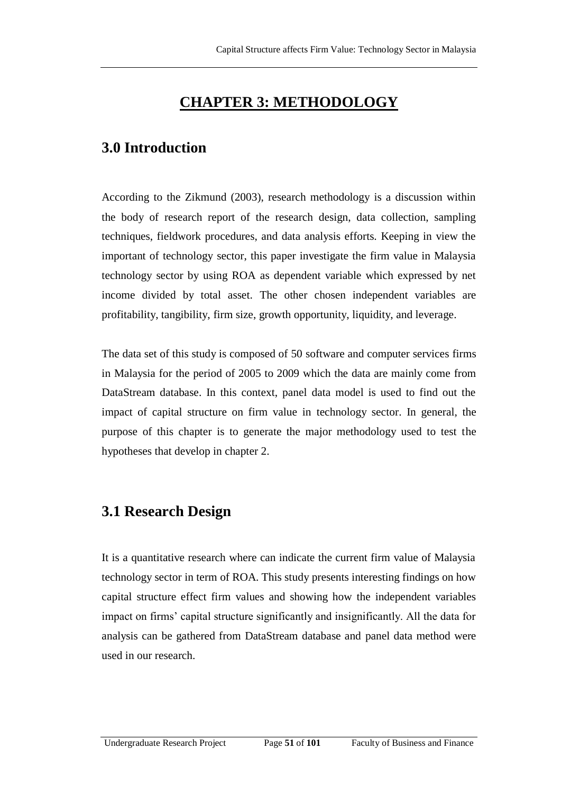# **CHAPTER 3: METHODOLOGY**

## **3.0 Introduction**

According to the Zikmund (2003), research methodology is a discussion within the body of research report of the research design, data collection, sampling techniques, fieldwork procedures, and data analysis efforts. Keeping in view the important of technology sector, this paper investigate the firm value in Malaysia technology sector by using ROA as dependent variable which expressed by net income divided by total asset. The other chosen independent variables are profitability, tangibility, firm size, growth opportunity, liquidity, and leverage.

The data set of this study is composed of 50 software and computer services firms in Malaysia for the period of 2005 to 2009 which the data are mainly come from DataStream database. In this context, panel data model is used to find out the impact of capital structure on firm value in technology sector. In general, the purpose of this chapter is to generate the major methodology used to test the hypotheses that develop in chapter 2.

# **3.1 Research Design**

It is a quantitative research where can indicate the current firm value of Malaysia technology sector in term of ROA. This study presents interesting findings on how capital structure effect firm values and showing how the independent variables impact on firms' capital structure significantly and insignificantly. All the data for analysis can be gathered from DataStream database and panel data method were used in our research.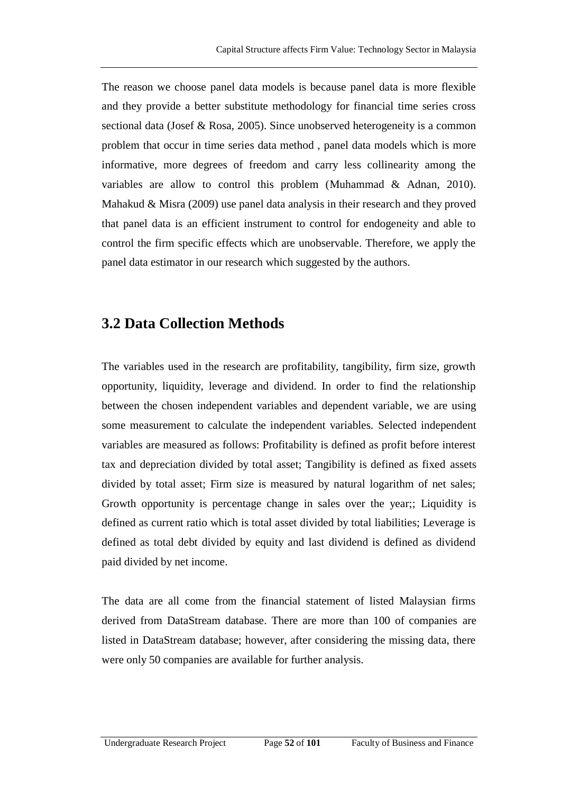The reason we choose panel data models is because panel data is more flexible and they provide a better substitute methodology for financial time series cross sectional data (Josef & Rosa, 2005). Since unobserved heterogeneity is a common problem that occur in time series data method , panel data models which is more informative, more degrees of freedom and carry less collinearity among the variables are allow to control this problem (Muhammad & Adnan, 2010). Mahakud & Misra (2009) use panel data analysis in their research and they proved that panel data is an efficient instrument to control for endogeneity and able to control the firm specific effects which are unobservable. Therefore, we apply the panel data estimator in our research which suggested by the authors.

### **3.2 Data Collection Methods**

The variables used in the research are profitability, tangibility, firm size, growth opportunity, liquidity, leverage and dividend. In order to find the relationship between the chosen independent variables and dependent variable, we are using some measurement to calculate the independent variables. Selected independent variables are measured as follows: Profitability is defined as profit before interest tax and depreciation divided by total asset; Tangibility is defined as fixed assets divided by total asset; Firm size is measured by natural logarithm of net sales; Growth opportunity is percentage change in sales over the year;; Liquidity is defined as current ratio which is total asset divided by total liabilities; Leverage is defined as total debt divided by equity and last dividend is defined as dividend paid divided by net income.

The data are all come from the financial statement of listed Malaysian firms derived from DataStream database. There are more than 100 of companies are listed in DataStream database; however, after considering the missing data, there were only 50 companies are available for further analysis.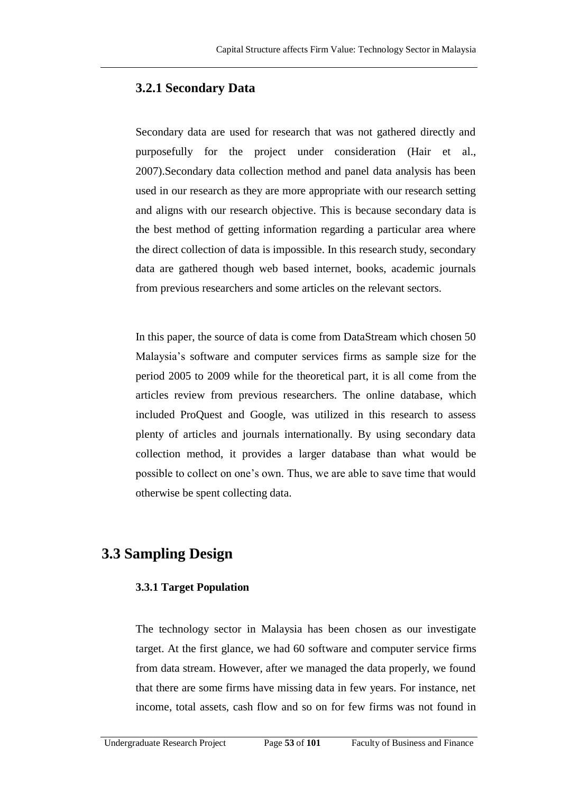### **3.2.1 Secondary Data**

Secondary data are used for research that was not gathered directly and purposefully for the project under consideration (Hair et al., 2007).Secondary data collection method and panel data analysis has been used in our research as they are more appropriate with our research setting and aligns with our research objective. This is because secondary data is the best method of getting information regarding a particular area where the direct collection of data is impossible. In this research study, secondary data are gathered though web based internet, books, academic journals from previous researchers and some articles on the relevant sectors.

In this paper, the source of data is come from DataStream which chosen 50 Malaysia's software and computer services firms as sample size for the period 2005 to 2009 while for the theoretical part, it is all come from the articles review from previous researchers. The online database, which included ProQuest and Google, was utilized in this research to assess plenty of articles and journals internationally. By using secondary data collection method, it provides a larger database than what would be possible to collect on one's own. Thus, we are able to save time that would otherwise be spent collecting data.

# **3.3 Sampling Design**

#### **3.3.1 Target Population**

The technology sector in Malaysia has been chosen as our investigate target. At the first glance, we had 60 software and computer service firms from data stream. However, after we managed the data properly, we found that there are some firms have missing data in few years. For instance, net income, total assets, cash flow and so on for few firms was not found in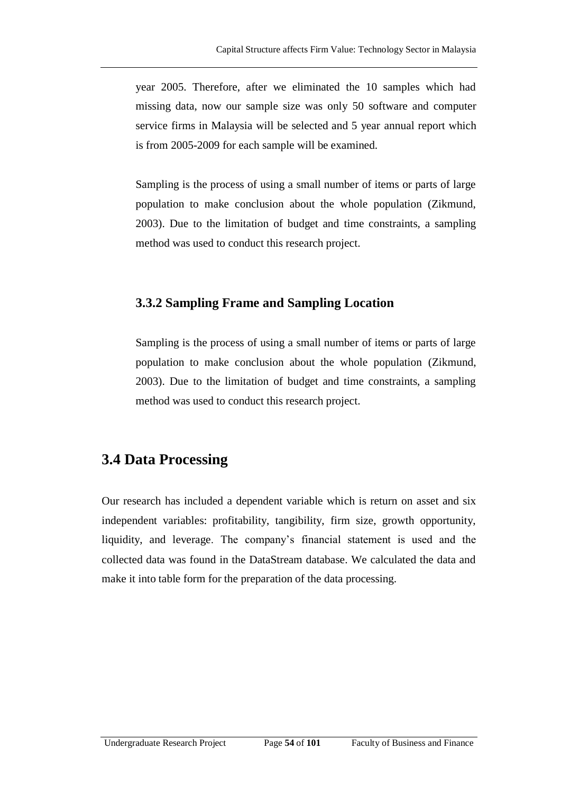year 2005. Therefore, after we eliminated the 10 samples which had missing data, now our sample size was only 50 software and computer service firms in Malaysia will be selected and 5 year annual report which is from 2005-2009 for each sample will be examined.

Sampling is the process of using a small number of items or parts of large population to make conclusion about the whole population (Zikmund, 2003). Due to the limitation of budget and time constraints, a sampling method was used to conduct this research project.

#### **3.3.2 Sampling Frame and Sampling Location**

Sampling is the process of using a small number of items or parts of large population to make conclusion about the whole population (Zikmund, 2003). Due to the limitation of budget and time constraints, a sampling method was used to conduct this research project.

### **3.4 Data Processing**

Our research has included a dependent variable which is return on asset and six independent variables: profitability, tangibility, firm size, growth opportunity, liquidity, and leverage. The company's financial statement is used and the collected data was found in the DataStream database. We calculated the data and make it into table form for the preparation of the data processing.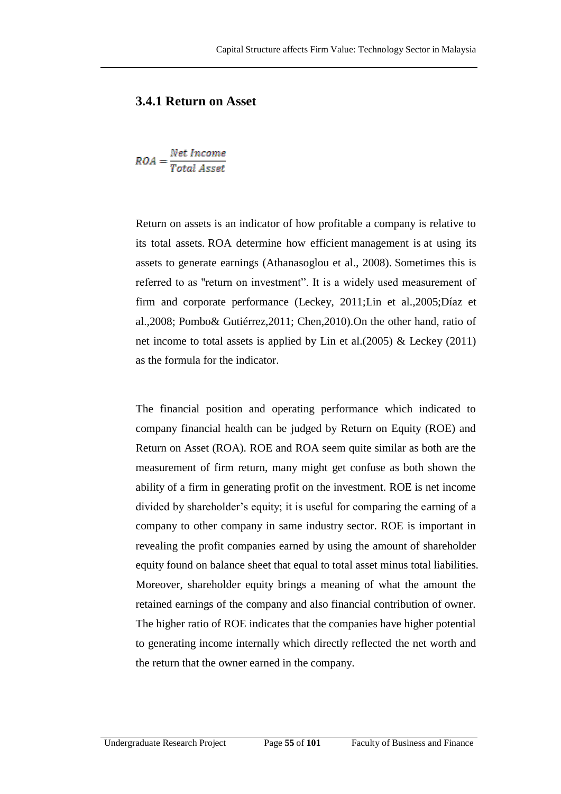#### **3.4.1 Return on Asset**

$$
ROA = \frac{Net\ Income}{Total\ Asset}
$$

Return on assets is an indicator of how profitable a company is relative to its total assets. ROA determine how efficient management is at using its assets to generate earnings (Athanasoglou et al., 2008). Sometimes this is referred to as "return on investment". It is a widely used measurement of firm and corporate performance (Leckey, 2011;Lin et al.,2005;Díaz et al.,2008; Pombo& Gutiérrez,2011; Chen,2010).On the other hand, ratio of net income to total assets is applied by Lin et al.(2005) & Leckey (2011) as the formula for the indicator.

The financial position and operating performance which indicated to company financial health can be judged by Return on Equity (ROE) and Return on Asset (ROA). ROE and ROA seem quite similar as both are the measurement of firm return, many might get confuse as both shown the ability of a firm in generating profit on the investment. ROE is net income divided by shareholder's equity; it is useful for comparing the earning of a company to other company in same industry sector. ROE is important in revealing the profit companies earned by using the amount of shareholder equity found on balance sheet that equal to total asset minus total liabilities. Moreover, shareholder equity brings a meaning of what the amount the retained earnings of the company and also financial contribution of owner. The higher ratio of ROE indicates that the companies have higher potential to generating income internally which directly reflected the net worth and the return that the owner earned in the company.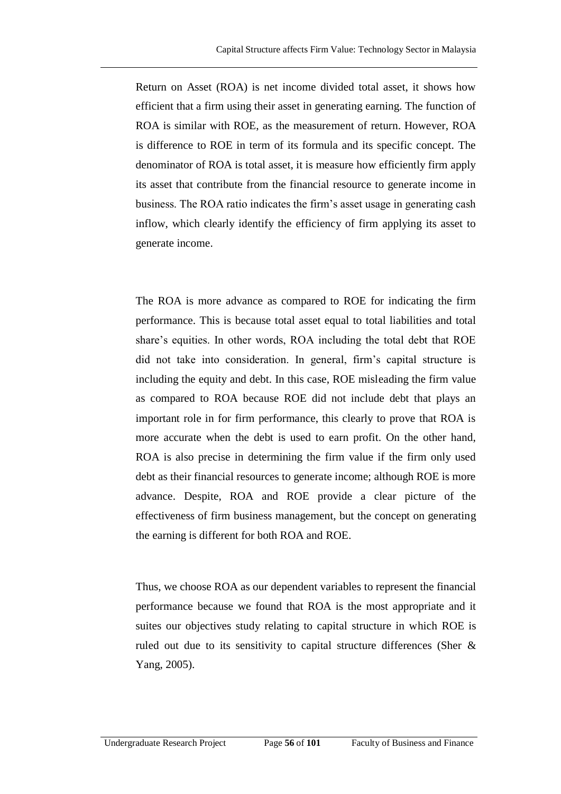Return on Asset (ROA) is net income divided total asset, it shows how efficient that a firm using their asset in generating earning. The function of ROA is similar with ROE, as the measurement of return. However, ROA is difference to ROE in term of its formula and its specific concept. The denominator of ROA is total asset, it is measure how efficiently firm apply its asset that contribute from the financial resource to generate income in business. The ROA ratio indicates the firm's asset usage in generating cash inflow, which clearly identify the efficiency of firm applying its asset to generate income.

The ROA is more advance as compared to ROE for indicating the firm performance. This is because total asset equal to total liabilities and total share's equities. In other words, ROA including the total debt that ROE did not take into consideration. In general, firm's capital structure is including the equity and debt. In this case, ROE misleading the firm value as compared to ROA because ROE did not include debt that plays an important role in for firm performance, this clearly to prove that ROA is more accurate when the debt is used to earn profit. On the other hand, ROA is also precise in determining the firm value if the firm only used debt as their financial resources to generate income; although ROE is more advance. Despite, ROA and ROE provide a clear picture of the effectiveness of firm business management, but the concept on generating the earning is different for both ROA and ROE.

Thus, we choose ROA as our dependent variables to represent the financial performance because we found that ROA is the most appropriate and it suites our objectives study relating to capital structure in which ROE is ruled out due to its sensitivity to capital structure differences (Sher & Yang, 2005).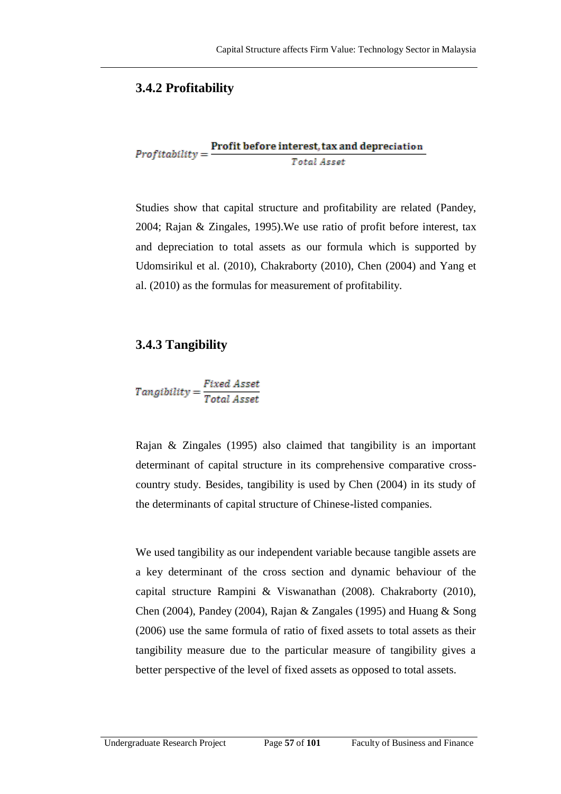### **3.4.2 Profitability**

 $Profit \textbf{left} = \frac{Profit \textbf{ before interest}, \textbf{tax} \textbf{ and depreciation}}{Total \textit{ Asset}}$ 

Studies show that capital structure and profitability are related (Pandey, 2004; Rajan & Zingales, 1995).We use ratio of profit before interest, tax and depreciation to total assets as our formula which is supported by Udomsirikul et al. (2010), Chakraborty (2010), Chen (2004) and Yang et al. (2010) as the formulas for measurement of profitability.

### **3.4.3 Tangibility**

 $\label{eq:3} Tangibility = \frac{Fixed~ Asset}{Total~ Asset}$ 

Rajan & Zingales (1995) also claimed that tangibility is an important determinant of capital structure in its comprehensive comparative crosscountry study. Besides, tangibility is used by Chen (2004) in its study of the determinants of capital structure of Chinese-listed companies.

We used tangibility as our independent variable because tangible assets are a key determinant of the cross section and dynamic behaviour of the capital structure Rampini & Viswanathan (2008). Chakraborty (2010), Chen (2004), Pandey (2004), Rajan & Zangales (1995) and Huang & Song (2006) use the same formula of ratio of fixed assets to total assets as their tangibility measure due to the particular measure of tangibility gives a better perspective of the level of fixed assets as opposed to total assets.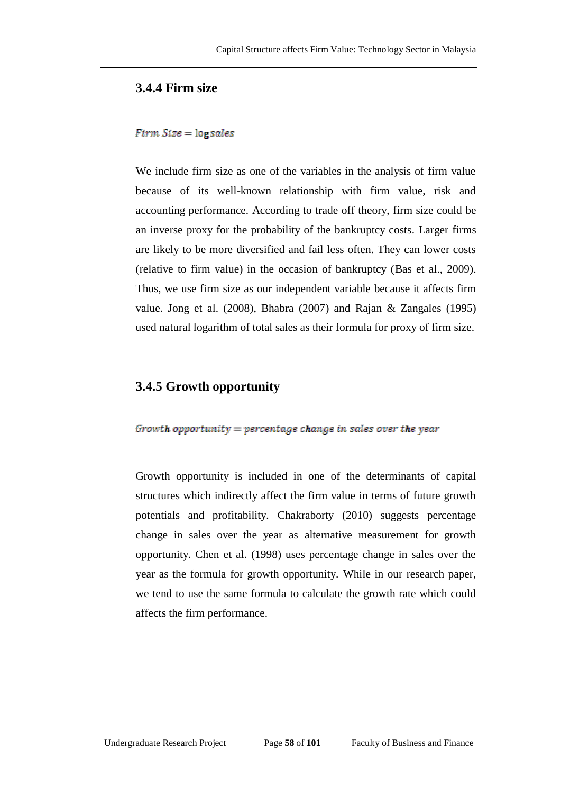#### **3.4.4 Firm size**

#### $Firm Size = log sales$

We include firm size as one of the variables in the analysis of firm value because of its well-known relationship with firm value, risk and accounting performance. According to trade off theory, firm size could be an inverse proxy for the probability of the bankruptcy costs. Larger firms are likely to be more diversified and fail less often. They can lower costs (relative to firm value) in the occasion of bankruptcy (Bas et al., 2009). Thus, we use firm size as our independent variable because it affects firm value. Jong et al. (2008), Bhabra (2007) and Rajan & Zangales (1995) used natural logarithm of total sales as their formula for proxy of firm size.

#### **3.4.5 Growth opportunity**

#### Growth opportunity = percentage change in sales over the year

Growth opportunity is included in one of the determinants of capital structures which indirectly affect the firm value in terms of future growth potentials and profitability. Chakraborty (2010) suggests percentage change in sales over the year as alternative measurement for growth opportunity. Chen et al. (1998) uses percentage change in sales over the year as the formula for growth opportunity. While in our research paper, we tend to use the same formula to calculate the growth rate which could affects the firm performance.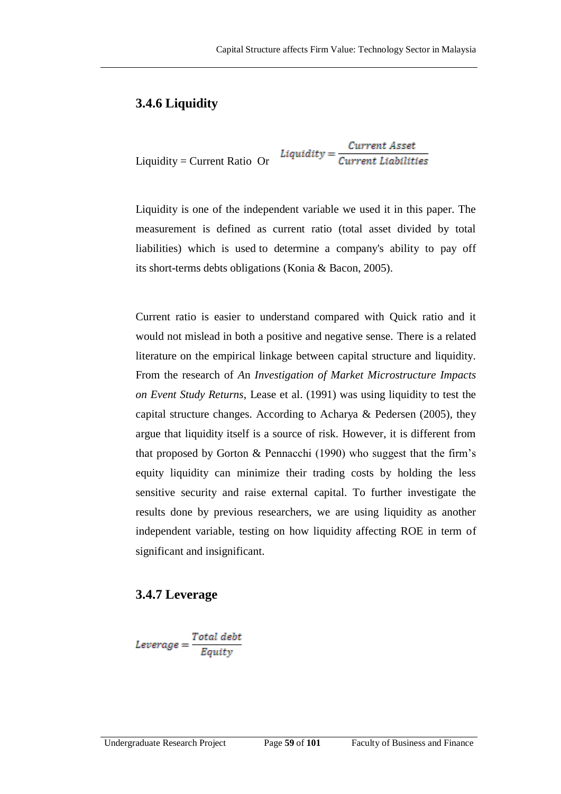#### **3.4.6 Liquidity**

$$
Liquidity = Current Ratio \ Or \ \ Liquidity = \frac{Current \ Asset}{Current \ Liabilities}
$$

Liquidity is one of the independent variable we used it in this paper. The measurement is defined as current ratio (total asset divided by total liabilities) which is used to determine a company's ability to pay off its short-terms debts obligations (Konia & Bacon, 2005).

Current ratio is easier to understand compared with Quick ratio and it would not mislead in both a positive and negative sense. There is a related literature on the empirical linkage between capital structure and liquidity. From the research of *A*n *Investigation of Market Microstructure Impacts on Event Study Returns*, Lease et al. (1991) was using liquidity to test the capital structure changes. According to Acharya & Pedersen (2005), they argue that liquidity itself is a source of risk. However, it is different from that proposed by Gorton & Pennacchi (1990) who suggest that the firm's equity liquidity can minimize their trading costs by holding the less sensitive security and raise external capital. To further investigate the results done by previous researchers, we are using liquidity as another independent variable, testing on how liquidity affecting ROE in term of significant and insignificant.

#### **3.4.7 Leverage**

$$
Leverage = \frac{Total\ debt}{Equity}
$$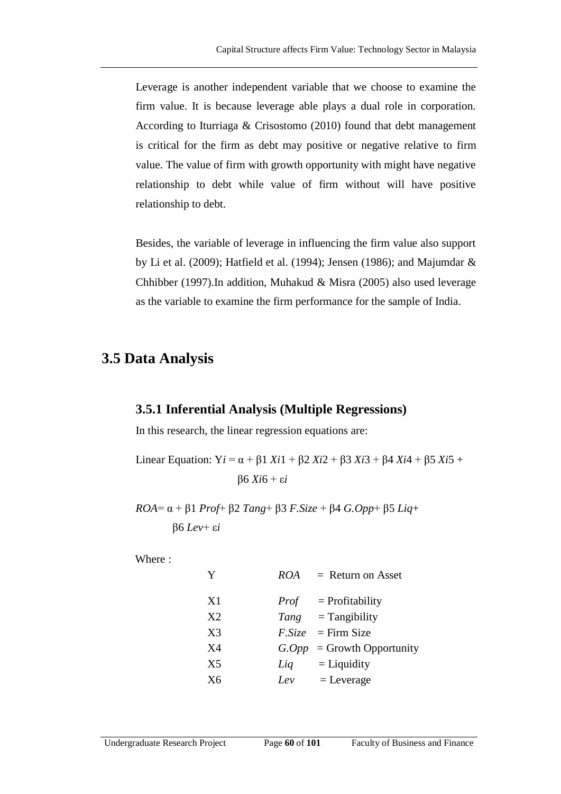Leverage is another independent variable that we choose to examine the firm value. It is because leverage able plays a dual role in corporation. According to Iturriaga & Crisostomo (2010) found that debt management is critical for the firm as debt may positive or negative relative to firm value. The value of firm with growth opportunity with might have negative relationship to debt while value of firm without will have positive relationship to debt.

Besides, the variable of leverage in influencing the firm value also support by Li et al. (2009); Hatfield et al. (1994); Jensen (1986); and Majumdar & Chhibber (1997).In addition, Muhakud & Misra (2005) also used leverage as the variable to examine the firm performance for the sample of India.

#### **3.5 Data Analysis**

#### **3.5.1 Inferential Analysis (Multiple Regressions)**

In this research, the linear regression equations are:

Linear Equation:  $Y_i = \alpha + \beta 1 X_i$  +  $\beta 2 X_i$  2 +  $\beta 3 X_i$  3 +  $\beta 4 X_i$  4 +  $\beta 5 X_i$  5 + β6 *Xi*6 + ε*i*

*ROA*= α + β1 *Prof*+ β2 *Tang*+ β3 *F.Size* + β4 *G.Opp*+ β5 *Liq*+ β6 *Lev*+ ε*i*

Where :

| Y  | <b>ROA</b> | $=$ Return on Asset           |
|----|------------|-------------------------------|
| X1 |            | $Prof = Profitability$        |
| X2 |            | $Tang$ = Tangibility          |
| X3 |            | $F. Size = Firm Size$         |
| X4 |            | $G. Opp = Growth Opportunity$ |
| X5 | Liq        | $=$ Liquidity                 |
| X6 | Lev        | $=$ Leverage                  |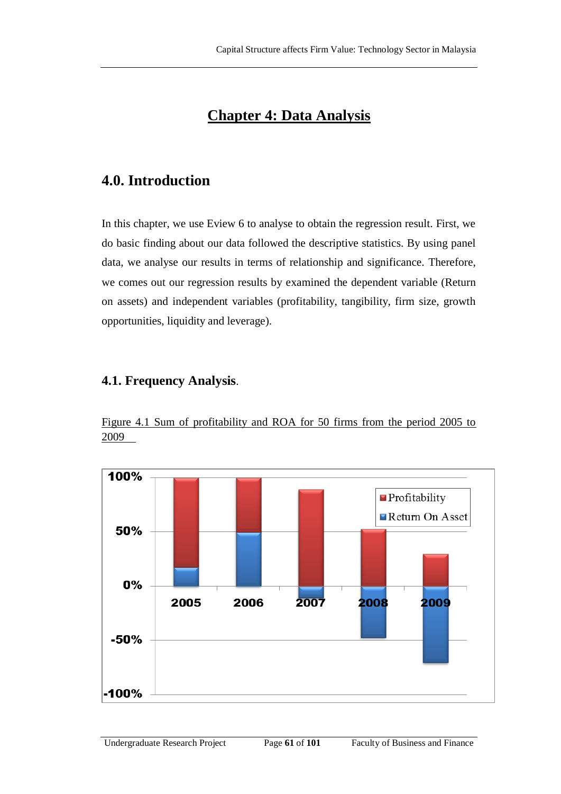## **Chapter 4: Data Analysis**

## **4.0. Introduction**

In this chapter, we use Eview 6 to analyse to obtain the regression result. First, we do basic finding about our data followed the descriptive statistics. By using panel data, we analyse our results in terms of relationship and significance. Therefore, we comes out our regression results by examined the dependent variable (Return on assets) and independent variables (profitability, tangibility, firm size, growth opportunities, liquidity and leverage).

#### **4.1. Frequency Analysis**.

Figure 4.1 Sum of profitability and ROA for 50 firms from the period 2005 to 2009

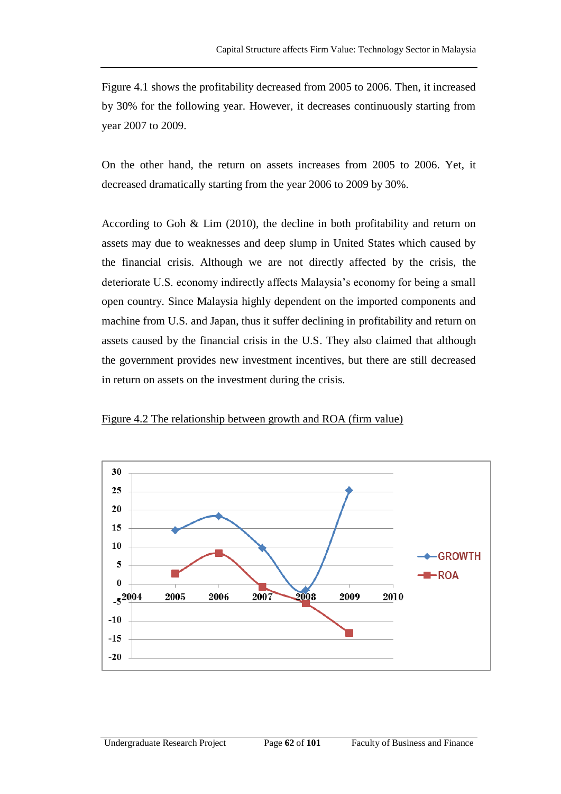Figure 4.1 shows the profitability decreased from 2005 to 2006. Then, it increased by 30% for the following year. However, it decreases continuously starting from year 2007 to 2009.

On the other hand, the return on assets increases from 2005 to 2006. Yet, it decreased dramatically starting from the year 2006 to 2009 by 30%.

According to Goh & Lim (2010), the decline in both profitability and return on assets may due to weaknesses and deep slump in United States which caused by the financial crisis. Although we are not directly affected by the crisis, the deteriorate U.S. economy indirectly affects Malaysia's economy for being a small open country. Since Malaysia highly dependent on the imported components and machine from U.S. and Japan, thus it suffer declining in profitability and return on assets caused by the financial crisis in the U.S. They also claimed that although the government provides new investment incentives, but there are still decreased in return on assets on the investment during the crisis.



Figure 4.2 The relationship between growth and ROA (firm value)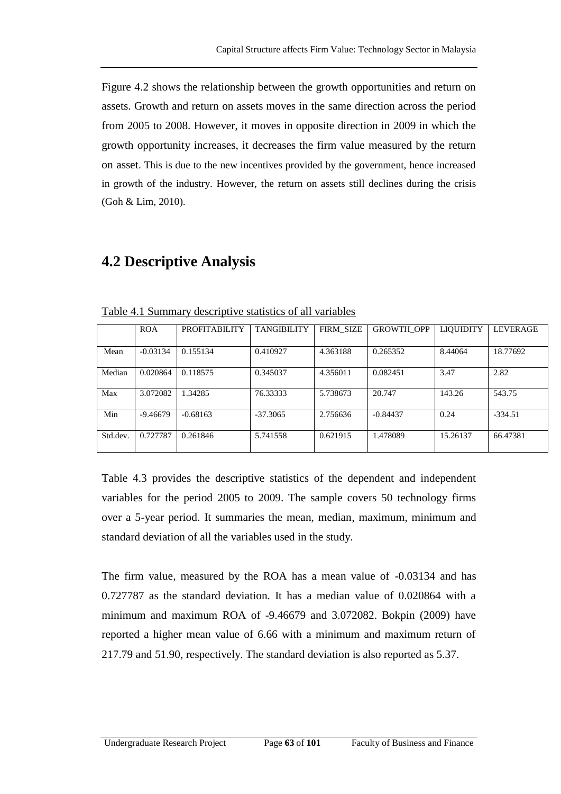Figure 4.2 shows the relationship between the growth opportunities and return on assets. Growth and return on assets moves in the same direction across the period from 2005 to 2008. However, it moves in opposite direction in 2009 in which the growth opportunity increases, it decreases the firm value measured by the return on asset. This is due to the new incentives provided by the government, hence increased in growth of the industry. However, the return on assets still declines during the crisis (Goh & Lim, 2010).

#### **4.2 Descriptive Analysis**

|          | <b>ROA</b> | <b>PROFITABILITY</b> | <b>TANGIBILITY</b> | <b>FIRM SIZE</b> | <b>GROWTH OPP</b> | <b>LIQUIDITY</b> | <b>LEVERAGE</b> |
|----------|------------|----------------------|--------------------|------------------|-------------------|------------------|-----------------|
| Mean     | $-0.03134$ | 0.155134             | 0.410927           | 4.363188         | 0.265352          | 8.44064          | 18.77692        |
| Median   | 0.020864   | 0.118575             | 0.345037           | 4.356011         | 0.082451          | 3.47             | 2.82            |
| Max      | 3.072082   | 1.34285              | 76.33333           | 5.738673         | 20.747            | 143.26           | 543.75          |
| Min      | $-9.46679$ | $-0.68163$           | $-37.3065$         | 2.756636         | $-0.84437$        | 0.24             | $-334.51$       |
| Std.dev. | 0.727787   | 0.261846             | 5.741558           | 0.621915         | 1.478089          | 15.26137         | 66.47381        |

Table 4.1 Summary descriptive statistics of all variables

Table 4.3 provides the descriptive statistics of the dependent and independent variables for the period 2005 to 2009. The sample covers 50 technology firms over a 5-year period. It summaries the mean, median, maximum, minimum and standard deviation of all the variables used in the study.

The firm value, measured by the ROA has a mean value of -0.03134 and has 0.727787 as the standard deviation. It has a median value of 0.020864 with a minimum and maximum ROA of -9.46679 and 3.072082. Bokpin (2009) have reported a higher mean value of 6.66 with a minimum and maximum return of 217.79 and 51.90, respectively. The standard deviation is also reported as 5.37.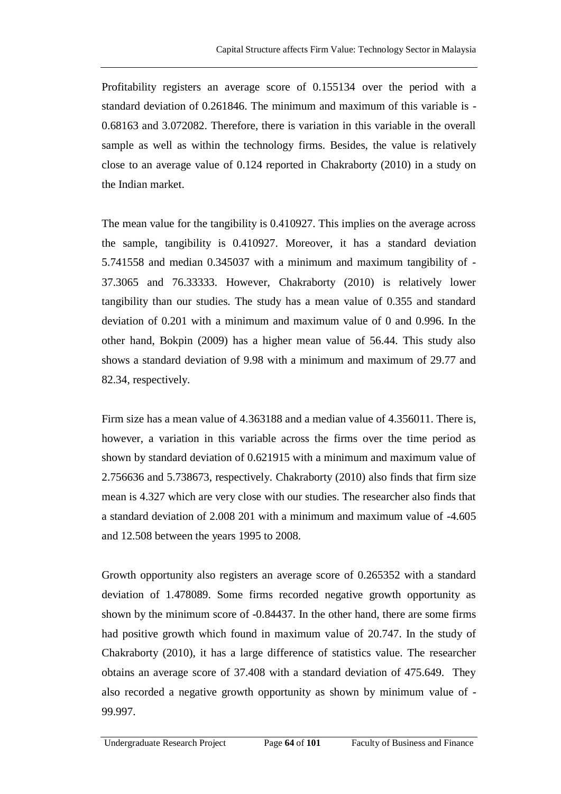Profitability registers an average score of 0.155134 over the period with a standard deviation of 0.261846. The minimum and maximum of this variable is - 0.68163 and 3.072082. Therefore, there is variation in this variable in the overall sample as well as within the technology firms. Besides, the value is relatively close to an average value of 0.124 reported in Chakraborty (2010) in a study on the Indian market.

The mean value for the tangibility is 0.410927. This implies on the average across the sample, tangibility is 0.410927. Moreover, it has a standard deviation 5.741558 and median 0.345037 with a minimum and maximum tangibility of - 37.3065 and 76.33333. However, Chakraborty (2010) is relatively lower tangibility than our studies. The study has a mean value of 0.355 and standard deviation of 0.201 with a minimum and maximum value of 0 and 0.996. In the other hand, Bokpin (2009) has a higher mean value of 56.44. This study also shows a standard deviation of 9.98 with a minimum and maximum of 29.77 and 82.34, respectively.

Firm size has a mean value of 4.363188 and a median value of 4.356011. There is, however, a variation in this variable across the firms over the time period as shown by standard deviation of 0.621915 with a minimum and maximum value of 2.756636 and 5.738673, respectively. Chakraborty (2010) also finds that firm size mean is 4.327 which are very close with our studies. The researcher also finds that a standard deviation of 2.008 201 with a minimum and maximum value of -4.605 and 12.508 between the years 1995 to 2008.

Growth opportunity also registers an average score of 0.265352 with a standard deviation of 1.478089. Some firms recorded negative growth opportunity as shown by the minimum score of -0.84437. In the other hand, there are some firms had positive growth which found in maximum value of 20.747. In the study of Chakraborty (2010), it has a large difference of statistics value. The researcher obtains an average score of 37.408 with a standard deviation of 475.649. They also recorded a negative growth opportunity as shown by minimum value of - 99.997.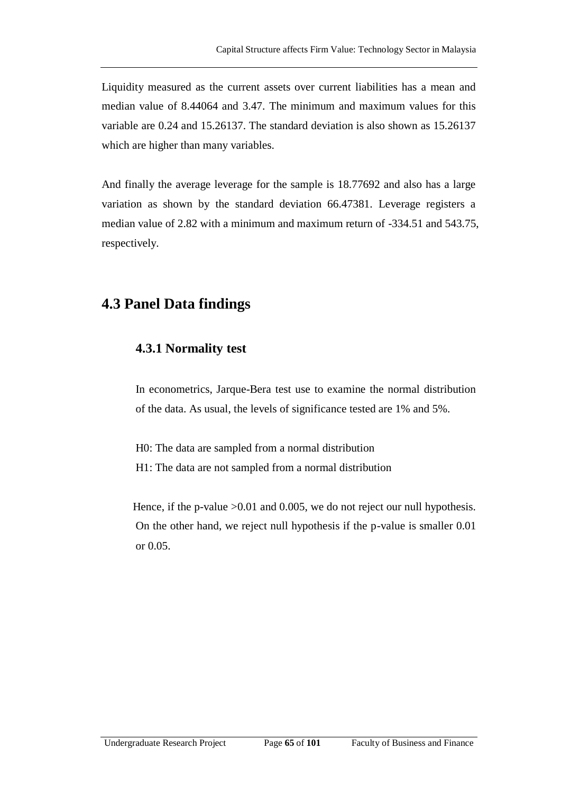Liquidity measured as the current assets over current liabilities has a mean and median value of 8.44064 and 3.47. The minimum and maximum values for this variable are 0.24 and 15.26137. The standard deviation is also shown as 15.26137 which are higher than many variables.

And finally the average leverage for the sample is 18.77692 and also has a large variation as shown by the standard deviation 66.47381. Leverage registers a median value of 2.82 with a minimum and maximum return of -334.51 and 543.75, respectively.

#### **4.3 Panel Data findings**

#### **4.3.1 Normality test**

In econometrics, Jarque-Bera test use to examine the normal distribution of the data. As usual, the levels of significance tested are 1% and 5%.

H0: The data are sampled from a normal distribution H1: The data are not sampled from a normal distribution

Hence, if the p-value > 0.01 and 0.005, we do not reject our null hypothesis. On the other hand, we reject null hypothesis if the p-value is smaller 0.01 or 0.05.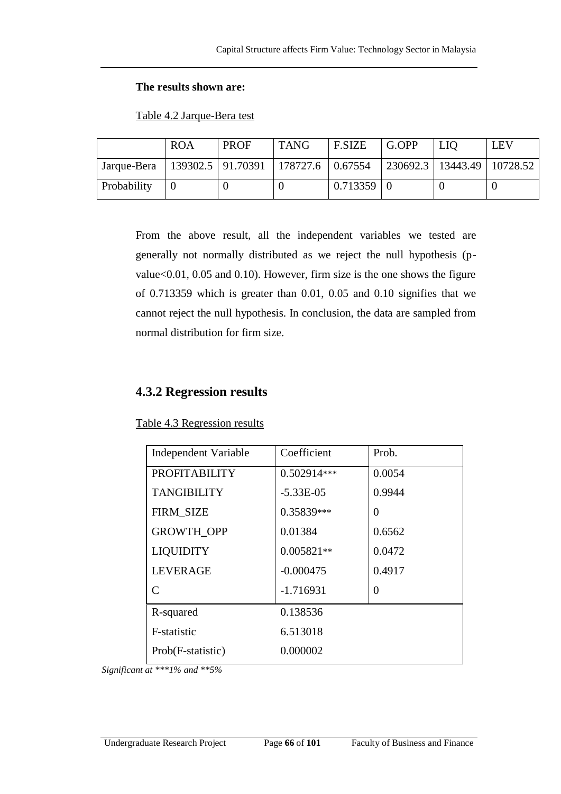#### **The results shown are:**

|             | <b>ROA</b> | <b>PROF</b>                              | <b>TANG</b> | <b>F.SIZE</b> | G.OPP | <b>LIO</b>                     | <b>LEV</b> |
|-------------|------------|------------------------------------------|-------------|---------------|-------|--------------------------------|------------|
| Jarque-Bera |            | 139302.5   91.70391   178727.6   0.67554 |             |               |       | 230692.3   13443.49   10728.52 |            |
| Probability |            |                                          |             | 0.713359      |       |                                |            |

Table 4.2 Jarque-Bera test

From the above result, all the independent variables we tested are generally not normally distributed as we reject the null hypothesis (pvalue<0.01, 0.05 and 0.10). However, firm size is the one shows the figure of 0.713359 which is greater than 0.01, 0.05 and 0.10 signifies that we cannot reject the null hypothesis. In conclusion, the data are sampled from normal distribution for firm size.

#### **4.3.2 Regression results**

| <b>Independent Variable</b> | Coefficient   | Prob.    |
|-----------------------------|---------------|----------|
| <b>PROFITABILITY</b>        | 0.502914***   | 0.0054   |
| <b>TANGIBILITY</b>          | $-5.33E - 05$ | 0.9944   |
| <b>FIRM_SIZE</b>            | 0.35839***    | $\theta$ |
| <b>GROWTH OPP</b>           | 0.01384       | 0.6562   |
| <b>LIQUIDITY</b>            | $0.005821**$  | 0.0472   |
| <b>LEVERAGE</b>             | $-0.000475$   | 0.4917   |
| $\subset$                   | $-1.716931$   | $\Omega$ |
| R-squared                   | 0.138536      |          |
| F-statistic                 | 6.513018      |          |
| Prob(F-statistic)           | 0.000002      |          |

Table 4.3 Regression results

*Significant at \*\*\*1% and \*\*5%*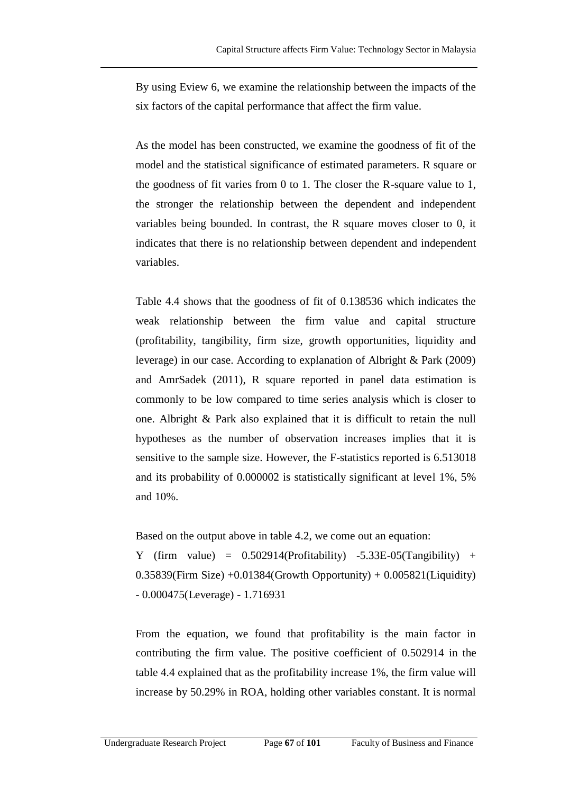By using Eview 6, we examine the relationship between the impacts of the six factors of the capital performance that affect the firm value.

As the model has been constructed, we examine the goodness of fit of the model and the statistical significance of estimated parameters. R square or the goodness of fit varies from 0 to 1. The closer the R-square value to 1, the stronger the relationship between the dependent and independent variables being bounded. In contrast, the R square moves closer to 0, it indicates that there is no relationship between dependent and independent variables.

Table 4.4 shows that the goodness of fit of 0.138536 which indicates the weak relationship between the firm value and capital structure (profitability, tangibility, firm size, growth opportunities, liquidity and leverage) in our case. According to explanation of Albright & Park (2009) and AmrSadek (2011), R square reported in panel data estimation is commonly to be low compared to time series analysis which is closer to one. Albright & Park also explained that it is difficult to retain the null hypotheses as the number of observation increases implies that it is sensitive to the sample size. However, the F-statistics reported is 6.513018 and its probability of 0.000002 is statistically significant at level 1%, 5% and 10%.

Based on the output above in table 4.2, we come out an equation:

Y (firm value) =  $0.502914$ (Profitability) -5.33E-05(Tangibility) + 0.35839(Firm Size) +0.01384(Growth Opportunity) + 0.005821(Liquidity) - 0.000475(Leverage) - 1.716931

From the equation, we found that profitability is the main factor in contributing the firm value. The positive coefficient of 0.502914 in the table 4.4 explained that as the profitability increase 1%, the firm value will increase by 50.29% in ROA, holding other variables constant. It is normal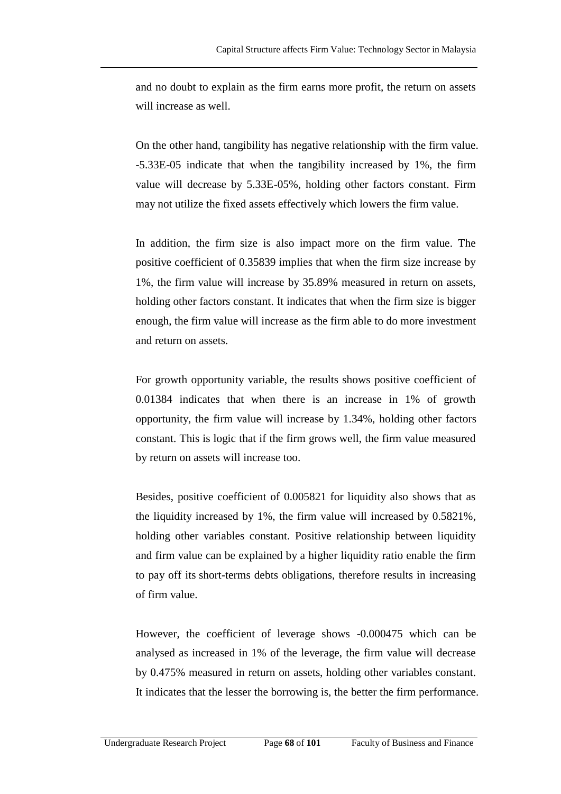and no doubt to explain as the firm earns more profit, the return on assets will increase as well.

On the other hand, tangibility has negative relationship with the firm value. -5.33E-05 indicate that when the tangibility increased by 1%, the firm value will decrease by 5.33E-05%, holding other factors constant. Firm may not utilize the fixed assets effectively which lowers the firm value.

In addition, the firm size is also impact more on the firm value. The positive coefficient of 0.35839 implies that when the firm size increase by 1%, the firm value will increase by 35.89% measured in return on assets, holding other factors constant. It indicates that when the firm size is bigger enough, the firm value will increase as the firm able to do more investment and return on assets.

For growth opportunity variable, the results shows positive coefficient of 0.01384 indicates that when there is an increase in 1% of growth opportunity, the firm value will increase by 1.34%, holding other factors constant. This is logic that if the firm grows well, the firm value measured by return on assets will increase too.

Besides, positive coefficient of 0.005821 for liquidity also shows that as the liquidity increased by 1%, the firm value will increased by 0.5821%, holding other variables constant. Positive relationship between liquidity and firm value can be explained by a higher liquidity ratio enable the firm to pay off its short-terms debts obligations, therefore results in increasing of firm value.

However, the coefficient of leverage shows -0.000475 which can be analysed as increased in 1% of the leverage, the firm value will decrease by 0.475% measured in return on assets, holding other variables constant. It indicates that the lesser the borrowing is, the better the firm performance.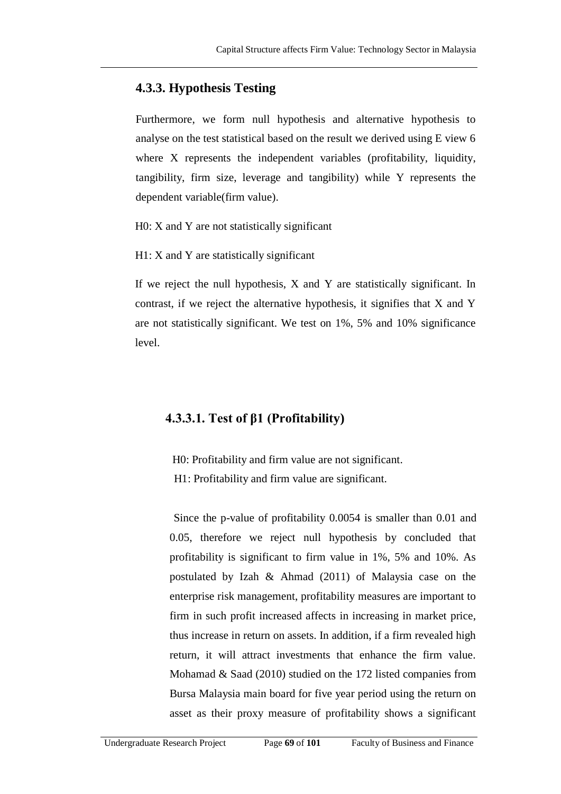#### **4.3.3. Hypothesis Testing**

Furthermore, we form null hypothesis and alternative hypothesis to analyse on the test statistical based on the result we derived using E view 6 where X represents the independent variables (profitability, liquidity, tangibility, firm size, leverage and tangibility) while Y represents the dependent variable(firm value).

H0: X and Y are not statistically significant

H1: X and Y are statistically significant

If we reject the null hypothesis, X and Y are statistically significant. In contrast, if we reject the alternative hypothesis, it signifies that X and Y are not statistically significant. We test on 1%, 5% and 10% significance level.

#### **4.3.3.1. Test of β1 (Profitability)**

- H0: Profitability and firm value are not significant.
- H1: Profitability and firm value are significant.

Since the p-value of profitability 0.0054 is smaller than 0.01 and 0.05, therefore we reject null hypothesis by concluded that profitability is significant to firm value in 1%, 5% and 10%. As postulated by Izah & Ahmad (2011) of Malaysia case on the enterprise risk management, profitability measures are important to firm in such profit increased affects in increasing in market price, thus increase in return on assets. In addition, if a firm revealed high return, it will attract investments that enhance the firm value. Mohamad & Saad (2010) studied on the 172 listed companies from Bursa Malaysia main board for five year period using the return on asset as their proxy measure of profitability shows a significant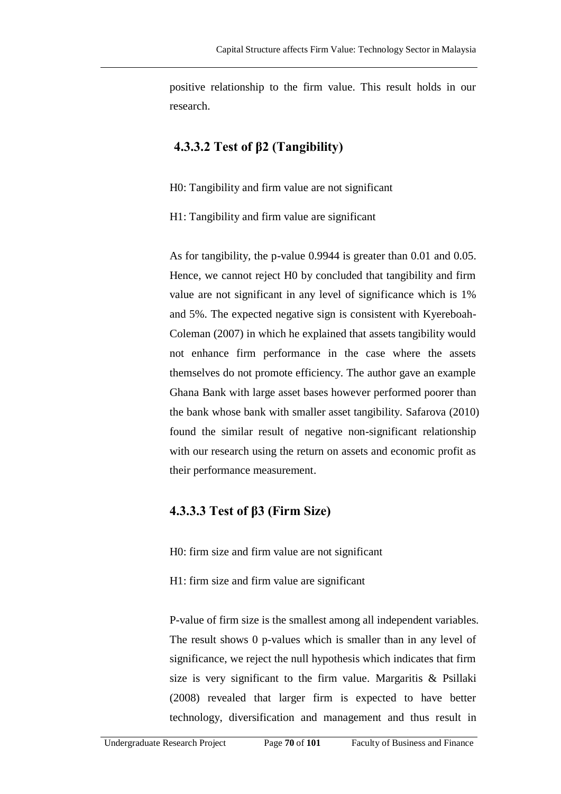positive relationship to the firm value. This result holds in our research.

#### **4.3.3.2 Test of β2 (Tangibility)**

H0: Tangibility and firm value are not significant

H1: Tangibility and firm value are significant

As for tangibility, the p-value 0.9944 is greater than 0.01 and 0.05. Hence, we cannot reject H0 by concluded that tangibility and firm value are not significant in any level of significance which is 1% and 5%. The expected negative sign is consistent with Kyereboah-Coleman (2007) in which he explained that assets tangibility would not enhance firm performance in the case where the assets themselves do not promote efficiency. The author gave an example Ghana Bank with large asset bases however performed poorer than the bank whose bank with smaller asset tangibility. Safarova (2010) found the similar result of negative non-significant relationship with our research using the return on assets and economic profit as their performance measurement.

#### **4.3.3.3 Test of β3 (Firm Size)**

H0: firm size and firm value are not significant

H1: firm size and firm value are significant

P-value of firm size is the smallest among all independent variables. The result shows 0 p-values which is smaller than in any level of significance, we reject the null hypothesis which indicates that firm size is very significant to the firm value. Margaritis & Psillaki (2008) revealed that larger firm is expected to have better technology, diversification and management and thus result in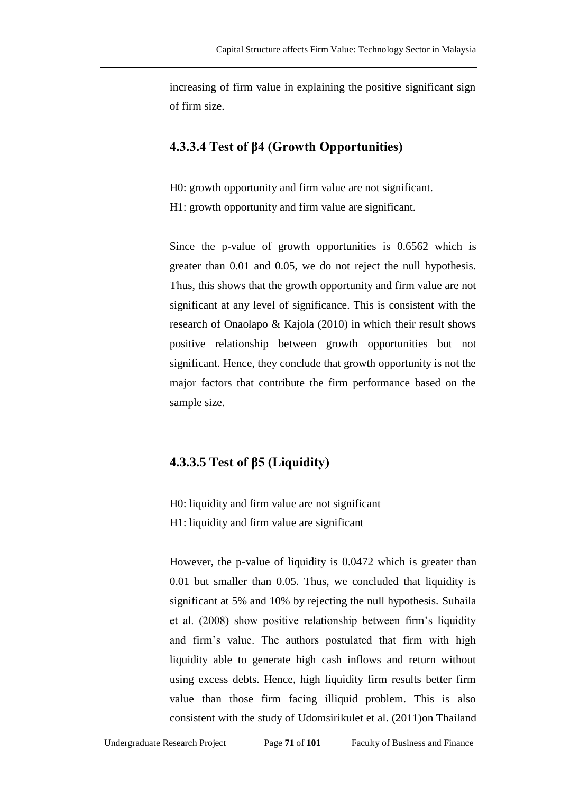increasing of firm value in explaining the positive significant sign of firm size.

#### **4.3.3.4 Test of β4 (Growth Opportunities)**

H0: growth opportunity and firm value are not significant. H1: growth opportunity and firm value are significant.

Since the p-value of growth opportunities is 0.6562 which is greater than 0.01 and 0.05, we do not reject the null hypothesis. Thus, this shows that the growth opportunity and firm value are not significant at any level of significance. This is consistent with the research of Onaolapo & Kajola (2010) in which their result shows positive relationship between growth opportunities but not significant. Hence, they conclude that growth opportunity is not the major factors that contribute the firm performance based on the sample size.

### **4.3.3.5 Test of β5 (Liquidity)**

H0: liquidity and firm value are not significant H1: liquidity and firm value are significant

However, the p-value of liquidity is 0.0472 which is greater than 0.01 but smaller than 0.05. Thus, we concluded that liquidity is significant at 5% and 10% by rejecting the null hypothesis. Suhaila et al. (2008) show positive relationship between firm's liquidity and firm's value. The authors postulated that firm with high liquidity able to generate high cash inflows and return without using excess debts. Hence, high liquidity firm results better firm value than those firm facing illiquid problem. This is also consistent with the study of Udomsirikulet et al. (2011)on Thailand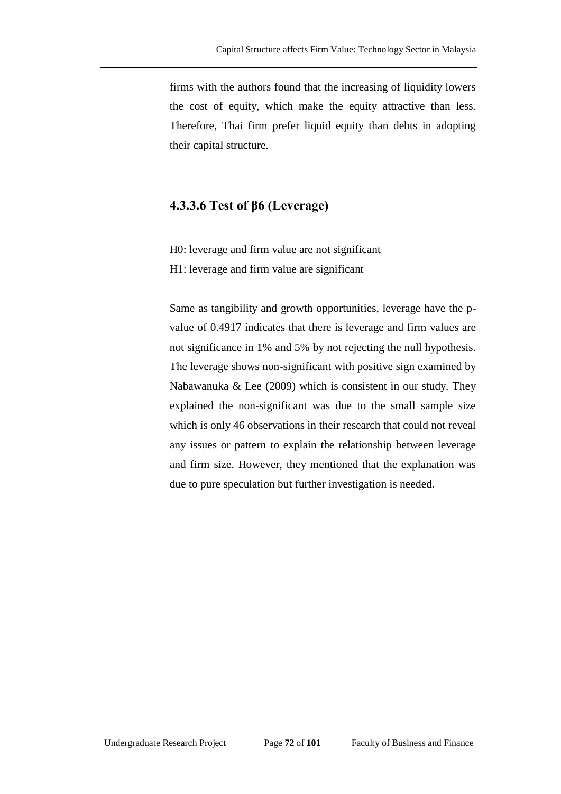firms with the authors found that the increasing of liquidity lowers the cost of equity, which make the equity attractive than less. Therefore, Thai firm prefer liquid equity than debts in adopting their capital structure.

#### **4.3.3.6 Test of β6 (Leverage)**

H0: leverage and firm value are not significant H1: leverage and firm value are significant

Same as tangibility and growth opportunities, leverage have the pvalue of 0.4917 indicates that there is leverage and firm values are not significance in 1% and 5% by not rejecting the null hypothesis. The leverage shows non-significant with positive sign examined by Nabawanuka & Lee (2009) which is consistent in our study. They explained the non-significant was due to the small sample size which is only 46 observations in their research that could not reveal any issues or pattern to explain the relationship between leverage and firm size. However, they mentioned that the explanation was due to pure speculation but further investigation is needed.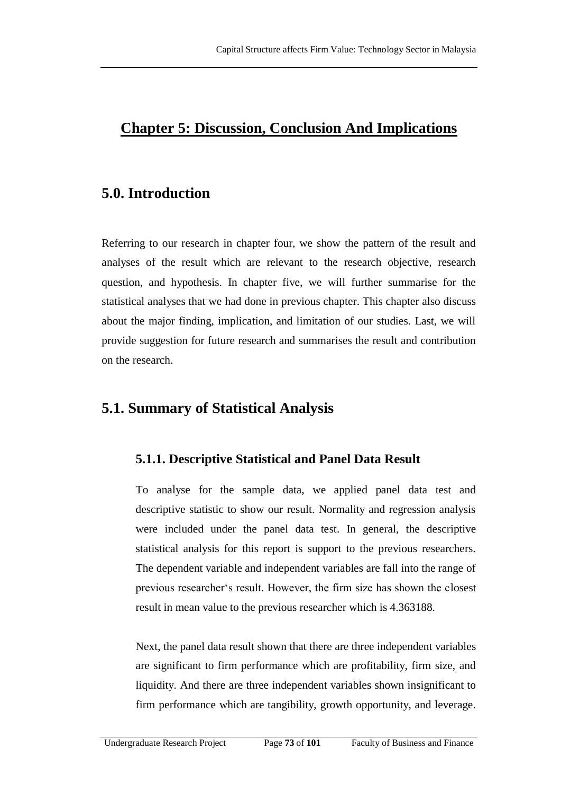### **Chapter 5: Discussion, Conclusion And Implications**

#### **5.0. Introduction**

Referring to our research in chapter four, we show the pattern of the result and analyses of the result which are relevant to the research objective, research question, and hypothesis. In chapter five, we will further summarise for the statistical analyses that we had done in previous chapter. This chapter also discuss about the major finding, implication, and limitation of our studies. Last, we will provide suggestion for future research and summarises the result and contribution on the research.

### **5.1. Summary of Statistical Analysis**

#### **5.1.1. Descriptive Statistical and Panel Data Result**

To analyse for the sample data, we applied panel data test and descriptive statistic to show our result. Normality and regression analysis were included under the panel data test. In general, the descriptive statistical analysis for this report is support to the previous researchers. The dependent variable and independent variables are fall into the range of previous researcher‗s result. However, the firm size has shown the closest result in mean value to the previous researcher which is 4.363188.

Next, the panel data result shown that there are three independent variables are significant to firm performance which are profitability, firm size, and liquidity. And there are three independent variables shown insignificant to firm performance which are tangibility, growth opportunity, and leverage.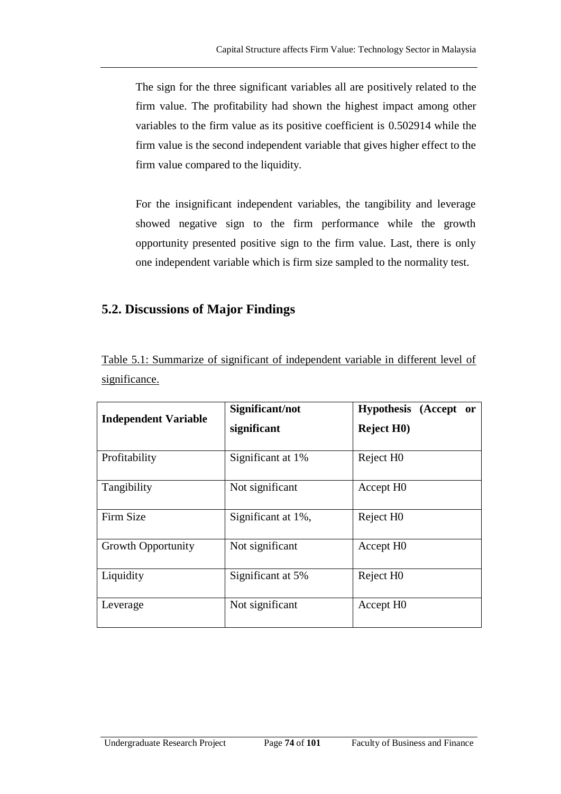The sign for the three significant variables all are positively related to the firm value. The profitability had shown the highest impact among other variables to the firm value as its positive coefficient is 0.502914 while the firm value is the second independent variable that gives higher effect to the firm value compared to the liquidity.

For the insignificant independent variables, the tangibility and leverage showed negative sign to the firm performance while the growth opportunity presented positive sign to the firm value. Last, there is only one independent variable which is firm size sampled to the normality test.

#### **5.2. Discussions of Major Findings**

| Table 5.1: Summarize of significant of independent variable in different level of |  |  |  |
|-----------------------------------------------------------------------------------|--|--|--|
| significance.                                                                     |  |  |  |

| <b>Independent Variable</b> | Significant/not<br>significant | Hypothesis (Accept or<br><b>Reject H0</b> ) |
|-----------------------------|--------------------------------|---------------------------------------------|
| Profitability               | Significant at 1%              | Reject H <sub>0</sub>                       |
| Tangibility                 | Not significant                | Accept H <sub>0</sub>                       |
| Firm Size                   | Significant at 1%,             | Reject H <sub>0</sub>                       |
| <b>Growth Opportunity</b>   | Not significant                | Accept H <sub>0</sub>                       |
| Liquidity                   | Significant at 5%              | Reject H <sub>0</sub>                       |
| Leverage                    | Not significant                | Accept H <sub>0</sub>                       |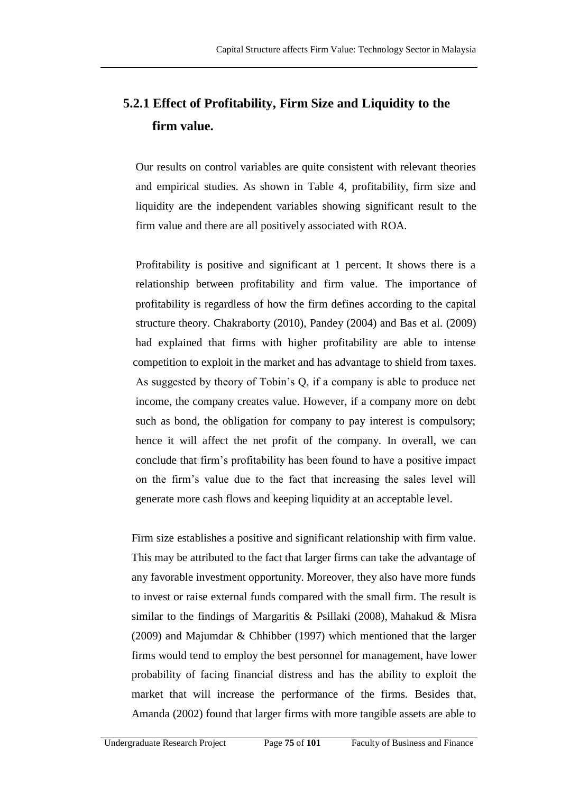# **5.2.1 Effect of Profitability, Firm Size and Liquidity to the firm value.**

Our results on control variables are quite consistent with relevant theories and empirical studies. As shown in Table 4, profitability, firm size and liquidity are the independent variables showing significant result to the firm value and there are all positively associated with ROA.

Profitability is positive and significant at 1 percent. It shows there is a relationship between profitability and firm value. The importance of profitability is regardless of how the firm defines according to the capital structure theory. Chakraborty (2010), Pandey (2004) and Bas et al. (2009) had explained that firms with higher profitability are able to intense competition to exploit in the market and has advantage to shield from taxes. As suggested by theory of Tobin's Q, if a company is able to produce net income, the company creates value. However, if a company more on debt such as bond, the obligation for company to pay interest is compulsory; hence it will affect the net profit of the company. In overall, we can conclude that firm's profitability has been found to have a positive impact on the firm's value due to the fact that increasing the sales level will generate more cash flows and keeping liquidity at an acceptable level.

Firm size establishes a positive and significant relationship with firm value. This may be attributed to the fact that larger firms can take the advantage of any favorable investment opportunity. Moreover, they also have more funds to invest or raise external funds compared with the small firm. The result is similar to the findings of Margaritis & Psillaki (2008), Mahakud & Misra (2009) and Majumdar & Chhibber (1997) which mentioned that the larger firms would tend to employ the best personnel for management, have lower probability of facing financial distress and has the ability to exploit the market that will increase the performance of the firms. Besides that, Amanda (2002) found that larger firms with more tangible assets are able to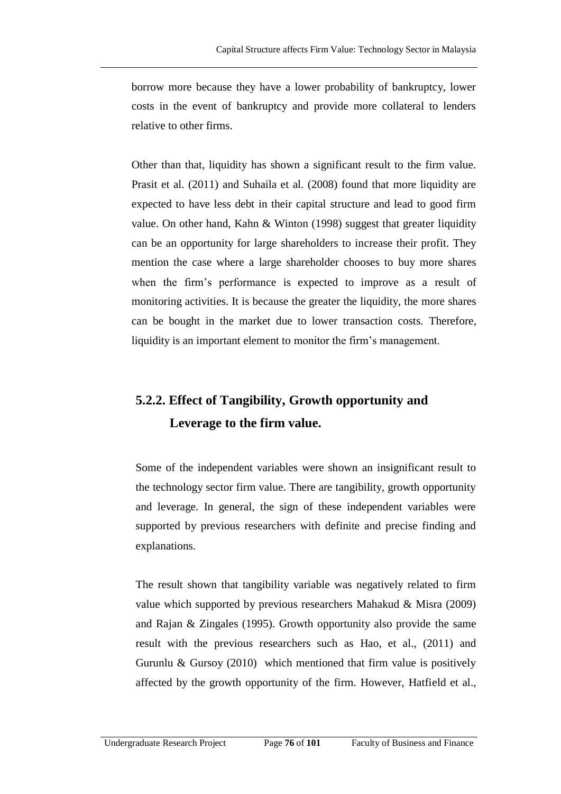borrow more because they have a lower probability of bankruptcy, lower costs in the event of bankruptcy and provide more collateral to lenders relative to other firms.

Other than that, liquidity has shown a significant result to the firm value. Prasit et al. (2011) and Suhaila et al. (2008) found that more liquidity are expected to have less debt in their capital structure and lead to good firm value. On other hand, Kahn & Winton (1998) suggest that greater liquidity can be an opportunity for large shareholders to increase their profit. They mention the case where a large shareholder chooses to buy more shares when the firm's performance is expected to improve as a result of monitoring activities. It is because the greater the liquidity, the more shares can be bought in the market due to lower transaction costs. Therefore, liquidity is an important element to monitor the firm's management.

## **5.2.2. Effect of Tangibility, Growth opportunity and Leverage to the firm value.**

Some of the independent variables were shown an insignificant result to the technology sector firm value. There are tangibility, growth opportunity and leverage. In general, the sign of these independent variables were supported by previous researchers with definite and precise finding and explanations.

The result shown that tangibility variable was negatively related to firm value which supported by previous researchers Mahakud & Misra (2009) and Rajan & Zingales (1995). Growth opportunity also provide the same result with the previous researchers such as Hao, et al., (2011) and Gurunlu  $\&$  Gursoy (2010) which mentioned that firm value is positively affected by the growth opportunity of the firm. However, Hatfield et al.,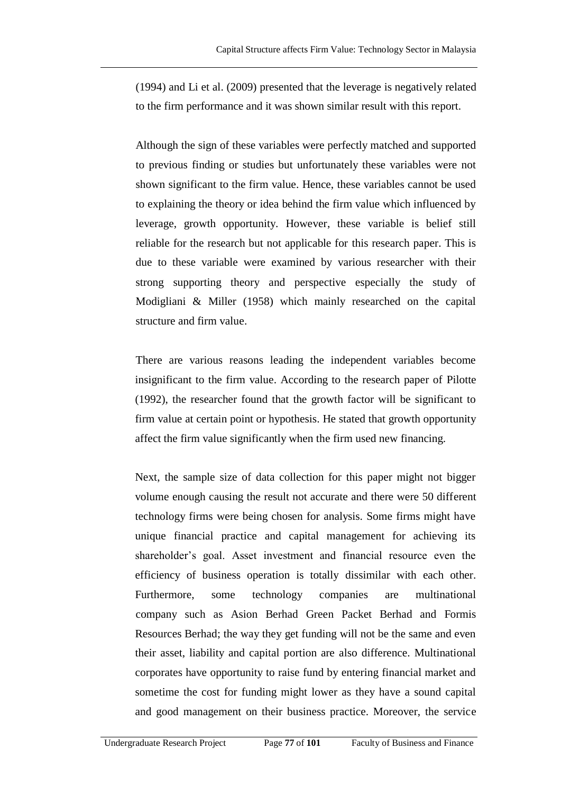(1994) and Li et al. (2009) presented that the leverage is negatively related to the firm performance and it was shown similar result with this report.

Although the sign of these variables were perfectly matched and supported to previous finding or studies but unfortunately these variables were not shown significant to the firm value. Hence, these variables cannot be used to explaining the theory or idea behind the firm value which influenced by leverage, growth opportunity. However, these variable is belief still reliable for the research but not applicable for this research paper. This is due to these variable were examined by various researcher with their strong supporting theory and perspective especially the study of Modigliani & Miller (1958) which mainly researched on the capital structure and firm value.

There are various reasons leading the independent variables become insignificant to the firm value. According to the research paper of Pilotte (1992), the researcher found that the growth factor will be significant to firm value at certain point or hypothesis. He stated that growth opportunity affect the firm value significantly when the firm used new financing.

Next, the sample size of data collection for this paper might not bigger volume enough causing the result not accurate and there were 50 different technology firms were being chosen for analysis. Some firms might have unique financial practice and capital management for achieving its shareholder's goal. Asset investment and financial resource even the efficiency of business operation is totally dissimilar with each other. Furthermore, some technology companies are multinational company such as Asion Berhad Green Packet Berhad and Formis Resources Berhad; the way they get funding will not be the same and even their asset, liability and capital portion are also difference. Multinational corporates have opportunity to raise fund by entering financial market and sometime the cost for funding might lower as they have a sound capital and good management on their business practice. Moreover, the service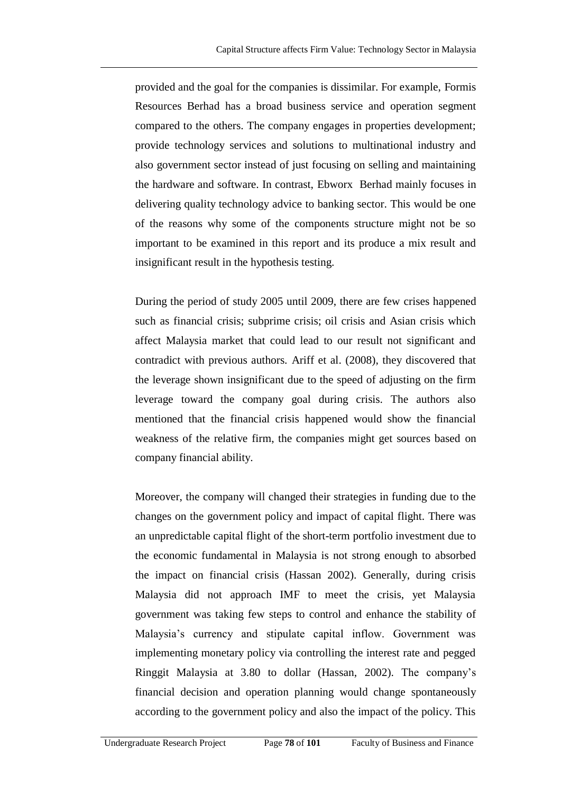provided and the goal for the companies is dissimilar. For example, Formis Resources Berhad has a broad business service and operation segment compared to the others. The company engages in properties development; provide technology services and solutions to multinational industry and also government sector instead of just focusing on selling and maintaining the hardware and software. In contrast, Ebworx Berhad mainly focuses in delivering quality technology advice to banking sector. This would be one of the reasons why some of the components structure might not be so important to be examined in this report and its produce a mix result and insignificant result in the hypothesis testing.

During the period of study 2005 until 2009, there are few crises happened such as financial crisis; subprime crisis; oil crisis and Asian crisis which affect Malaysia market that could lead to our result not significant and contradict with previous authors. Ariff et al. (2008), they discovered that the leverage shown insignificant due to the speed of adjusting on the firm leverage toward the company goal during crisis. The authors also mentioned that the financial crisis happened would show the financial weakness of the relative firm, the companies might get sources based on company financial ability.

Moreover, the company will changed their strategies in funding due to the changes on the government policy and impact of capital flight. There was an unpredictable capital flight of the short-term portfolio investment due to the economic fundamental in Malaysia is not strong enough to absorbed the impact on financial crisis (Hassan 2002). Generally, during crisis Malaysia did not approach IMF to meet the crisis, yet Malaysia government was taking few steps to control and enhance the stability of Malaysia's currency and stipulate capital inflow. Government was implementing monetary policy via controlling the interest rate and pegged Ringgit Malaysia at 3.80 to dollar (Hassan, 2002). The company's financial decision and operation planning would change spontaneously according to the government policy and also the impact of the policy. This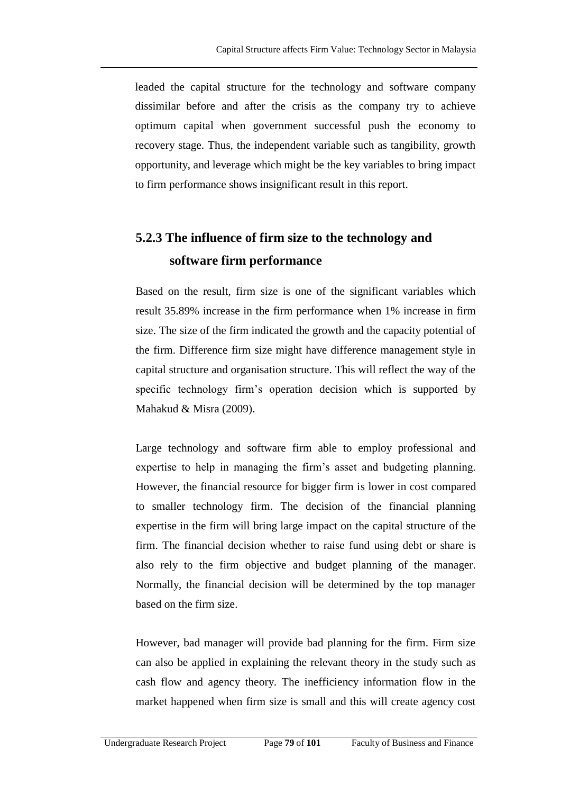leaded the capital structure for the technology and software company dissimilar before and after the crisis as the company try to achieve optimum capital when government successful push the economy to recovery stage. Thus, the independent variable such as tangibility, growth opportunity, and leverage which might be the key variables to bring impact to firm performance shows insignificant result in this report.

# **5.2.3 The influence of firm size to the technology and software firm performance**

Based on the result, firm size is one of the significant variables which result 35.89% increase in the firm performance when 1% increase in firm size. The size of the firm indicated the growth and the capacity potential of the firm. Difference firm size might have difference management style in capital structure and organisation structure. This will reflect the way of the specific technology firm's operation decision which is supported by Mahakud & Misra (2009).

Large technology and software firm able to employ professional and expertise to help in managing the firm's asset and budgeting planning. However, the financial resource for bigger firm is lower in cost compared to smaller technology firm. The decision of the financial planning expertise in the firm will bring large impact on the capital structure of the firm. The financial decision whether to raise fund using debt or share is also rely to the firm objective and budget planning of the manager. Normally, the financial decision will be determined by the top manager based on the firm size.

However, bad manager will provide bad planning for the firm. Firm size can also be applied in explaining the relevant theory in the study such as cash flow and agency theory. The inefficiency information flow in the market happened when firm size is small and this will create agency cost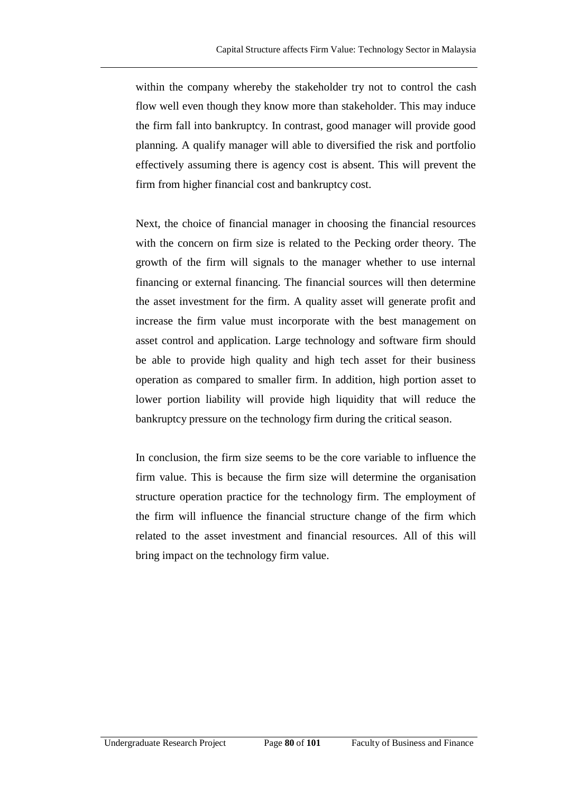within the company whereby the stakeholder try not to control the cash flow well even though they know more than stakeholder. This may induce the firm fall into bankruptcy. In contrast, good manager will provide good planning. A qualify manager will able to diversified the risk and portfolio effectively assuming there is agency cost is absent. This will prevent the firm from higher financial cost and bankruptcy cost.

Next, the choice of financial manager in choosing the financial resources with the concern on firm size is related to the Pecking order theory. The growth of the firm will signals to the manager whether to use internal financing or external financing. The financial sources will then determine the asset investment for the firm. A quality asset will generate profit and increase the firm value must incorporate with the best management on asset control and application. Large technology and software firm should be able to provide high quality and high tech asset for their business operation as compared to smaller firm. In addition, high portion asset to lower portion liability will provide high liquidity that will reduce the bankruptcy pressure on the technology firm during the critical season.

In conclusion, the firm size seems to be the core variable to influence the firm value. This is because the firm size will determine the organisation structure operation practice for the technology firm. The employment of the firm will influence the financial structure change of the firm which related to the asset investment and financial resources. All of this will bring impact on the technology firm value.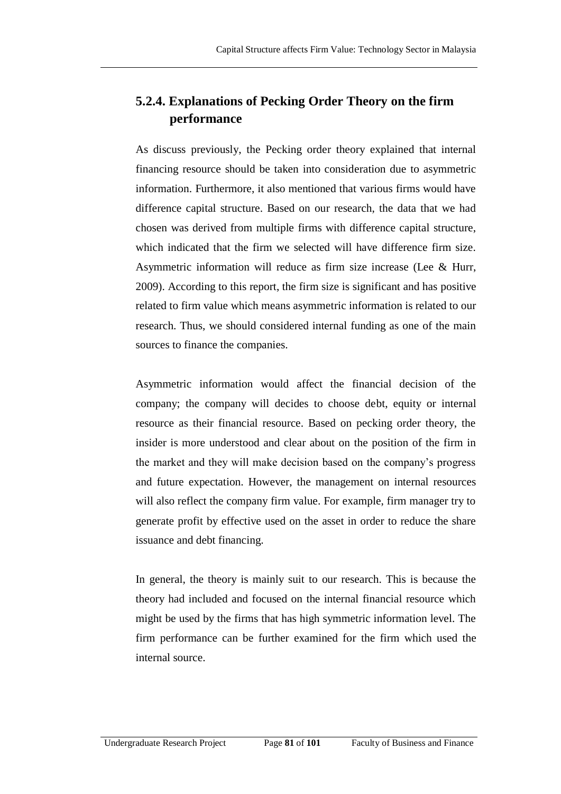### **5.2.4. Explanations of Pecking Order Theory on the firm performance**

As discuss previously, the Pecking order theory explained that internal financing resource should be taken into consideration due to asymmetric information. Furthermore, it also mentioned that various firms would have difference capital structure. Based on our research, the data that we had chosen was derived from multiple firms with difference capital structure, which indicated that the firm we selected will have difference firm size. Asymmetric information will reduce as firm size increase (Lee & Hurr, 2009). According to this report, the firm size is significant and has positive related to firm value which means asymmetric information is related to our research. Thus, we should considered internal funding as one of the main sources to finance the companies.

Asymmetric information would affect the financial decision of the company; the company will decides to choose debt, equity or internal resource as their financial resource. Based on pecking order theory, the insider is more understood and clear about on the position of the firm in the market and they will make decision based on the company's progress and future expectation. However, the management on internal resources will also reflect the company firm value. For example, firm manager try to generate profit by effective used on the asset in order to reduce the share issuance and debt financing.

In general, the theory is mainly suit to our research. This is because the theory had included and focused on the internal financial resource which might be used by the firms that has high symmetric information level. The firm performance can be further examined for the firm which used the internal source.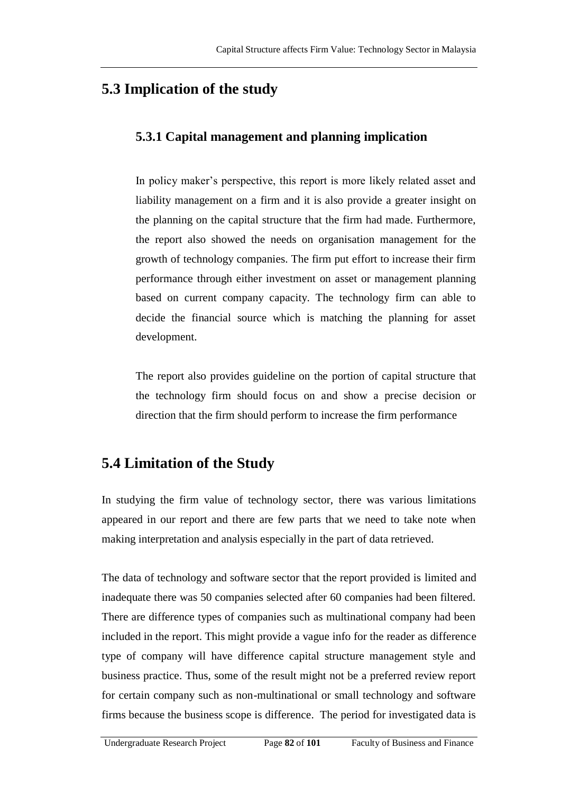## **5.3 Implication of the study**

#### **5.3.1 Capital management and planning implication**

In policy maker's perspective, this report is more likely related asset and liability management on a firm and it is also provide a greater insight on the planning on the capital structure that the firm had made. Furthermore, the report also showed the needs on organisation management for the growth of technology companies. The firm put effort to increase their firm performance through either investment on asset or management planning based on current company capacity. The technology firm can able to decide the financial source which is matching the planning for asset development.

The report also provides guideline on the portion of capital structure that the technology firm should focus on and show a precise decision or direction that the firm should perform to increase the firm performance

## **5.4 Limitation of the Study**

In studying the firm value of technology sector, there was various limitations appeared in our report and there are few parts that we need to take note when making interpretation and analysis especially in the part of data retrieved.

The data of technology and software sector that the report provided is limited and inadequate there was 50 companies selected after 60 companies had been filtered. There are difference types of companies such as multinational company had been included in the report. This might provide a vague info for the reader as difference type of company will have difference capital structure management style and business practice. Thus, some of the result might not be a preferred review report for certain company such as non-multinational or small technology and software firms because the business scope is difference. The period for investigated data is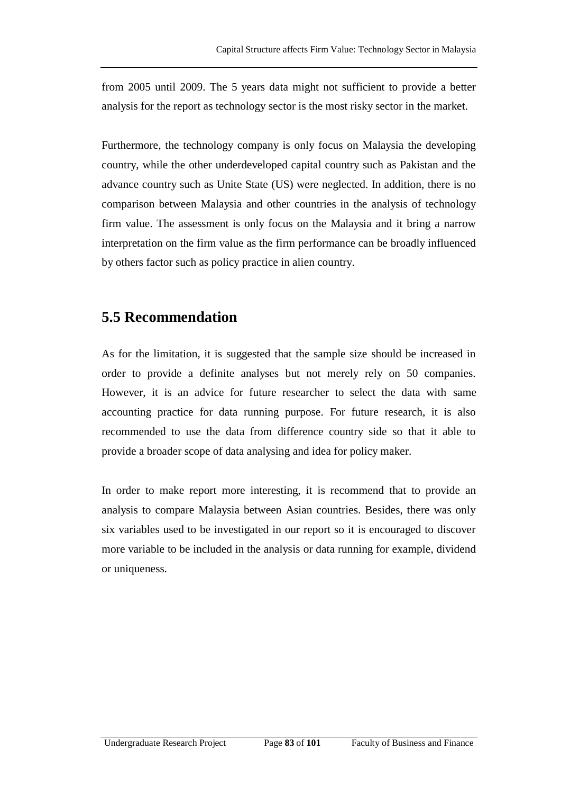from 2005 until 2009. The 5 years data might not sufficient to provide a better analysis for the report as technology sector is the most risky sector in the market.

Furthermore, the technology company is only focus on Malaysia the developing country, while the other underdeveloped capital country such as Pakistan and the advance country such as Unite State (US) were neglected. In addition, there is no comparison between Malaysia and other countries in the analysis of technology firm value. The assessment is only focus on the Malaysia and it bring a narrow interpretation on the firm value as the firm performance can be broadly influenced by others factor such as policy practice in alien country.

## **5.5 Recommendation**

As for the limitation, it is suggested that the sample size should be increased in order to provide a definite analyses but not merely rely on 50 companies. However, it is an advice for future researcher to select the data with same accounting practice for data running purpose. For future research, it is also recommended to use the data from difference country side so that it able to provide a broader scope of data analysing and idea for policy maker.

In order to make report more interesting, it is recommend that to provide an analysis to compare Malaysia between Asian countries. Besides, there was only six variables used to be investigated in our report so it is encouraged to discover more variable to be included in the analysis or data running for example, dividend or uniqueness.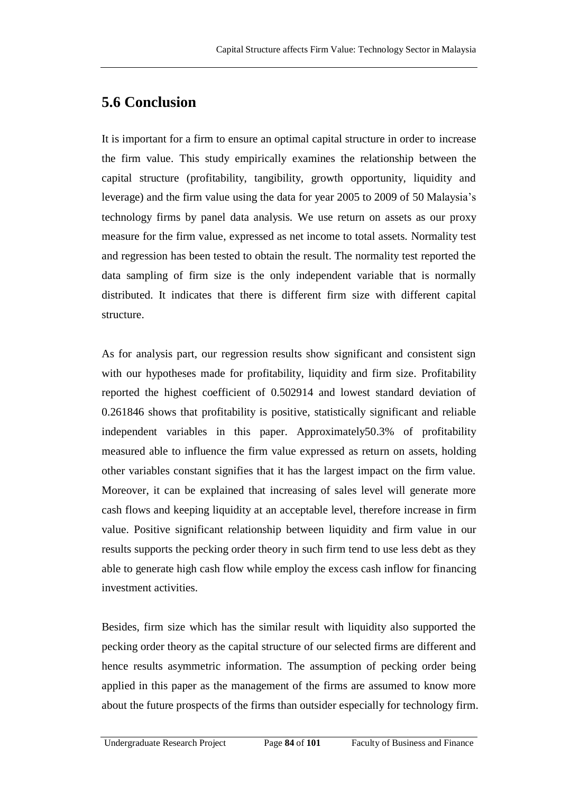## **5.6 Conclusion**

It is important for a firm to ensure an optimal capital structure in order to increase the firm value. This study empirically examines the relationship between the capital structure (profitability, tangibility, growth opportunity, liquidity and leverage) and the firm value using the data for year 2005 to 2009 of 50 Malaysia's technology firms by panel data analysis. We use return on assets as our proxy measure for the firm value, expressed as net income to total assets. Normality test and regression has been tested to obtain the result. The normality test reported the data sampling of firm size is the only independent variable that is normally distributed. It indicates that there is different firm size with different capital structure.

As for analysis part, our regression results show significant and consistent sign with our hypotheses made for profitability, liquidity and firm size. Profitability reported the highest coefficient of 0.502914 and lowest standard deviation of 0.261846 shows that profitability is positive, statistically significant and reliable independent variables in this paper. Approximately50.3% of profitability measured able to influence the firm value expressed as return on assets, holding other variables constant signifies that it has the largest impact on the firm value. Moreover, it can be explained that increasing of sales level will generate more cash flows and keeping liquidity at an acceptable level, therefore increase in firm value. Positive significant relationship between liquidity and firm value in our results supports the pecking order theory in such firm tend to use less debt as they able to generate high cash flow while employ the excess cash inflow for financing investment activities.

Besides, firm size which has the similar result with liquidity also supported the pecking order theory as the capital structure of our selected firms are different and hence results asymmetric information. The assumption of pecking order being applied in this paper as the management of the firms are assumed to know more about the future prospects of the firms than outsider especially for technology firm.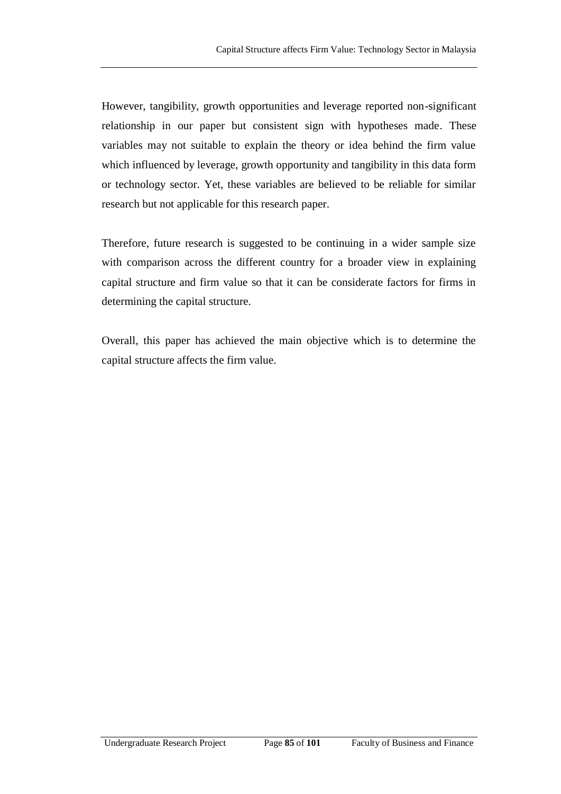However, tangibility, growth opportunities and leverage reported non-significant relationship in our paper but consistent sign with hypotheses made. These variables may not suitable to explain the theory or idea behind the firm value which influenced by leverage, growth opportunity and tangibility in this data form or technology sector. Yet, these variables are believed to be reliable for similar research but not applicable for this research paper.

Therefore, future research is suggested to be continuing in a wider sample size with comparison across the different country for a broader view in explaining capital structure and firm value so that it can be considerate factors for firms in determining the capital structure.

Overall, this paper has achieved the main objective which is to determine the capital structure affects the firm value.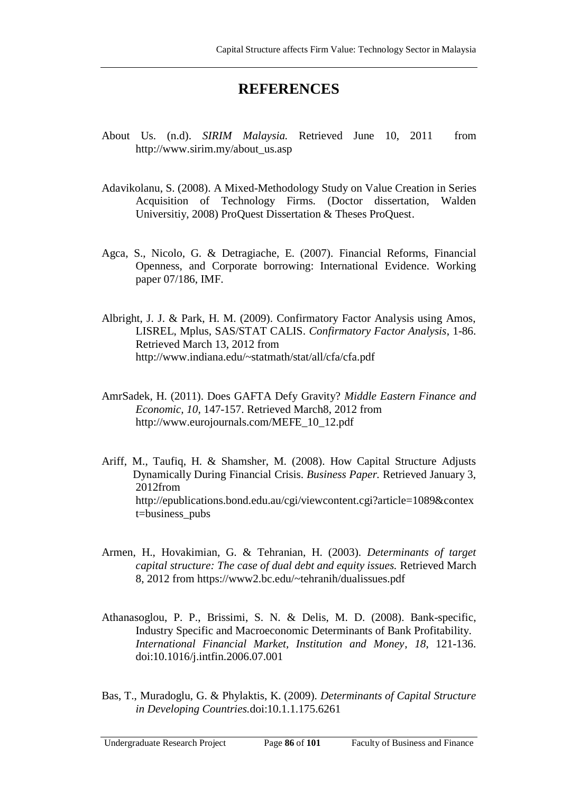## **REFERENCES**

- About Us. (n.d). *SIRIM Malaysia.* Retrieved June 10, 2011 from [http://www.sirim.my/about\\_us.asp](http://www.sirim.my/about_us.asp)
- Adavikolanu, S. (2008). A Mixed-Methodology Study on Value Creation in Series Acquisition of Technology Firms. (Doctor dissertation, Walden Universitiy, 2008) ProQuest Dissertation & Theses ProQuest.
- Agca, S., Nicolo, G. & Detragiache, E. (2007). Financial Reforms, Financial Openness, and Corporate borrowing: International Evidence. Working paper 07/186, IMF.
- Albright, J. J. & Park, H. M. (2009). Confirmatory Factor Analysis using Amos, LISREL, Mplus, SAS/STAT CALIS. *Confirmatory Factor Analysis*, 1-86. Retrieved March 13, 2012 from <http://www.indiana.edu/~statmath/stat/all/cfa/cfa.pdf>
- AmrSadek, H. (2011). Does GAFTA Defy Gravity? *Middle Eastern Finance and Economic, 10,* 147-157. Retrieved March8, 2012 from [http://www.eurojournals.com/MEFE\\_10\\_12.pdf](http://www.eurojournals.com/MEFE_10_12.pdf)
- Ariff, M., Taufiq, H. & Shamsher, M. (2008). How Capital Structure Adjusts Dynamically During Financial Crisis. *Business Paper.* Retrieved January 3, 2012from [http://epublications.bond.edu.au/cgi/viewcontent.cgi?article=1089&contex](http://epublications.bond.edu.au/cgi/viewcontent.cgi?article=1089&contex%09t=business_pubs) [t=business\\_pubs](http://epublications.bond.edu.au/cgi/viewcontent.cgi?article=1089&contex%09t=business_pubs)
- Armen, H., Hovakimian, G. & Tehranian, H. (2003). *Determinants of target capital structure: The case of dual debt and equity issues.* Retrieved March 8, 2012 from https://www2.bc.edu/~tehranih/dualissues.pdf
- Athanasoglou, P. P., Brissimi, S. N. & Delis, M. D. (2008). Bank-specific, Industry Specific and Macroeconomic Determinants of Bank Profitability. *International Financial Market, Institution and Money*, *18*, 121-136. doi:10.1016/j.intfin.2006.07.001
- Bas, T., Muradoglu, G. & Phylaktis, K. (2009). *Determinants of Capital Structure in Developing Countries.*doi:10.1.1.175.6261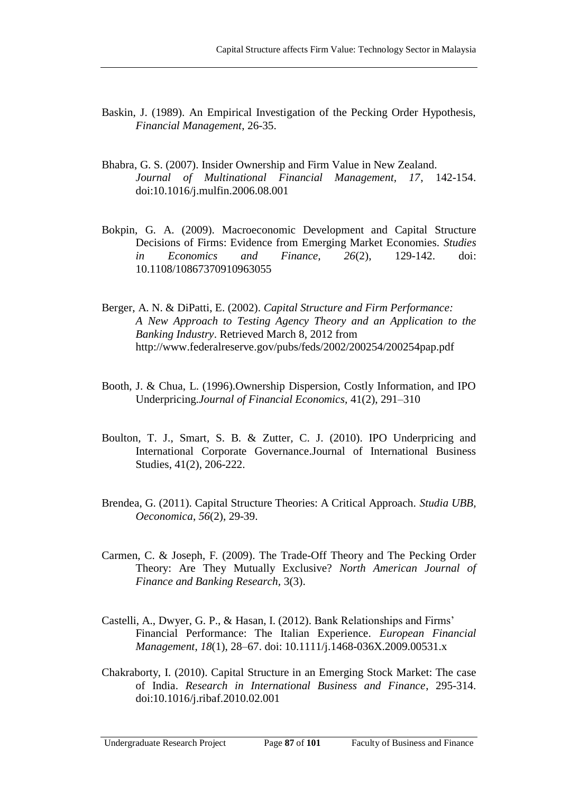- Baskin, J. (1989). An Empirical Investigation of the Pecking Order Hypothesis, *Financial Management*, 26-35.
- Bhabra, G. S. (2007). Insider Ownership and Firm Value in New Zealand. *Journal of Multinational Financial Management, 17*, 142-154. doi:10.1016/j.mulfin.2006.08.001
- Bokpin, G. A. (2009). Macroeconomic Development and Capital Structure Decisions of Firms: Evidence from Emerging Market Economies. *Studies in Economics and Finance, 26*(2), 129-142. doi: 10.1108/10867370910963055
- Berger, A. N. & DiPatti, E. (2002). *Capital Structure and Firm Performance: A New Approach to Testing Agency Theory and an Application to the Banking Industry*. Retrieved March 8, 2012 from <http://www.federalreserve.gov/pubs/feds/2002/200254/200254pap.pdf>
- Booth, J. & Chua, L. (1996).Ownership Dispersion, Costly Information, and IPO Underpricing.*Journal of Financial Economics,* 41(2), 291–310
- [Boulton](javascript:void(0);)*,* T. J., [Smart](javascript:void(0);)*,* S. B. & [Zutter](javascript:void(0);)*,* C. J. (2010). IPO Underpricing and International Corporate Governance[.Journal of International Business](http://ezproxy.um.edu.my:2110/pqdweb?RQT=318&pmid=22140&TS=1312707318&clientId=18803&VInst=PROD&VName=PQD&VType=PQD)  [Studies,](http://ezproxy.um.edu.my:2110/pqdweb?RQT=318&pmid=22140&TS=1312707318&clientId=18803&VInst=PROD&VName=PQD&VType=PQD) 41(2), 206-222.
- Brendea, G. (2011). Capital Structure Theories: A Critical Approach. *Studia UBB, Oeconomica*, *56*(2), 29-39.
- Carmen, C. & Joseph, F. (2009). The Trade-Off Theory and The Pecking Order Theory: Are They Mutually Exclusive? *North American Journal of Finance and Banking Research,* 3(3).
- Castelli, A., Dwyer, G. P., & Hasan, I. (2012). Bank Relationships and Firms' Financial Performance: The Italian Experience. *European Financial Management*, *18*(1), 28–67. doi: 10.1111/j.1468-036X.2009.00531.x
- Chakraborty, I. (2010). Capital Structure in an Emerging Stock Market: The case of India. *Research in International Business and Finance*, 295-314. doi:10.1016/j.ribaf.2010.02.001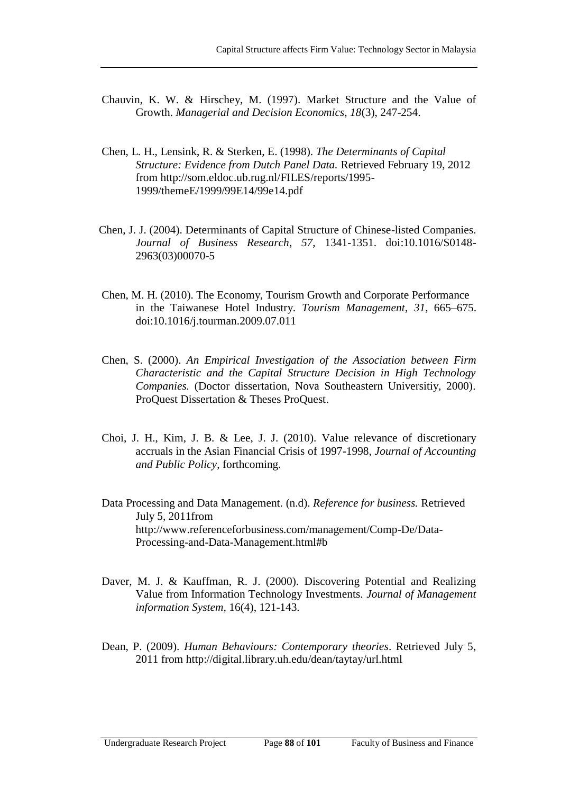- Chauvin, K. W. & Hirschey, M. (1997). Market Structure and the Value of Growth. *Managerial and Decision Economics, 18*(3), 247-254.
- Chen, L. H., Lensink, R. & Sterken, E. (1998). *The Determinants of Capital Structure: Evidence from Dutch Panel Data.* Retrieved February 19, 2012 from http://som.eldoc.ub.rug.nl/FILES/reports/1995- 1999/themeE/1999/99E14/99e14.pdf
- Chen, J. J. (2004). Determinants of Capital Structure of Chinese-listed Companies. *Journal of Business Research*, *57*, 1341-1351. doi:10.1016/S0148- 2963(03)00070-5
- Chen, M. H. (2010). The Economy, Tourism Growth and Corporate Performance in the Taiwanese Hotel Industry. *Tourism Management*, *31*, 665–675. doi:10.1016/j.tourman.2009.07.011
- Chen, S. (2000). *An Empirical Investigation of the Association between Firm Characteristic and the Capital Structure Decision in High Technology Companies.* (Doctor dissertation, Nova Southeastern Universitiy, 2000). ProQuest Dissertation & Theses ProQuest.
- Choi, J. H., Kim, J. B. & Lee, J. J. (2010). Value relevance of discretionary accruals in the Asian Financial Crisis of 1997-1998, *Journal of Accounting and Public Policy*, forthcoming.
- Data Processing and Data Management. (n.d). *Reference for business.* Retrieved July 5, 2011from [http://www.referenceforbusiness.com/management/Comp-De/Data-](http://www.referenceforbusiness.com/management/Comp-De/Data-Processing-and-Data-Management.html#b)[Processing-and-Data-Management.html#b](http://www.referenceforbusiness.com/management/Comp-De/Data-Processing-and-Data-Management.html#b)
- Daver, M. J. & Kauffman, R. J. (2000). Discovering Potential and Realizing Value from Information Technology Investments. *Journal of Management information System,* 16(4), 121-143.
- Dean, P. (2009). *Human Behaviours: Contemporary theories*. Retrieved July 5, 2011 from <http://digital.library.uh.edu/dean/taytay/url.html>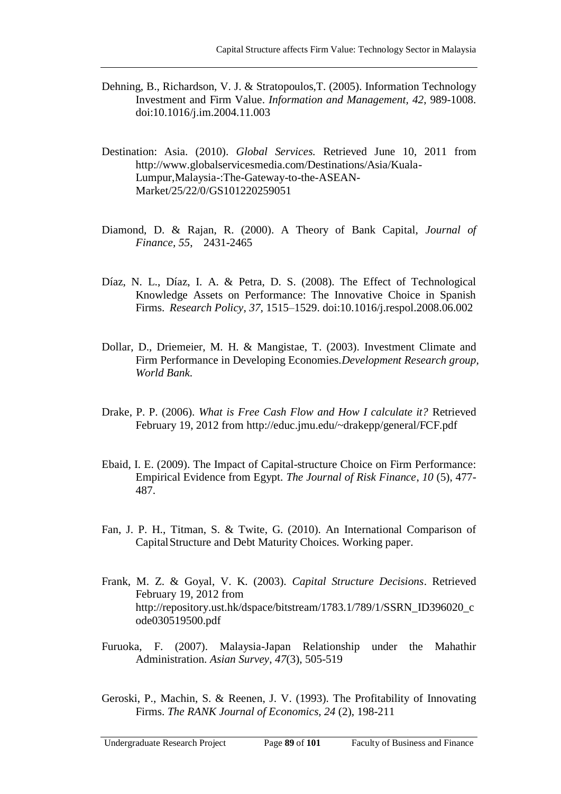- Dehning, B., Richardson, V. J. & Stratopoulos,T. (2005). Information Technology Investment and Firm Value. *Information and Management, 42*, 989-1008. doi:10.1016/j.im.2004.11.003
- Destination: Asia. (2010). *Global Services.* Retrieved June 10, 2011 from [http://www.globalservicesmedia.com/Destinations/Asia/Kuala-](http://www.globalservicesmedia.com/Destinations/Asia/Kuala-Lumpur,Malaysia-:The-Gateway-to-the-ASEAN-Market/25/22/0/GS101220259051)[Lumpur,Malaysia-:The-Gateway-to-the-ASEAN-](http://www.globalservicesmedia.com/Destinations/Asia/Kuala-Lumpur,Malaysia-:The-Gateway-to-the-ASEAN-Market/25/22/0/GS101220259051)[Market/25/22/0/GS101220259051](http://www.globalservicesmedia.com/Destinations/Asia/Kuala-Lumpur,Malaysia-:The-Gateway-to-the-ASEAN-Market/25/22/0/GS101220259051)
- Diamond, D. & Rajan, R. (2000). A Theory of Bank Capital, *Journal of Finance, 55*, 2431-2465
- Díaz, N. L., Díaz, I. A. & Petra, D. S. (2008). The Effect of Technological Knowledge Assets on Performance: The Innovative Choice in Spanish Firms. *Research Policy*, *37,* 1515–1529. doi:10.1016/j.respol.2008.06.002
- Dollar, D., Driemeier, M. H. & Mangistae, T. (2003). Investment Climate and Firm Performance in Developing Economies.*Development Research group, World Bank.*
- Drake, P. P. (2006). *What is Free Cash Flow and How I calculate it?* Retrieved February 19, 2012 from<http://educ.jmu.edu/~drakepp/general/FCF.pdf>
- Ebaid, I. E. (2009). The Impact of Capital-structure Choice on Firm Performance: Empirical Evidence from Egypt. *The Journal of Risk Finance*, *10* (5), 477- 487.
- Fan, J. P. H., Titman, S. & Twite, G. (2010). An International Comparison of CapitalStructure and Debt Maturity Choices. Working paper.
- Frank, M. Z. & Goyal, V. K. (2003). *Capital Structure Decisions*. Retrieved February 19, 2012 from [http://repository.ust.hk/dspace/bitstream/1783.1/789/1/SSRN\\_ID396020\\_c](http://repository.ust.hk/dspace/bitstream/1783.1/789/1/SSRN_ID396020_c%09ode030519500.pdf) [ode030519500.pdf](http://repository.ust.hk/dspace/bitstream/1783.1/789/1/SSRN_ID396020_c%09ode030519500.pdf)
- Furuoka, F. (2007). Malaysia-Japan Relationship under the Mahathir Administration. *Asian Survey*, *47*(3), 505-519
- Geroski, P., Machin, S. & Reenen, J. V. (1993). The Profitability of Innovating Firms. *The RANK Journal of Economics, 24* (2), 198-211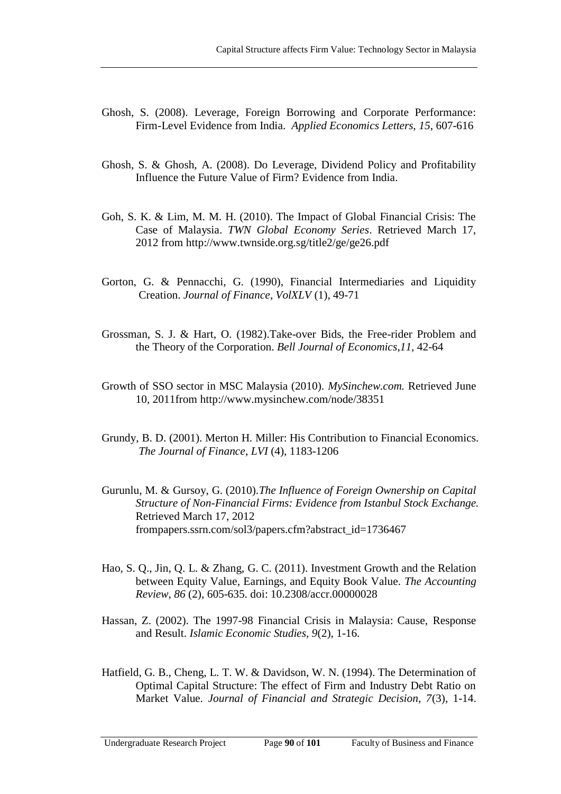- Ghosh, S. (2008). Leverage, Foreign Borrowing and Corporate Performance: Firm-Level Evidence from India. *Applied Economics Letters, 15*, 607-616
- Ghosh, S. & Ghosh, A. (2008). Do Leverage, Dividend Policy and Profitability Influence the Future Value of Firm? Evidence from India.
- Goh, S. K. & Lim, M. M. H. (2010). The Impact of Global Financial Crisis: The Case of Malaysia. *TWN Global Economy Series*. Retrieved March 17, 2012 from<http://www.twnside.org.sg/title2/ge/ge26.pdf>
- Gorton, G. & Pennacchi, G. (1990), Financial Intermediaries and Liquidity Creation. *Journal of Finance, VolXLV* (1), 49-71
- Grossman, S. J. & Hart, O. (1982).Take-over Bids, the Free-rider Problem and the Theory of the Corporation. *Bell Journal of Economics*,*11,* 42-64
- Growth of SSO sector in MSC Malaysia (2010). *MySinchew.com.* Retrieved June 10, 2011from <http://www.mysinchew.com/node/38351>
- Grundy, B. D. (2001). Merton H. Miller: His Contribution to Financial Economics. *The Journal of Finance*, *LVI* (4), 1183-1206
- Gurunlu, M. & Gursoy, G. (2010).*The Influence of Foreign Ownership on Capital Structure of Non-Financial Firms: Evidence from Istanbul Stock Exchange.* Retrieved March 17, 2012 frompapers.ssrn.com/sol3/papers.cfm?abstract\_id=1736467
- Hao, S. Q., Jin, Q. L. & Zhang, G. C. (2011). Investment Growth and the Relation between Equity Value, Earnings, and Equity Book Value. *The Accounting Review, 86* (2), 605-635. doi: 10.2308/accr.00000028
- Hassan, Z. (2002). The 1997-98 Financial Crisis in Malaysia: Cause, Response and Result. *Islamic Economic Studies, 9*(2), 1-16.
- Hatfield, G. B., Cheng, L. T. W. & Davidson, W. N. (1994). The Determination of Optimal Capital Structure: The effect of Firm and Industry Debt Ratio on Market Value. *Journal of Financial and Strategic Decision, 7*(3), 1-14.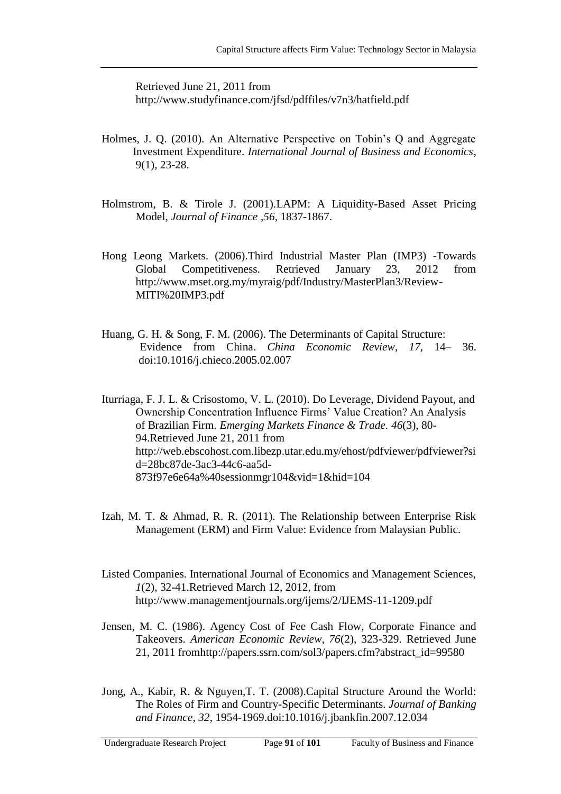Retrieved June 21, 2011 from <http://www.studyfinance.com/jfsd/pdffiles/v7n3/hatfield.pdf>

- Holmes, J. Q. (2010). An Alternative Perspective on Tobin's Q and Aggregate Investment Expenditure. *International Journal of Business and Economics*, 9(1), 23-28.
- Holmstrom, B. & Tirole J. (2001).LAPM: A Liquidity-Based Asset Pricing Model, *Journal of Finance* ,*56*, 1837-1867.
- Hong Leong Markets. (2006).Third Industrial Master Plan (IMP3) -Towards Global Competitiveness. Retrieved January 23, 2012 from [http://www.mset.org.my/myraig/pdf/Industry/MasterPlan3/Review-](http://www.mset.org.my/myraig/pdf/Industry/MasterPlan3/Review-MITI%20IMP3.pdf)[MITI%20IMP3.pdf](http://www.mset.org.my/myraig/pdf/Industry/MasterPlan3/Review-MITI%20IMP3.pdf)
- Huang, G. H. & Song, F. M. (2006). The Determinants of Capital Structure: Evidence from China. *China Economic Review*, *17*, 14– 36. doi:10.1016/j.chieco.2005.02.007

Iturriaga, F. J. L. & Crisostomo, V. L. (2010). Do Leverage, Dividend Payout, and Ownership Concentration Influence Firms' Value Creation? An Analysis of Brazilian Firm. *Emerging Markets Finance & Trade. 46*(3), 80- 94.Retrieved June 21, 2011 from [http://web.ebscohost.com.libezp.utar.edu.my/ehost/pdfviewer/pdfviewer?si](http://web.ebscohost.com.libezp.utar.edu.my/ehost/pdfviewer/pdfviewer?sid=28bc87de-3ac3-44c6-aa5d-873f97e6e64a%40sessionmgr104&vid=1&hid=104) [d=28bc87de-3ac3-44c6-aa5d-](http://web.ebscohost.com.libezp.utar.edu.my/ehost/pdfviewer/pdfviewer?sid=28bc87de-3ac3-44c6-aa5d-873f97e6e64a%40sessionmgr104&vid=1&hid=104)[873f97e6e64a%40sessionmgr104&vid=1&hid=104](http://web.ebscohost.com.libezp.utar.edu.my/ehost/pdfviewer/pdfviewer?sid=28bc87de-3ac3-44c6-aa5d-873f97e6e64a%40sessionmgr104&vid=1&hid=104)

- Izah, M. T. & Ahmad, R. R. (2011). The Relationship between Enterprise Risk Management (ERM) and Firm Value: Evidence from Malaysian Public.
- Listed Companies. International Journal of Economics and Management Sciences, *1*(2), 32-41.Retrieved March 12, 2012, from <http://www.managementjournals.org/ijems/2/IJEMS-11-1209.pdf>
- Jensen, M. C. (1986). Agency Cost of Fee Cash Flow, Corporate Finance and Takeovers. *American Economic Review, 76*(2), 323-329. Retrieved June 21, 2011 fro[mhttp://papers.ssrn.com/sol3/papers.cfm?abstract\\_id=99580](http://papers.ssrn.com/sol3/papers.cfm?abstract_id=99580)
- Jong, A., Kabir, R. & Nguyen,T. T. (2008).Capital Structure Around the World: The Roles of Firm and Country-Specific Determinants. *Journal of Banking and Finance, 32*, 1954-1969.doi:10.1016/j.jbankfin.2007.12.034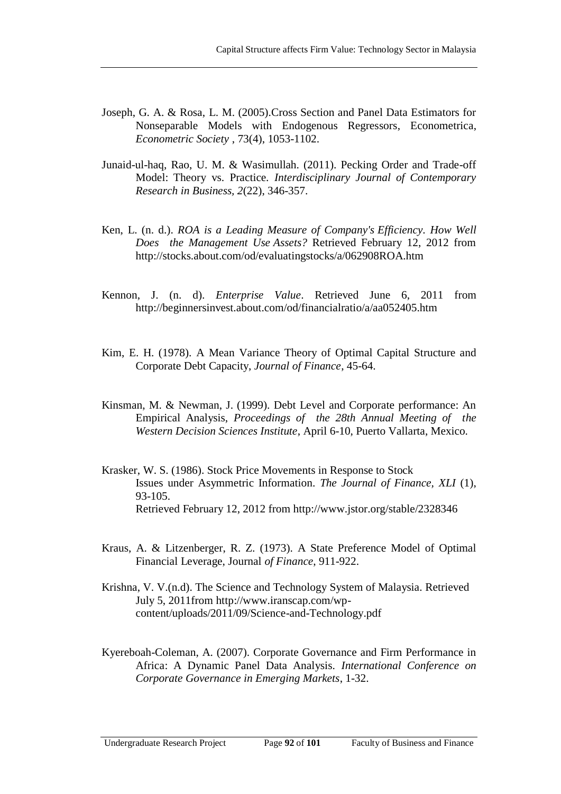- Joseph, G. A. & Rosa, L. M. (2005)[.Cross Section and Panel Data Estimators for](http://ideas.repec.org/a/ecm/emetrp/v73y2005i4p1053-1102.html)  [Nonseparable Models with Endogenous Regressors,](http://ideas.repec.org/a/ecm/emetrp/v73y2005i4p1053-1102.html) [Econometrica,](http://ideas.repec.org/s/ecm/emetrp.html) *Econometric Society* , 73(4), 1053-1102.
- Junaid-ul-haq, Rao, U. M. & Wasimullah. (2011). Pecking Order and Trade-off Model: Theory vs. Practice*. Interdisciplinary Journal of Contemporary Research in Business, 2*(22), 346-357.
- Ken, L. (n. d.). *ROA is a Leading Measure of Company's Efficiency. How Well Does the Management Use Assets?* Retrieved February 12, 2012 from <http://stocks.about.com/od/evaluatingstocks/a/062908ROA.htm>
- Kennon, J. (n. d). *Enterprise Value*. Retrieved June 6, 2011 from <http://beginnersinvest.about.com/od/financialratio/a/aa052405.htm>
- Kim, E. H. (1978). A Mean Variance Theory of Optimal Capital Structure and Corporate Debt Capacity, *Journal of Finance*, 45-64.
- Kinsman, M. & Newman, J. (1999). Debt Level and Corporate performance: An Empirical Analysis, *Proceedings of the 28th Annual Meeting of the Western Decision Sciences Institute*, April 6-10, Puerto Vallarta, Mexico*.*
- Krasker, W. S. (1986). Stock Price Movements in Response to Stock Issues under Asymmetric Information. *The Journal of Finance, XLI* (1), 93-105. Retrieved February 12, 2012 from <http://www.jstor.org/stable/2328346>
- Kraus, A. & Litzenberger, R. Z. (1973). A State Preference Model of Optimal Financial Leverage, Journal *of Finance*, 911-922.
- Krishna, V. V.(n.d). The Science and Technology System of Malaysia. Retrieved July 5, 2011from [http://www.iranscap.com/wp](http://www.iranscap.com/wp-content/uploads/2011/09/Science-and-Technology.pdf)[content/uploads/2011/09/Science-and-Technology.pdf](http://www.iranscap.com/wp-content/uploads/2011/09/Science-and-Technology.pdf)
- Kyereboah-Coleman, A. (2007). Corporate Governance and Firm Performance in Africa: A Dynamic Panel Data Analysis. *International Conference on Corporate Governance in Emerging Markets*, 1-32.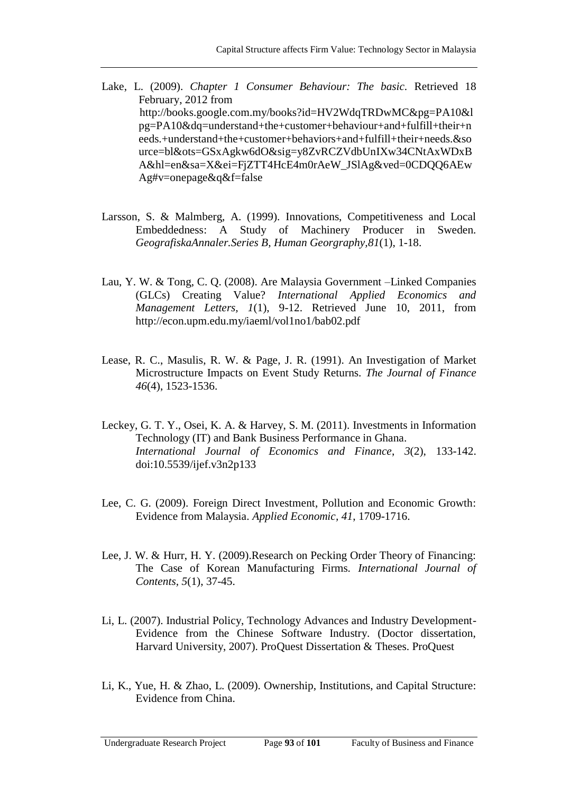- Lake, L. (2009). *Chapter 1 Consumer Behaviour: The basic.* Retrieved 18 February, 2012 from [http://books.google.com.my/books?id=HV2WdqTRDwMC&pg=PA10&l](http://books.google.com.my/books?id=HV2WdqTRDwMC&pg=PA10&lpg=PA10&dq=understand+the+customer+behaviour+and+fulfill+their+needs.+understand+the+customer+behaviors+and+fulfill+their+needs.&source=bl&ots=GSxAgkw6dO&sig=y8ZvRCZVdbUnIXw34CNtAxWDxBA&hl=en&sa=X&ei=FjZTT4HcE4m0rAeW_JSlAg&ved=0CDQQ6AEwAg#v=onepage&q&f=false) [pg=PA10&dq=understand+the+customer+behaviour+and+fulfill+their+n](http://books.google.com.my/books?id=HV2WdqTRDwMC&pg=PA10&lpg=PA10&dq=understand+the+customer+behaviour+and+fulfill+their+needs.+understand+the+customer+behaviors+and+fulfill+their+needs.&source=bl&ots=GSxAgkw6dO&sig=y8ZvRCZVdbUnIXw34CNtAxWDxBA&hl=en&sa=X&ei=FjZTT4HcE4m0rAeW_JSlAg&ved=0CDQQ6AEwAg#v=onepage&q&f=false) [eeds.+understand+the+customer+behaviors+and+fulfill+their+needs.&so](http://books.google.com.my/books?id=HV2WdqTRDwMC&pg=PA10&lpg=PA10&dq=understand+the+customer+behaviour+and+fulfill+their+needs.+understand+the+customer+behaviors+and+fulfill+their+needs.&source=bl&ots=GSxAgkw6dO&sig=y8ZvRCZVdbUnIXw34CNtAxWDxBA&hl=en&sa=X&ei=FjZTT4HcE4m0rAeW_JSlAg&ved=0CDQQ6AEwAg#v=onepage&q&f=false) [urce=bl&ots=GSxAgkw6dO&sig=y8ZvRCZVdbUnIXw34CNtAxWDxB](http://books.google.com.my/books?id=HV2WdqTRDwMC&pg=PA10&lpg=PA10&dq=understand+the+customer+behaviour+and+fulfill+their+needs.+understand+the+customer+behaviors+and+fulfill+their+needs.&source=bl&ots=GSxAgkw6dO&sig=y8ZvRCZVdbUnIXw34CNtAxWDxBA&hl=en&sa=X&ei=FjZTT4HcE4m0rAeW_JSlAg&ved=0CDQQ6AEwAg#v=onepage&q&f=false) [A&hl=en&sa=X&ei=FjZTT4HcE4m0rAeW\\_JSlAg&ved=0CDQQ6AEw](http://books.google.com.my/books?id=HV2WdqTRDwMC&pg=PA10&lpg=PA10&dq=understand+the+customer+behaviour+and+fulfill+their+needs.+understand+the+customer+behaviors+and+fulfill+their+needs.&source=bl&ots=GSxAgkw6dO&sig=y8ZvRCZVdbUnIXw34CNtAxWDxBA&hl=en&sa=X&ei=FjZTT4HcE4m0rAeW_JSlAg&ved=0CDQQ6AEwAg#v=onepage&q&f=false) [Ag#v=onepage&q&f=false](http://books.google.com.my/books?id=HV2WdqTRDwMC&pg=PA10&lpg=PA10&dq=understand+the+customer+behaviour+and+fulfill+their+needs.+understand+the+customer+behaviors+and+fulfill+their+needs.&source=bl&ots=GSxAgkw6dO&sig=y8ZvRCZVdbUnIXw34CNtAxWDxBA&hl=en&sa=X&ei=FjZTT4HcE4m0rAeW_JSlAg&ved=0CDQQ6AEwAg#v=onepage&q&f=false)
- Larsson, S. & Malmberg, A. (1999). Innovations, Competitiveness and Local Embeddedness: A Study of Machinery Producer in Sweden*. GeografiskaAnnaler.Series B, Human Georgraphy,81*(1), 1-18.
- Lau, Y. W. & Tong, C. Q. (2008). Are Malaysia Government –Linked Companies (GLCs) Creating Value? *International Applied Economics and Management Letters, 1*(1), 9-12. Retrieved June 10, 2011, from <http://econ.upm.edu.my/iaeml/vol1no1/bab02.pdf>
- Lease, R. C., Masulis, R. W. & Page, J. R. (1991). An Investigation of Market Microstructure Impacts on Event Study Returns. *The Journal of Finance 46*(4), 1523-1536.
- Leckey, G. T. Y., Osei, K. A. & Harvey, S. M. (2011). Investments in Information Technology (IT) and Bank Business Performance in Ghana. *International Journal of Economics and Finance*, *3*(2), 133-142. doi:10.5539/ijef.v3n2p133
- Lee, C. G. (2009). Foreign Direct Investment, Pollution and Economic Growth: Evidence from Malaysia. *Applied Economic, 41*, 1709-1716.
- Lee, J. W. & Hurr, H. Y. (2009).Research on Pecking Order Theory of Financing: The Case of Korean Manufacturing Firms*. International Journal of Contents, 5*(1), 37-45.
- Li, L. (2007). Industrial Policy, Technology Advances and Industry Development-Evidence from the Chinese Software Industry. (Doctor dissertation, Harvard University, 2007). ProQuest Dissertation & Theses. ProQuest
- Li, K., Yue, H. & Zhao, L. (2009). Ownership, Institutions, and Capital Structure: Evidence from China.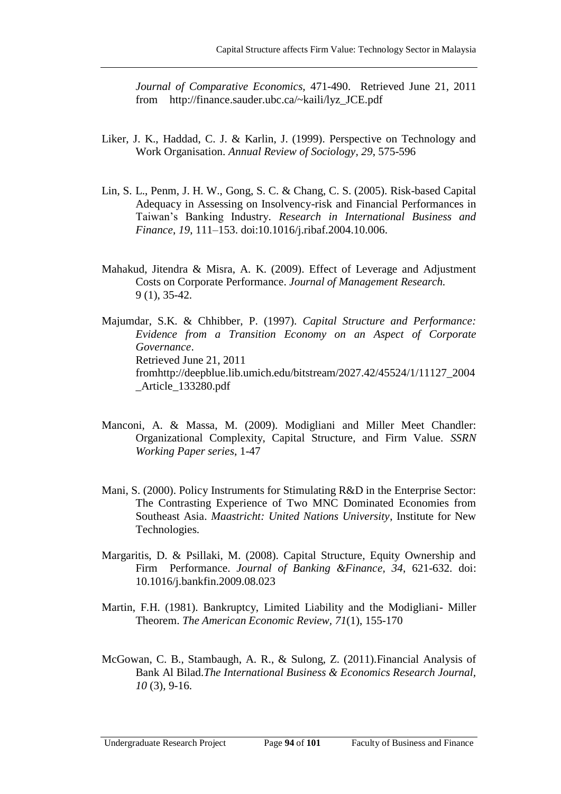*Journal of Comparative Economics,* 471-490. Retrieved June 21, 2011 from [http://finance.sauder.ubc.ca/~kaili/lyz\\_JCE.pdf](http://finance.sauder.ubc.ca/~kaili/lyz_JCE.pdf)

- Liker, J. K., Haddad, C. J. & Karlin, J. (1999). Perspective on Technology and Work Organisation. *Annual Review of Sociology, 29*, 575-596
- Lin, S. L., Penm, J. H. W., Gong, S. C. & Chang, C. S. (2005). Risk-based Capital Adequacy in Assessing on Insolvency-risk and Financial Performances in Taiwan's Banking Industry*. Research in International Business and Finance*, *19*, 111–153. doi:10.1016/j.ribaf.2004.10.006.
- Mahakud, Jitendra & Misra, A. K. (2009). Effect of Leverage and Adjustment Costs on Corporate Performance. *Journal of Management Research.* 9 (1), 35-42.

Majumdar, S.K. & Chhibber, P. (1997). *Capital Structure and Performance: Evidence from a Transition Economy on an Aspect of Corporate Governance*. Retrieved June 21, 2011 fro[mhttp://deepblue.lib.umich.edu/bitstream/2027.42/45524/1/11127\\_2004](http://deepblue.lib.umich.edu/bitstream/2027.42/45524/1/11127_2004_Article_133280.pdf) [\\_Article\\_133280.pdf](http://deepblue.lib.umich.edu/bitstream/2027.42/45524/1/11127_2004_Article_133280.pdf)

- Manconi, A. & Massa, M. (2009). Modigliani and Miller Meet Chandler: Organizational Complexity, Capital Structure, and Firm Value. *SSRN Working Paper series*, 1-47
- Mani, S. (2000). Policy Instruments for Stimulating R&D in the Enterprise Sector: The Contrasting Experience of Two MNC Dominated Economies from Southeast Asia. *Maastricht: United Nations University*, Institute for New Technologies.
- Margaritis, D. & Psillaki, M. (2008). Capital Structure, Equity Ownership and Firm Performance. *Journal of Banking &Finance, 34*, 621-632. doi: 10.1016/j.bankfin.2009.08.023
- Martin, F.H. (1981). Bankruptcy, Limited Liability and the Modigliani- Miller Theorem. *The American Economic Review, 71*(1), 155-170
- McGowan, C. B., Stambaugh, A. R., & Sulong, Z. (2011).Financial Analysis of Bank Al Bilad.*The International Business & Economics Research Journal, 10* (3), 9-16.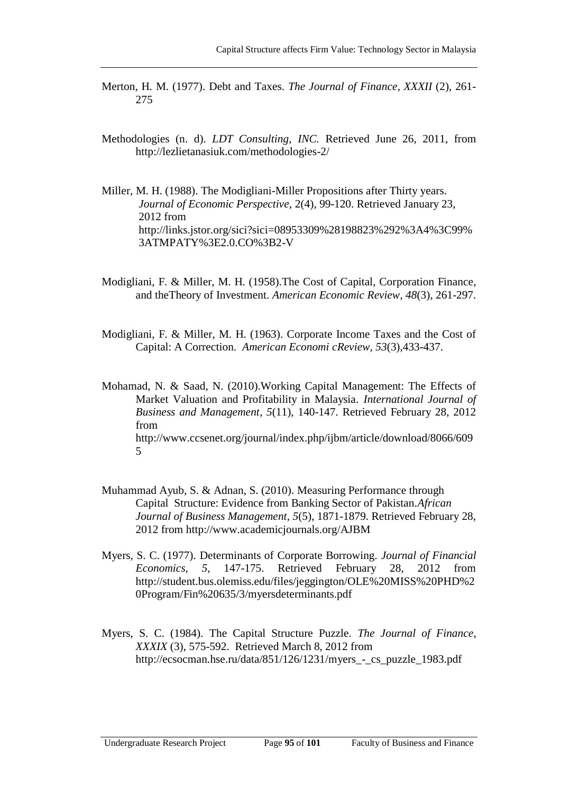- Merton, H. M. (1977). Debt and Taxes. *The Journal of Finance*, *XXXII* (2), 261- 275
- Methodologies (n. d). *LDT Consulting, INC.* Retrieved June 26, 2011, from <http://lezlietanasiuk.com/methodologies-2/>

Miller, M. H. (1988). The Modigliani-Miller Propositions after Thirty years. *Journal of Economic Perspective,* 2(4), 99-120. Retrieved January 23, 2012 from [http://links.jstor.org/sici?sici=08953309%28198823%292%3A4%3C99%](http://links.jstor.org/sici?sici=08953309%28198823%292%3A4%3C99%3ATMPATY%3E2.0.CO%3B2-V) [3ATMPATY%3E2.0.CO%3B2-V](http://links.jstor.org/sici?sici=08953309%28198823%292%3A4%3C99%3ATMPATY%3E2.0.CO%3B2-V)

- Modigliani, F. & Miller, M. H. (1958).The Cost of Capital, Corporation Finance, and theTheory of Investment. *American Economic Review*, *48*(3), 261-297.
- Modigliani, F. & Miller, M. H. (1963). Corporate Income Taxes and the Cost of Capital: A Correction. *American Economi cReview, 53*(3),433-437.

Mohamad, N. & Saad, N. (2010).Working Capital Management: The Effects of Market Valuation and Profitability in Malaysia. *International Journal of Business and Management*, *5*(11), 140-147. Retrieved February 28, 2012 from [http://www.ccsenet.org/journal/index.php/ijbm/article/download/8066/609](http://www.ccsenet.org/journal/index.php/ijbm/article/download/8066/6095) [5](http://www.ccsenet.org/journal/index.php/ijbm/article/download/8066/6095)

- Muhammad Ayub, S. & Adnan, S. (2010). Measuring Performance through Capital Structure: Evidence from Banking Sector of Pakistan.*African Journal of Business Management*, *5*(5), 1871-1879. Retrieved February 28, 2012 from<http://www.academicjournals.org/AJBM>
- Myers, S. C. (1977). Determinants of Corporate Borrowing. *Journal of Financial Economics, 5*, 147-175. Retrieved February 28, 2012 from [http://student.bus.olemiss.edu/files/jeggington/OLE%20MISS%20PHD%2](http://student.bus.olemiss.edu/files/jeggington/OLE%20MISS%20PHD%20Program/Fin%20635/3/myersdeterminants.pdf) [0Program/Fin%20635/3/myersdeterminants.pdf](http://student.bus.olemiss.edu/files/jeggington/OLE%20MISS%20PHD%20Program/Fin%20635/3/myersdeterminants.pdf)
- Myers, S. C. (1984). The Capital Structure Puzzle. *The Journal of Finance, XXXIX* (3), 575-592. Retrieved March 8, 2012 from [http://ecsocman.hse.ru/data/851/126/1231/myers\\_-\\_cs\\_puzzle\\_1983.pdf](http://ecsocman.hse.ru/data/851/126/1231/myers_-_cs_puzzle_1983.pdf)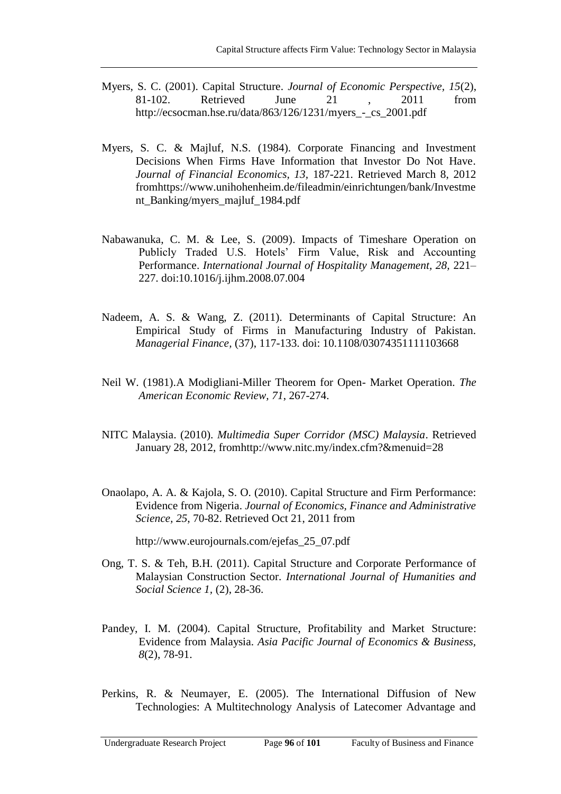- Myers, S. C. (2001). Capital Structure. *Journal of Economic Perspective, 15*(2), 81-102. Retrieved June 21 , 2011 from [http://ecsocman.hse.ru/data/863/126/1231/myers\\_-\\_cs\\_2001.pdf](http://ecsocman.hse.ru/data/863/126/1231/myers_-_cs_2001.pdf)
- Myers, S. C. & Majluf, N.S. (1984). Corporate Financing and Investment Decisions When Firms Have Information that Investor Do Not Have*. Journal of Financial Economics, 13,* 187-221. Retrieved March 8, 2012 fro[mhttps://www.unihohenheim.de/fileadmin/einrichtungen/bank/Investme](https://www.unihohenheim.de/fileadmin/einrichtungen/bank/Investment_Banking/myers_majluf_1984.pdf) [nt\\_Banking/myers\\_majluf\\_1984.pdf](https://www.unihohenheim.de/fileadmin/einrichtungen/bank/Investment_Banking/myers_majluf_1984.pdf)
- Nabawanuka, C. M. & Lee, S. (2009). Impacts of Timeshare Operation on Publicly Traded U.S. Hotels' Firm Value, Risk and Accounting Performance. *International Journal of Hospitality Management, 28,* 221– 227. doi:10.1016/j.ijhm.2008.07.004
- Nadeem, A. S. & Wang, Z. (2011). Determinants of Capital Structure: An Empirical Study of Firms in Manufacturing Industry of Pakistan. *Managerial Finance,* (37), 117-133. doi: 10.1108/03074351111103668
- Neil W. (1981).A Modigliani-Miller Theorem for Open- Market Operation. *The American Economic Review, 71*, 267-274.
- NITC Malaysia. (2010). *Multimedia Super Corridor (MSC) Malaysia*. Retrieved January 28, 2012, fro[mhttp://www.nitc.my/index.cfm?&menuid=28](http://www.nitc.my/index.cfm?&menuid=28)
- Onaolapo, A. A. & Kajola, S. O. (2010). Capital Structure and Firm Performance: Evidence from Nigeria. *Journal of Economics, Finance and Administrative Science, 25*, 70-82. Retrieved Oct 21, 2011 from

[http://www.eurojournals.com/ejefas\\_25\\_07.pdf](http://www.eurojournals.com/ejefas_25_07.pdf)

- Ong, T. S. & Teh, B.H. (2011). Capital Structure and Corporate Performance of Malaysian Construction Sector. *International Journal of Humanities and Social Science 1,* (2), 28-36.
- Pandey, I. M. (2004). Capital Structure, Profitability and Market Structure: Evidence from Malaysia. *Asia Pacific Journal of Economics & Business, 8*(2), 78-91.
- Perkins, R. & Neumayer, E. (2005). The International Diffusion of New Technologies: A Multitechnology Analysis of Latecomer Advantage and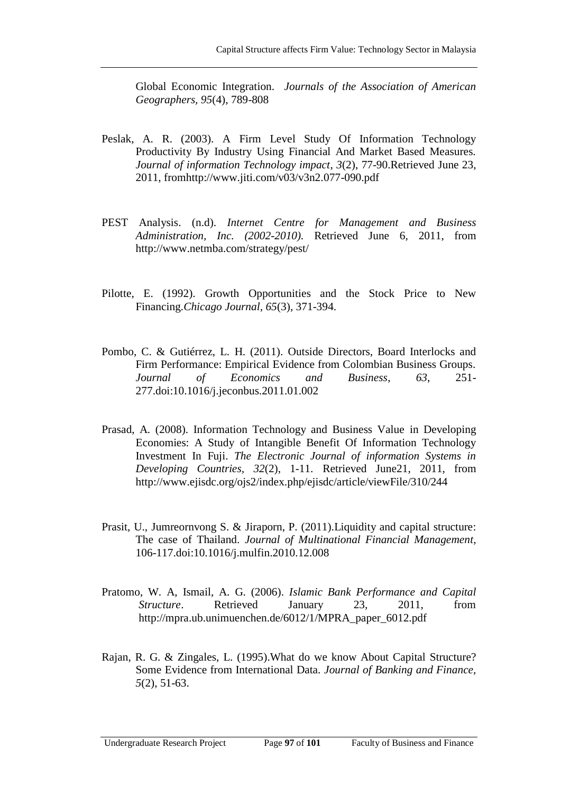Global Economic Integration. *Journals of the Association of American Geographers, 95*(4), 789-808

- Peslak, A. R. (2003). A Firm Level Study Of Information Technology Productivity By Industry Using Financial And Market Based Measures. *Journal of information Technology impact*, *3*(2), 77-90.Retrieved June 23, 2011, fro[mhttp://www.jiti.com/v03/v3n2.077-090.pdf](http://www.jiti.com/v03/v3n2.077-090.pdf)
- PEST Analysis. (n.d). *Internet Centre for Management and Business Administration, Inc. (2002-2010).* Retrieved June 6, 2011, from <http://www.netmba.com/strategy/pest/>
- Pilotte, E. (1992). Growth Opportunities and the Stock Price to New Financing.*Chicago Journal, 65*(3), 371-394.
- Pombo, C. & Gutiérrez, L. H. (2011). Outside Directors, Board Interlocks and Firm Performance: Empirical Evidence from Colombian Business Groups. *Journal of Economics and Business*, *63*, 251- 277.doi:10.1016/j.jeconbus.2011.01.002
- Prasad, A. (2008). Information Technology and Business Value in Developing Economies: A Study of Intangible Benefit Of Information Technology Investment In Fuji. *The Electronic Journal of information Systems in Developing Countries, 32*(2), 1-11. Retrieved June21, 2011, from <http://www.ejisdc.org/ojs2/index.php/ejisdc/article/viewFile/310/244>
- Prasit, U., Jumreornvong S. & Jiraporn, P. (2011).Liquidity and capital structure: The case of Thailand. *Journal of Multinational Financial Management,*  106-117.doi:10.1016/j.mulfin.2010.12.008
- Pratomo, W. A, Ismail, A. G. (2006). *Islamic Bank Performance and Capital Structure*. Retrieved January 23, 2011, from http://mpra.ub.unimuenchen.de/6012/1/MPRA\_paper\_6012.pdf
- Rajan, R. G. & Zingales, L. (1995).What do we know About Capital Structure? Some Evidence from International Data. *Journal of Banking and Finance, 5*(2), 51-63.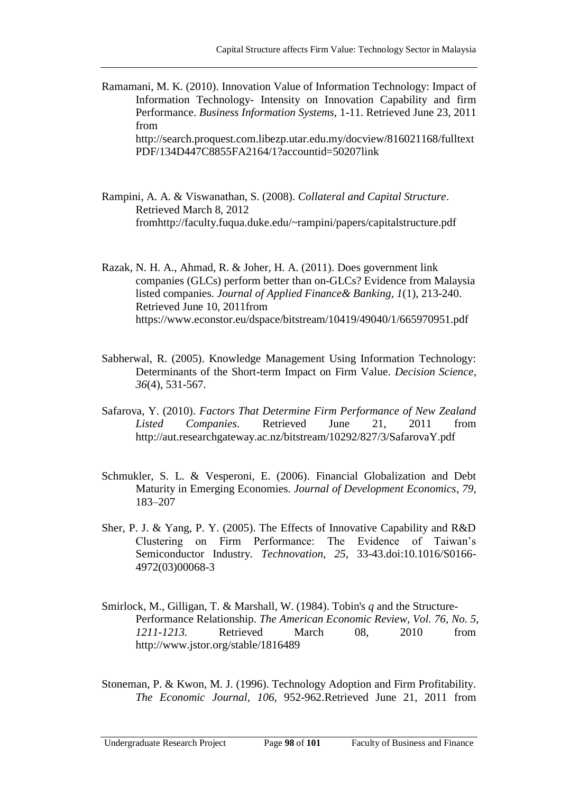- Ramamani, M. K. (2010). Innovation Value of Information Technology: Impact of Information Technology- Intensity on Innovation Capability and firm Performance. *Business Information Systems,* 1-11. Retrieved June 23, 2011 from [http://search.proquest.com.libezp.utar.edu.my/docview/816021168/fulltext](http://search.proquest.com.libezp.utar.edu.my/docview/816021168/fulltextPDF/134D447C8855FA2164/1?accountid=50207) [PDF/134D447C8855FA2164/1?accountid=50207l](http://search.proquest.com.libezp.utar.edu.my/docview/816021168/fulltextPDF/134D447C8855FA2164/1?accountid=50207)ink
- Rampini, A. A. & Viswanathan, S. (2008). *Collateral and Capital Structure*. Retrieved March 8, 2012 fro[mhttp://faculty.fuqua.duke.edu/~rampini/papers/capitalstructure.pdf](http://faculty.fuqua.duke.edu/~rampini/papers/capitalstructure.pdf)

Razak, N. H. A., Ahmad, R. & Joher, H. A. (2011). Does government link companies (GLCs) perform better than on-GLCs? Evidence from Malaysia listed companies. *Journal of Applied Finance& Banking, 1*(1), 213-240. Retrieved June 10, 2011from <https://www.econstor.eu/dspace/bitstream/10419/49040/1/665970951.pdf>

- Sabherwal, R. (2005). Knowledge Management Using Information Technology: Determinants of the Short-term Impact on Firm Value. *Decision Science, 36*(4), 531-567.
- Safarova, Y. (2010). *Factors That Determine Firm Performance of New Zealand Listed Companies*. Retrieved June 21, 2011 from <http://aut.researchgateway.ac.nz/bitstream/10292/827/3/SafarovaY.pdf>
- Schmukler, S. L. & Vesperoni, E. (2006). Financial Globalization and Debt Maturity in Emerging Economies. *Journal of Development Economics*, *79*, 183–207
- Sher, P. J. & Yang, P. Y. (2005). The Effects of Innovative Capability and R&D Clustering on Firm Performance: The Evidence of Taiwan's Semiconductor Industry*. Technovation, 25*, 33-43.doi:10.1016/S0166- 4972(03)00068-3
- Smirlock, M., Gilligan, T. & Marshall, W. (1984). Tobin's *q* and the Structure-Performance Relationship. *The American Economic Review, Vol. 76, No. 5, 1211-1213.* Retrieved March 08, 2010 from http://www.jstor.org/stable/1816489

Stoneman, P. & Kwon, M. J. (1996). Technology Adoption and Firm Profitability. *The Economic Journal, 106*, 952-962.Retrieved June 21, 2011 from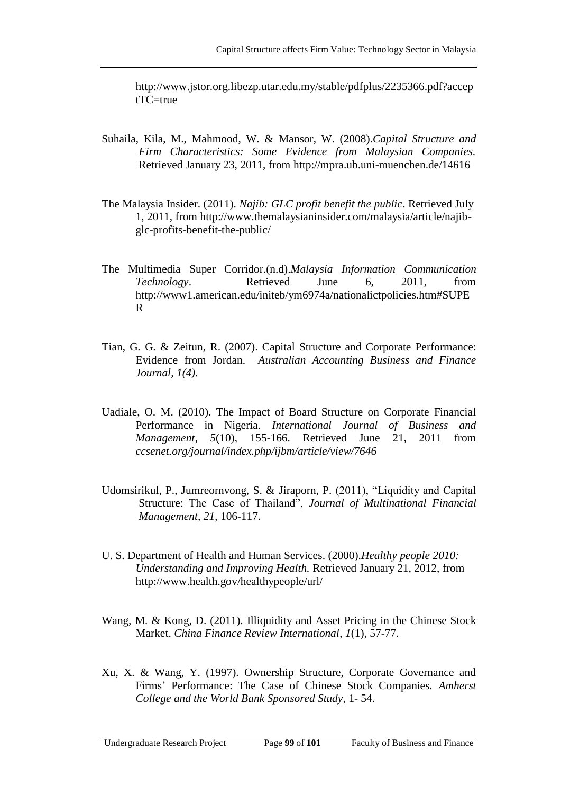[http://www.jstor.org.libezp.utar.edu.my/stable/pdfplus/2235366.pdf?accep](http://www.jstor.org.libezp.utar.edu.my/stable/pdfplus/2235366.pdf?acceptTC=true)  $tTC$ = $true$ 

- Suhaila, Kila, M., Mahmood, W. & Mansor, W. (2008).*Capital Structure and Firm Characteristics: Some Evidence from Malaysian Companies.* Retrieved January 23, 2011, from<http://mpra.ub.uni-muenchen.de/14616>
- The Malaysia Insider. (2011). *Najib: GLC profit benefit the public*. Retrieved July 1, 2011, from [http://www.themalaysianinsider.com/malaysia/article/najib](http://www.themalaysianinsider.com/malaysia/article/najib-glc-profits-benefit-the-public/)[glc-profits-benefit-the-public/](http://www.themalaysianinsider.com/malaysia/article/najib-glc-profits-benefit-the-public/)
- The Multimedia Super Corridor.(n.d).*Malaysia Information Communication Technology*. Retrieved June 6, 2011, from [http://www1.american.edu/initeb/ym6974a/nationalictpolicies.htm#SUPE](http://www1.american.edu/initeb/ym6974a/nationalictpolicies.htm#SUPER) [R](http://www1.american.edu/initeb/ym6974a/nationalictpolicies.htm#SUPER)
- Tian, G. G. & Zeitun, R. (2007). Capital Structure and Corporate Performance: Evidence from Jordan. *Australian Accounting Business and Finance Journal, 1(4).*
- Uadiale, O. M. (2010). The Impact of Board Structure on Corporate Financial Performance in Nigeria. *International Journal of Business and Management, 5*(10), 155-166. Retrieved June 21, 2011 from *ccsenet.org/journal/index.php/ijbm/article/view/7646*
- Udomsirikul, P., Jumreornvong, S. & Jiraporn, P. (2011), "Liquidity and Capital Structure: The Case of Thailand", *Journal of Multinational Financial Management, 21*, 106-117.
- U. S. Department of Health and Human Services. (2000).*Healthy people 2010: Understanding and Improving Health.* Retrieved January 21, 2012, from <http://www.health.gov/healthypeople/url/>
- [Wang](javascript:void(0);)*,* M*.* & [Kong](javascript:void(0);)*,* D. (2011). Illiquidity and Asset Pricing in the Chinese Stock Market. *[China Finance Review International](http://ezproxy.um.edu.my:2110/pqdweb?RQT=318&pmid=146431&TS=1312704482&clientId=18803&VInst=PROD&VName=PQD&VType=PQD)*, *1*(1), 57-77.
- Xu, X. & Wang, Y. (1997). Ownership Structure, Corporate Governance and Firms' Performance: The Case of Chinese Stock Companies. *Amherst College and the World Bank Sponsored Study,* 1- 54.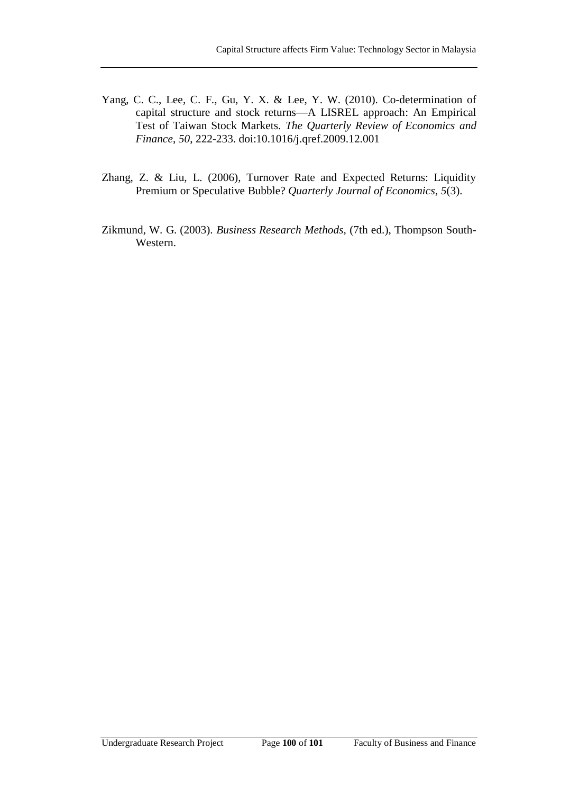- Yang, C. C., Lee, C. F., Gu, Y. X. & Lee, Y. W. (2010). Co-determination of capital structure and stock returns—A LISREL approach: An Empirical Test of Taiwan Stock Markets*. The Quarterly Review of Economics and Finance*, *50*, 222-233. doi:10.1016/j.qref.2009.12.001
- Zhang, Z. & Liu, L. (2006), Turnover Rate and Expected Returns: Liquidity Premium or Speculative Bubble? *Quarterly Journal of Economics*, *5*(3).
- Zikmund, W. G. (2003). *Business Research Methods,* (7th ed.), Thompson South-Western.